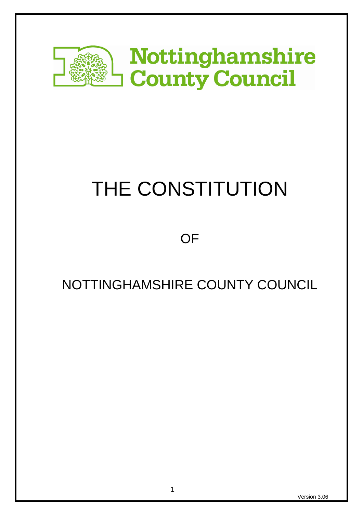

# THE CONSTITUTION

**OF** 

# NOTTINGHAMSHIRE COUNTY COUNCIL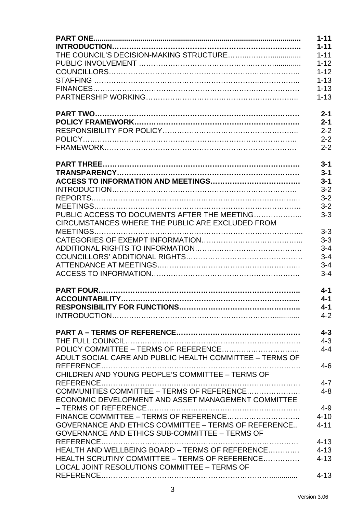|                                                             | $1 - 11$ |
|-------------------------------------------------------------|----------|
|                                                             | $1 - 11$ |
|                                                             | $1 - 11$ |
|                                                             | $1 - 12$ |
|                                                             | $1 - 12$ |
|                                                             | $1 - 13$ |
|                                                             | $1 - 13$ |
|                                                             | $1 - 13$ |
|                                                             | $2 - 1$  |
|                                                             | $2 - 1$  |
|                                                             | $2 - 2$  |
|                                                             | $2 - 2$  |
|                                                             | $2 - 2$  |
|                                                             | $3 - 1$  |
|                                                             | $3 - 1$  |
|                                                             | $3 - 1$  |
|                                                             | $3 - 2$  |
|                                                             | $3 - 2$  |
|                                                             | $3 - 2$  |
| PUBLIC ACCESS TO DOCUMENTS AFTER THE MEETING                | $3 - 3$  |
| CIRCUMSTANCES WHERE THE PUBLIC ARE EXCLUDED FROM            |          |
|                                                             | $3 - 3$  |
|                                                             | $3 - 3$  |
|                                                             | $3 - 4$  |
|                                                             | $3 - 4$  |
|                                                             | $3 - 4$  |
|                                                             | $3 - 4$  |
|                                                             | $4 - 1$  |
|                                                             | $4 - 1$  |
|                                                             | $4 - 1$  |
|                                                             | $4 - 2$  |
|                                                             | $4 - 3$  |
|                                                             | $4 - 3$  |
|                                                             | $4 - 4$  |
| ADULT SOCIAL CARE AND PUBLIC HEALTH COMMITTEE - TERMS OF    |          |
|                                                             | $4 - 6$  |
| CHILDREN AND YOUNG PEOPLE'S COMMITTEE - TERMS OF            |          |
| REFERENCE                                                   | $4 - 7$  |
| COMMUNITIES COMMITTEE - TERMS OF REFERENCE                  | $4 - 8$  |
| ECONOMIC DEVELOPMENT AND ASSET MANAGEMENT COMMITTEE         |          |
|                                                             | $4 - 9$  |
| FINANCE COMMITTEE - TERMS OF REFERENCE                      | $4 - 10$ |
| <b>GOVERNANCE AND ETHICS COMMITTEE - TERMS OF REFERENCE</b> | $4 - 11$ |
| <b>GOVERNANCE AND ETHICS SUB-COMMITTEE - TERMS OF</b>       |          |
|                                                             | $4 - 13$ |
| HEALTH AND WELLBEING BOARD - TERMS OF REFERENCE             | $4 - 13$ |
| HEALTH SCRUTINY COMMITTEE - TERMS OF REFERENCE              | $4 - 13$ |
| LOCAL JOINT RESOLUTIONS COMMITTEE - TERMS OF                |          |
|                                                             | $4 - 13$ |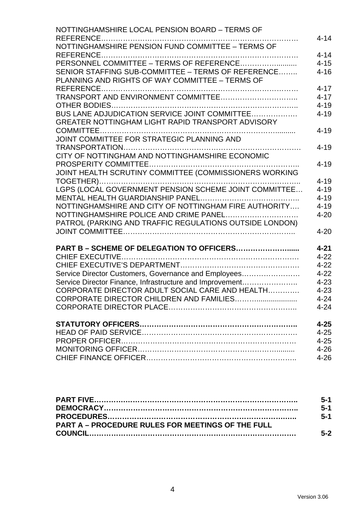| NOTTINGHAMSHIRE LOCAL PENSION BOARD - TERMS OF                                                                   | $4 - 14$             |
|------------------------------------------------------------------------------------------------------------------|----------------------|
| NOTTINGHAMSHIRE PENSION FUND COMMITTEE - TERMS OF                                                                |                      |
| PERSONNEL COMMITTEE - TERMS OF REFERENCE                                                                         | $4 - 14$<br>$4 - 15$ |
| SENIOR STAFFING SUB-COMMITTEE - TERMS OF REFERENCE                                                               | $4 - 16$             |
| PLANNING AND RIGHTS OF WAY COMMITTEE - TERMS OF                                                                  | $4 - 17$             |
|                                                                                                                  | $4 - 17$             |
|                                                                                                                  | $4 - 19$             |
| BUS LANE ADJUDICATION SERVICE JOINT COMMITTEE                                                                    | $4 - 19$             |
| GREATER NOTTINGHAM LIGHT RAPID TRANSPORT ADVISORY                                                                |                      |
| JOINT COMMITTEE FOR STRATEGIC PLANNING AND                                                                       | $4 - 19$             |
|                                                                                                                  | $4 - 19$             |
| CITY OF NOTTINGHAM AND NOTTINGHAMSHIRE ECONOMIC                                                                  |                      |
|                                                                                                                  | $4 - 19$             |
| JOINT HEALTH SCRUTINY COMMITTEE (COMMISSIONERS WORKING                                                           |                      |
| LGPS (LOCAL GOVERNMENT PENSION SCHEME JOINT COMMITTEE                                                            | $4 - 19$<br>$4 - 19$ |
|                                                                                                                  | $4 - 19$             |
| NOTTINGHAMSHIRE AND CITY OF NOTTINGHAM FIRE AUTHORITY                                                            | $4 - 19$             |
| NOTTINGHAMSHIRE POLICE AND CRIME PANEL                                                                           | $4 - 20$             |
| PATROL (PARKING AND TRAFFIC REGULATIONS OUTSIDE LONDON)                                                          |                      |
|                                                                                                                  | $4 - 20$             |
| PART B - SCHEME OF DELEGATION TO OFFICERS                                                                        | $4 - 21$             |
|                                                                                                                  | $4 - 22$             |
|                                                                                                                  | $4 - 22$             |
| Service Director Customers, Governance and Employees<br>Service Director Finance, Infrastructure and Improvement | $4 - 22$<br>$4 - 23$ |
| CORPORATE DIRECTOR ADULT SOCIAL CARE AND HEALTH                                                                  | $4 - 23$             |
| CORPORATE DIRECTOR CHILDREN AND FAMILIES                                                                         | $4 - 24$             |
|                                                                                                                  | $4 - 24$             |
|                                                                                                                  | $4 - 25$             |
|                                                                                                                  | $4 - 25$             |
|                                                                                                                  | $4 - 25$<br>$4 - 26$ |
|                                                                                                                  | $4 - 26$             |
|                                                                                                                  |                      |

|                                                          | $5 - 1$ |
|----------------------------------------------------------|---------|
|                                                          | $5-1$   |
|                                                          | $5-1$   |
| <b>PART A – PROCEDURE RULES FOR MEETINGS OF THE FULL</b> |         |
|                                                          | $5 - 2$ |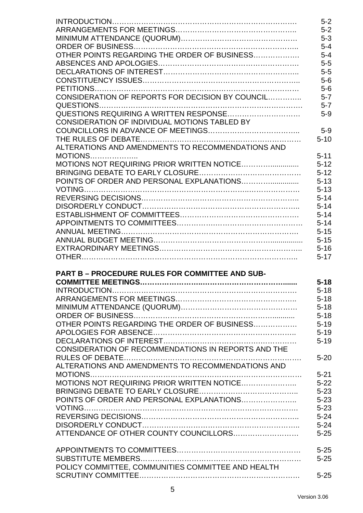|                                                        | $5 - 2$  |
|--------------------------------------------------------|----------|
|                                                        | $5 - 2$  |
|                                                        | $5 - 3$  |
|                                                        | $5 - 4$  |
| OTHER POINTS REGARDING THE ORDER OF BUSINESS           | $5 - 4$  |
|                                                        | $5-5$    |
|                                                        | $5-5$    |
|                                                        | $5-6$    |
|                                                        | $5-6$    |
|                                                        |          |
| CONSIDERATION OF REPORTS FOR DECISION BY COUNCIL       | $5 - 7$  |
|                                                        | $5 - 7$  |
|                                                        | $5-9$    |
| CONSIDERATION OF INDIVIDUAL MOTIONS TABLED BY          |          |
|                                                        | $5-9$    |
|                                                        | $5 - 10$ |
| ALTERATIONS AND AMENDMENTS TO RECOMMENDATIONS AND      |          |
|                                                        | $5 - 11$ |
| MOTIONS NOT REQUIRING PRIOR WRITTEN NOTICE             | $5 - 12$ |
|                                                        | $5 - 12$ |
| POINTS OF ORDER AND PERSONAL EXPLANATIONS              | $5 - 13$ |
|                                                        | $5 - 13$ |
|                                                        | $5 - 14$ |
|                                                        |          |
|                                                        | $5 - 14$ |
|                                                        | $5 - 14$ |
|                                                        | $5 - 14$ |
|                                                        | $5 - 15$ |
|                                                        | $5 - 15$ |
|                                                        | $5 - 16$ |
|                                                        | $5 - 17$ |
|                                                        |          |
| <b>PART B - PROCEDURE RULES FOR COMMITTEE AND SUB-</b> |          |
|                                                        | $5 - 18$ |
| <b>INTRODUCTION</b>                                    | $5 - 18$ |
|                                                        | $5 - 18$ |
|                                                        | $5 - 18$ |
|                                                        | $5 - 18$ |
| OTHER POINTS REGARDING THE ORDER OF BUSINESS           | $5 - 19$ |
|                                                        | $5 - 19$ |
|                                                        | $5 - 19$ |
| CONSIDERATION OF RECOMMENDATIONS IN REPORTS AND THE    |          |
|                                                        | $5 - 20$ |
| ALTERATIONS AND AMENDMENTS TO RECOMMENDATIONS AND      |          |
|                                                        |          |
|                                                        | $5 - 21$ |
| MOTIONS NOT REQUIRING PRIOR WRITTEN NOTICE             | $5 - 22$ |
|                                                        | $5 - 23$ |
| POINTS OF ORDER AND PERSONAL EXPLANATIONS              | $5 - 23$ |
|                                                        | $5 - 23$ |
|                                                        | $5 - 24$ |
|                                                        | $5 - 24$ |
|                                                        | $5 - 25$ |
|                                                        |          |
|                                                        | $5 - 25$ |
|                                                        | $5 - 25$ |
| POLICY COMMITTEE, COMMUNITIES COMMITTEE AND HEALTH     |          |
|                                                        |          |
|                                                        | $5 - 25$ |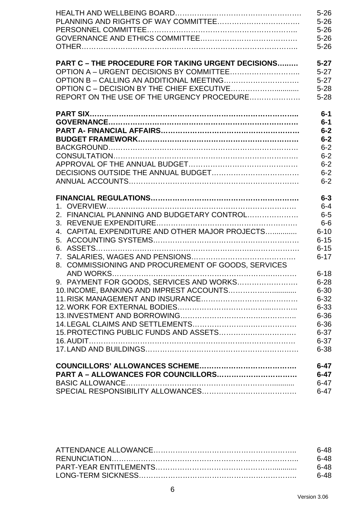|                                                           | $5 - 26$ |
|-----------------------------------------------------------|----------|
|                                                           | $5 - 26$ |
|                                                           | $5 - 26$ |
|                                                           | $5 - 26$ |
|                                                           | $5 - 26$ |
|                                                           |          |
| <b>PART C - THE PROCEDURE FOR TAKING URGENT DECISIONS</b> | $5 - 27$ |
|                                                           | $5-27$   |
| OPTION B – CALLING AN ADDITIONAL MEETING                  | $5 - 27$ |
|                                                           | $5 - 28$ |
| REPORT ON THE USE OF THE URGENCY PROCEDURE                | $5 - 28$ |
|                                                           |          |
|                                                           | $6-1$    |
|                                                           | $6 - 1$  |
|                                                           | $6 - 2$  |
|                                                           | $6-2$    |
|                                                           | $6 - 2$  |
|                                                           | $6 - 2$  |
|                                                           | $6 - 2$  |
|                                                           | $6 - 2$  |
|                                                           | $6 - 2$  |
|                                                           | $6 - 3$  |
|                                                           | $6 - 4$  |
| 2. FINANCIAL PLANNING AND BUDGETARY CONTROL               | $6-5$    |
|                                                           | $6-6$    |
| 4. CAPITAL EXPENDITURE AND OTHER MAJOR PROJECTS           | $6 - 10$ |
|                                                           | $6 - 15$ |
|                                                           |          |
|                                                           | $6 - 15$ |
|                                                           | $6 - 17$ |
| 8. COMMISSIONING AND PROCUREMENT OF GOODS, SERVICES       |          |
|                                                           | $6 - 18$ |
| 9. PAYMENT FOR GOODS, SERVICES AND WORKS                  | $6 - 28$ |
|                                                           | $6 - 30$ |
|                                                           | $6 - 32$ |
|                                                           | $6 - 33$ |
|                                                           | $6 - 36$ |
|                                                           | $6 - 36$ |
|                                                           | $6 - 37$ |
|                                                           | $6 - 37$ |
|                                                           | $6 - 38$ |
|                                                           | $6 - 47$ |
| PART A - ALLOWANCES FOR COUNCILLORS                       | $6 - 47$ |
|                                                           | $6 - 47$ |
|                                                           | $6 - 47$ |
|                                                           |          |

| հ-48 |
|------|
| 6-48 |
| հ-48 |
| 6-48 |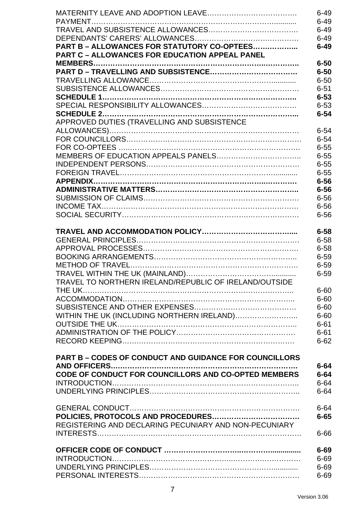|                                                               | $6 - 49$ |
|---------------------------------------------------------------|----------|
|                                                               | $6 - 49$ |
|                                                               | $6 - 49$ |
|                                                               | $6 - 49$ |
| PART B - ALLOWANCES FOR STATUTORY CO-OPTEES                   | $6 - 49$ |
| <b>PART C - ALLOWANCES FOR EDUCATION APPEAL PANEL</b>         |          |
|                                                               | $6 - 50$ |
|                                                               | $6 - 50$ |
|                                                               | $6 - 50$ |
|                                                               | $6 - 51$ |
|                                                               | $6 - 53$ |
|                                                               | $6 - 53$ |
|                                                               | $6 - 54$ |
|                                                               |          |
| APPROVED DUTIES (TRAVELLING AND SUBSISTENCE                   |          |
|                                                               | $6 - 54$ |
|                                                               | $6 - 54$ |
|                                                               | $6 - 55$ |
|                                                               | $6 - 55$ |
|                                                               | $6 - 55$ |
|                                                               | $6 - 55$ |
|                                                               | $6 - 56$ |
|                                                               | $6 - 56$ |
|                                                               | $6 - 56$ |
|                                                               | $6 - 56$ |
|                                                               | $6 - 56$ |
|                                                               |          |
|                                                               | $6 - 58$ |
|                                                               | $6 - 58$ |
|                                                               |          |
|                                                               |          |
|                                                               | $6 - 58$ |
|                                                               | $6 - 59$ |
|                                                               | $6 - 59$ |
|                                                               | $6 - 59$ |
| TRAVEL TO NORTHERN IRELAND/REPUBLIC OF IRELAND/OUTSIDE        |          |
|                                                               | $6 - 60$ |
|                                                               | $6 - 60$ |
|                                                               | $6 - 60$ |
| WITHIN THE UK (INCLUDING NORTHERN IRELAND)                    | $6 - 60$ |
|                                                               | $6 - 61$ |
|                                                               |          |
|                                                               | $6 - 61$ |
|                                                               | $6 - 62$ |
|                                                               |          |
| <b>PART B - CODES OF CONDUCT AND GUIDANCE FOR COUNCILLORS</b> |          |
|                                                               | $6 - 64$ |
| CODE OF CONDUCT FOR COUNCILLORS AND CO-OPTED MEMBERS          | $6 - 64$ |
|                                                               | $6 - 64$ |
|                                                               | $6 - 64$ |
|                                                               |          |
|                                                               | $6 - 64$ |
|                                                               | $6 - 65$ |
| REGISTERING AND DECLARING PECUNIARY AND NON-PECUNIARY         |          |
|                                                               | $6 - 66$ |
|                                                               |          |
|                                                               | $6 - 69$ |
|                                                               | $6 - 69$ |
|                                                               | $6 - 69$ |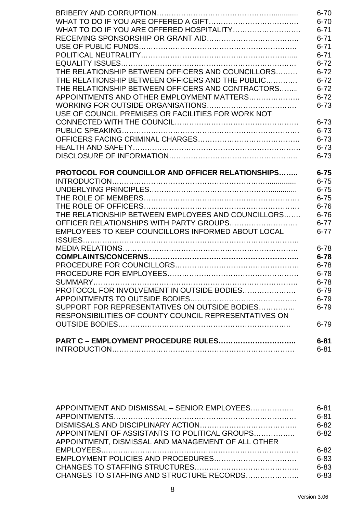|                                                           | $6 - 70$ |
|-----------------------------------------------------------|----------|
|                                                           | $6 - 70$ |
|                                                           | $6 - 71$ |
|                                                           | $6 - 71$ |
|                                                           | $6 - 71$ |
|                                                           | $6 - 71$ |
|                                                           | $6 - 72$ |
| THE RELATIONSHIP BETWEEN OFFICERS AND COUNCILLORS         | $6 - 72$ |
| THE RELATIONSHIP BETWEEN OFFICERS AND THE PUBLIC          | $6 - 72$ |
| THE RELATIONSHIP BETWEEN OFFICERS AND CONTRACTORS         | $6 - 72$ |
| APPOINTMENTS AND OTHER EMPLOYMENT MATTERS                 | $6 - 72$ |
|                                                           | $6 - 73$ |
| USE OF COUNCIL PREMISES OR FACILITIES FOR WORK NOT        |          |
|                                                           | $6 - 73$ |
|                                                           | $6 - 73$ |
|                                                           | $6 - 73$ |
|                                                           | $6 - 73$ |
|                                                           | $6 - 73$ |
| <b>PROTOCOL FOR COUNCILLOR AND OFFICER RELATIONSHIPS</b>  | $6 - 75$ |
|                                                           | $6 - 75$ |
|                                                           | $6 - 75$ |
|                                                           | $6 - 75$ |
|                                                           | $6 - 76$ |
| THE RELATIONSHIP BETWEEN EMPLOYEES AND COUNCILLORS        | $6 - 76$ |
| OFFICER RELATIONSHIPS WITH PARTY GROUPS                   | $6 - 77$ |
| <b>EMPLOYEES TO KEEP COUNCILLORS INFORMED ABOUT LOCAL</b> | $6 - 77$ |
|                                                           |          |
|                                                           | $6 - 78$ |
|                                                           | $6 - 78$ |
|                                                           | $6 - 78$ |
|                                                           | $6 - 78$ |
|                                                           | $6 - 78$ |
| PROTOCOL FOR INVOLVEMENT IN OUTSIDE BODIES                | $6 - 79$ |
|                                                           | $6 - 79$ |
| SUPPORT FOR REPRESENTATIVES ON OUTSIDE BODIES             | 6-79     |
| RESPONSIBILITIES OF COUNTY COUNCIL REPRESENTATIVES ON     |          |
|                                                           | $6 - 79$ |
| PART C - EMPLOYMENT PROCEDURE RULES                       | $6 - 81$ |
|                                                           | $6 - 81$ |
|                                                           |          |

| APPOINTMENT AND DISMISSAL – SENIOR EMPLOYEES       | $6 - 81$ |
|----------------------------------------------------|----------|
|                                                    | $6 - 81$ |
|                                                    | $6 - 82$ |
| APPOINTMENT OF ASSISTANTS TO POLITICAL GROUPS      | $6 - 82$ |
| APPOINTMENT, DISMISSAL AND MANAGEMENT OF ALL OTHER |          |
|                                                    | $6 - 82$ |
|                                                    | $6 - 83$ |
|                                                    | $6 - 83$ |
| CHANGES TO STAFFING AND STRUCTURE RECORDS          | $6 - 83$ |
|                                                    |          |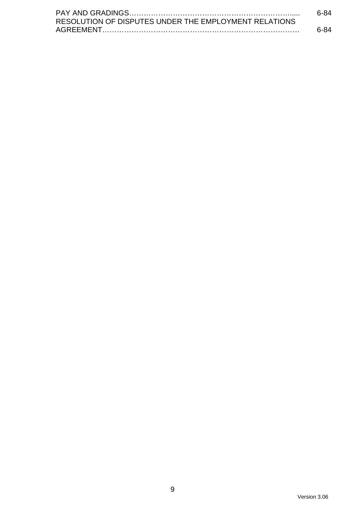|                                                       | 6-84 |
|-------------------------------------------------------|------|
| RESOLUTION OF DISPUTES UNDER THE EMPLOYMENT RELATIONS |      |
|                                                       | հ-84 |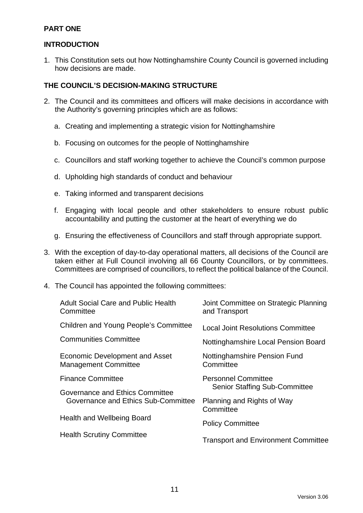# **PART ONE**

# **INTRODUCTION**

1. This Constitution sets out how Nottinghamshire County Council is governed including how decisions are made.

# **THE COUNCIL'S DECISION-MAKING STRUCTURE**

- 2. The Council and its committees and officers will make decisions in accordance with the Authority's governing principles which are as follows:
	- a. Creating and implementing a strategic vision for Nottinghamshire
	- b. Focusing on outcomes for the people of Nottinghamshire
	- c. Councillors and staff working together to achieve the Council's common purpose
	- d. Upholding high standards of conduct and behaviour
	- e. Taking informed and transparent decisions
	- f. Engaging with local people and other stakeholders to ensure robust public accountability and putting the customer at the heart of everything we do
	- g. Ensuring the effectiveness of Councillors and staff through appropriate support.
- 3. With the exception of day-to-day operational matters, all decisions of the Council are taken either at Full Council involving all 66 County Councillors, or by committees. Committees are comprised of councillors, to reflect the political balance of the Council.
- 4. The Council has appointed the following committees:

| <b>Adult Social Care and Public Health</b><br>Committee       | Joint Committee on Strategic Planning<br>and Transport |
|---------------------------------------------------------------|--------------------------------------------------------|
| Children and Young People's Committee                         | Local Joint Resolutions Committee                      |
| <b>Communities Committee</b>                                  | Nottinghamshire Local Pension Board                    |
| Economic Development and Asset<br><b>Management Committee</b> | Nottinghamshire Pension Fund<br>Committee              |
| <b>Finance Committee</b>                                      | <b>Personnel Committee</b>                             |
| Governance and Ethics Committee                               | <b>Senior Staffing Sub-Committee</b>                   |
| Governance and Ethics Sub-Committee                           | Planning and Rights of Way<br>Committee                |
| Health and Wellbeing Board                                    |                                                        |
|                                                               | <b>Policy Committee</b>                                |
| <b>Health Scrutiny Committee</b>                              | <b>Transport and Environment Committee</b>             |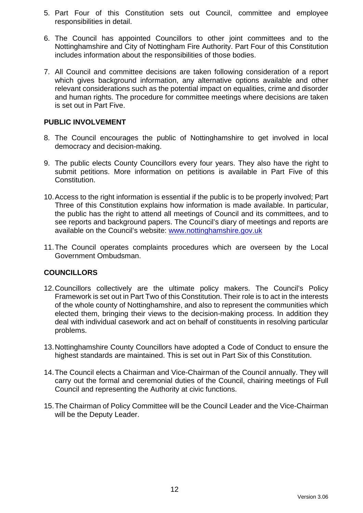- 5. Part Four of this Constitution sets out Council, committee and employee responsibilities in detail.
- 6. The Council has appointed Councillors to other joint committees and to the Nottinghamshire and City of Nottingham Fire Authority. Part Four of this Constitution includes information about the responsibilities of those bodies.
- 7. All Council and committee decisions are taken following consideration of a report which gives background information, any alternative options available and other relevant considerations such as the potential impact on equalities, crime and disorder and human rights. The procedure for committee meetings where decisions are taken is set out in Part Five.

# **PUBLIC INVOLVEMENT**

- 8. The Council encourages the public of Nottinghamshire to get involved in local democracy and decision-making.
- 9. The public elects County Councillors every four years. They also have the right to submit petitions. More information on petitions is available in Part Five of this Constitution.
- 10. Access to the right information is essential if the public is to be properly involved: Part Three of this Constitution explains how information is made available. In particular, the public has the right to attend all meetings of Council and its committees, and to see reports and background papers. The Council's diary of meetings and reports are available on the Council's website: [www.nottinghamshire.gov.uk](http://www.nottinghamshire.gov.uk/)
- 11.The Council operates complaints procedures which are overseen by the Local Government Ombudsman.

# **COUNCILLORS**

- 12.Councillors collectively are the ultimate policy makers. The Council's Policy Framework is set out in Part Two of this Constitution. Their role is to act in the interests of the whole county of Nottinghamshire, and also to represent the communities which elected them, bringing their views to the decision-making process. In addition they deal with individual casework and act on behalf of constituents in resolving particular problems.
- 13.Nottinghamshire County Councillors have adopted a Code of Conduct to ensure the highest standards are maintained. This is set out in Part Six of this Constitution.
- 14.The Council elects a Chairman and Vice-Chairman of the Council annually. They will carry out the formal and ceremonial duties of the Council, chairing meetings of Full Council and representing the Authority at civic functions.
- 15.The Chairman of Policy Committee will be the Council Leader and the Vice-Chairman will be the Deputy Leader.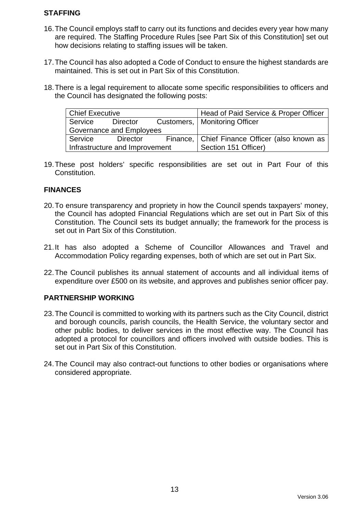# **STAFFING**

- 16.The Council employs staff to carry out its functions and decides every year how many are required. The Staffing Procedure Rules [see Part Six of this Constitution] set out how decisions relating to staffing issues will be taken.
- 17.The Council has also adopted a Code of Conduct to ensure the highest standards are maintained. This is set out in Part Six of this Constitution.
- 18.There is a legal requirement to allocate some specific responsibilities to officers and the Council has designated the following posts:

| <b>Chief Executive</b>          |          |  | Head of Paid Service & Proper Officer           |
|---------------------------------|----------|--|-------------------------------------------------|
| Service                         | Director |  | Customers,   Monitoring Officer                 |
| <b>Governance and Employees</b> |          |  |                                                 |
| Service                         | Director |  | Finance,   Chief Finance Officer (also known as |
| Infrastructure and Improvement  |          |  | Section 151 Officer)                            |

19.These post holders' specific responsibilities are set out in Part Four of this Constitution.

# **FINANCES**

- 20.To ensure transparency and propriety in how the Council spends taxpayers' money, the Council has adopted Financial Regulations which are set out in Part Six of this Constitution. The Council sets its budget annually; the framework for the process is set out in Part Six of this Constitution.
- 21.It has also adopted a Scheme of Councillor Allowances and Travel and Accommodation Policy regarding expenses, both of which are set out in Part Six.
- 22.The Council publishes its annual statement of accounts and all individual items of expenditure over £500 on its website, and approves and publishes senior officer pay.

#### **PARTNERSHIP WORKING**

- 23.The Council is committed to working with its partners such as the City Council, district and borough councils, parish councils, the Health Service, the voluntary sector and other public bodies, to deliver services in the most effective way. The Council has adopted a protocol for councillors and officers involved with outside bodies. This is set out in Part Six of this Constitution.
- 24.The Council may also contract-out functions to other bodies or organisations where considered appropriate.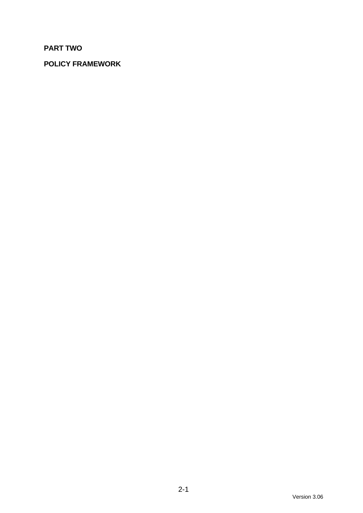# **PART TWO**

# **POLICY FRAMEWORK**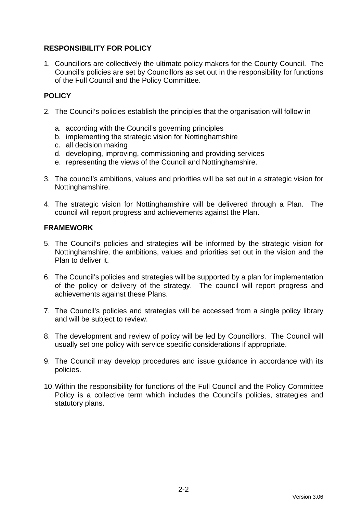# **RESPONSIBILITY FOR POLICY**

1. Councillors are collectively the ultimate policy makers for the County Council. The Council's policies are set by Councillors as set out in the responsibility for functions of the Full Council and the Policy Committee.

# **POLICY**

- 2. The Council's policies establish the principles that the organisation will follow in
	- a. according with the Council's governing principles
	- b. implementing the strategic vision for Nottinghamshire
	- c. all decision making
	- d. developing, improving, commissioning and providing services
	- e. representing the views of the Council and Nottinghamshire.
- 3. The council's ambitions, values and priorities will be set out in a strategic vision for Nottinghamshire.
- 4. The strategic vision for Nottinghamshire will be delivered through a Plan. The council will report progress and achievements against the Plan.

# **FRAMEWORK**

- 5. The Council's policies and strategies will be informed by the strategic vision for Nottinghamshire, the ambitions, values and priorities set out in the vision and the Plan to deliver it.
- 6. The Council's policies and strategies will be supported by a plan for implementation of the policy or delivery of the strategy. The council will report progress and achievements against these Plans.
- 7. The Council's policies and strategies will be accessed from a single policy library and will be subject to review.
- 8. The development and review of policy will be led by Councillors. The Council will usually set one policy with service specific considerations if appropriate.
- 9. The Council may develop procedures and issue guidance in accordance with its policies.
- 10.Within the responsibility for functions of the Full Council and the Policy Committee Policy is a collective term which includes the Council's policies, strategies and statutory plans.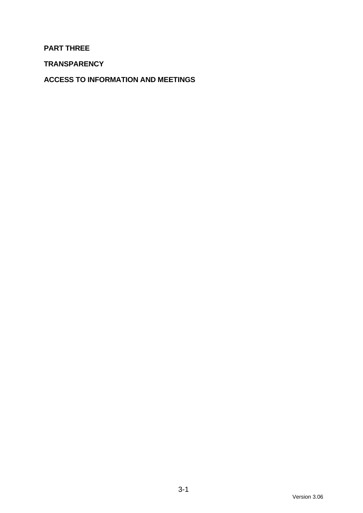# **PART THREE**

**TRANSPARENCY**

**ACCESS TO INFORMATION AND MEETINGS**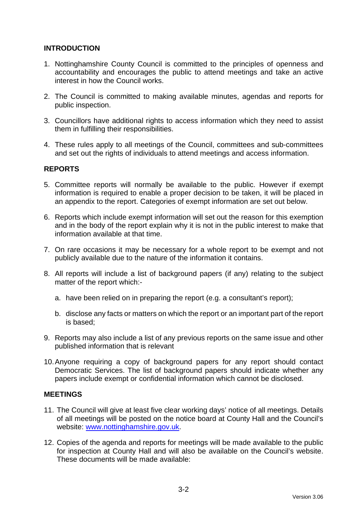# **INTRODUCTION**

- 1. Nottinghamshire County Council is committed to the principles of openness and accountability and encourages the public to attend meetings and take an active interest in how the Council works.
- 2. The Council is committed to making available minutes, agendas and reports for public inspection.
- 3. Councillors have additional rights to access information which they need to assist them in fulfilling their responsibilities.
- 4. These rules apply to all meetings of the Council, committees and sub-committees and set out the rights of individuals to attend meetings and access information.

# **REPORTS**

- 5. Committee reports will normally be available to the public. However if exempt information is required to enable a proper decision to be taken, it will be placed in an appendix to the report. Categories of exempt information are set out below.
- 6. Reports which include exempt information will set out the reason for this exemption and in the body of the report explain why it is not in the public interest to make that information available at that time.
- 7. On rare occasions it may be necessary for a whole report to be exempt and not publicly available due to the nature of the information it contains.
- 8. All reports will include a list of background papers (if any) relating to the subject matter of the report which:
	- a. have been relied on in preparing the report (e.g. a consultant's report);
	- b. disclose any facts or matters on which the report or an important part of the report is based;
- 9. Reports may also include a list of any previous reports on the same issue and other published information that is relevant
- 10.Anyone requiring a copy of background papers for any report should contact Democratic Services. The list of background papers should indicate whether any papers include exempt or confidential information which cannot be disclosed.

#### **MEETINGS**

- 11. The Council will give at least five clear working days' notice of all meetings. Details of all meetings will be posted on the notice board at County Hall and the Council's website: [www.nottinghamshire.gov.uk.](http://www.nottinghamshire.gov.uk/)
- 12. Copies of the agenda and reports for meetings will be made available to the public for inspection at County Hall and will also be available on the Council's website. These documents will be made available: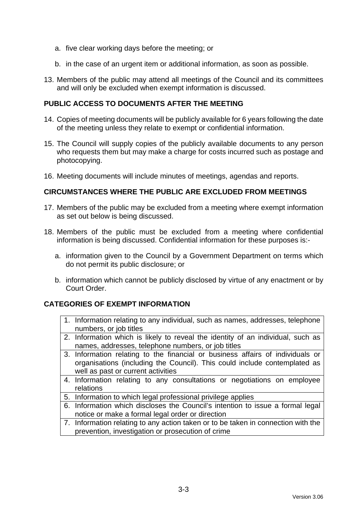- a. five clear working days before the meeting; or
- b. in the case of an urgent item or additional information, as soon as possible.
- 13. Members of the public may attend all meetings of the Council and its committees and will only be excluded when exempt information is discussed.

#### **PUBLIC ACCESS TO DOCUMENTS AFTER THE MEETING**

- 14. Copies of meeting documents will be publicly available for 6 years following the date of the meeting unless they relate to exempt or confidential information.
- 15. The Council will supply copies of the publicly available documents to any person who requests them but may make a charge for costs incurred such as postage and photocopying.
- 16. Meeting documents will include minutes of meetings, agendas and reports.

#### **CIRCUMSTANCES WHERE THE PUBLIC ARE EXCLUDED FROM MEETINGS**

- 17. Members of the public may be excluded from a meeting where exempt information as set out below is being discussed.
- 18. Members of the public must be excluded from a meeting where confidential information is being discussed. Confidential information for these purposes is:
	- a. information given to the Council by a Government Department on terms which do not permit its public disclosure; or
	- b. information which cannot be publicly disclosed by virtue of any enactment or by Court Order.

# **CATEGORIES OF EXEMPT INFORMATION**

- 1. Information relating to any individual, such as names, addresses, telephone numbers, or job titles
- 2. Information which is likely to reveal the identity of an individual, such as names, addresses, telephone numbers, or job titles
- 3. Information relating to the financial or business affairs of individuals or organisations (including the Council). This could include contemplated as well as past or current activities
- 4. Information relating to any consultations or negotiations on employee relations
- 5. Information to which legal professional privilege applies
- 6. Information which discloses the Council's intention to issue a formal legal notice or make a formal legal order or direction
- 7. Information relating to any action taken or to be taken in connection with the prevention, investigation or prosecution of crime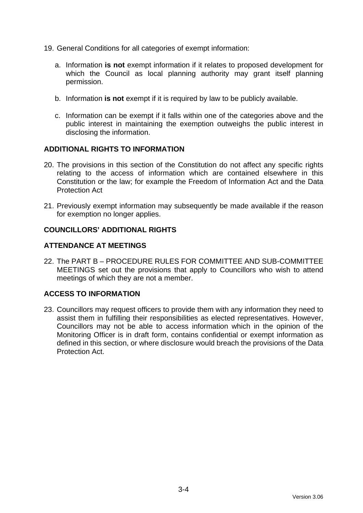- 19. General Conditions for all categories of exempt information:
	- a. Information **is not** exempt information if it relates to proposed development for which the Council as local planning authority may grant itself planning permission.
	- b. Information **is not** exempt if it is required by law to be publicly available.
	- c. Information can be exempt if it falls within one of the categories above and the public interest in maintaining the exemption outweighs the public interest in disclosing the information.

# **ADDITIONAL RIGHTS TO INFORMATION**

- 20. The provisions in this section of the Constitution do not affect any specific rights relating to the access of information which are contained elsewhere in this Constitution or the law; for example the Freedom of Information Act and the Data Protection Act
- 21. Previously exempt information may subsequently be made available if the reason for exemption no longer applies.

# **COUNCILLORS' ADDITIONAL RIGHTS**

# **ATTENDANCE AT MEETINGS**

22. The PART B – [PROCEDURE RULES FOR COMMITTEE AND SUB-COMMITTEE](#page-63-0)  [MEETINGS](#page-63-0) set out the provisions that apply to Councillors who wish to attend meetings of which they are not a member.

# **ACCESS TO INFORMATION**

23. Councillors may request officers to provide them with any information they need to assist them in fulfilling their responsibilities as elected representatives. However, Councillors may not be able to access information which in the opinion of the Monitoring Officer is in draft form, contains confidential or exempt information as defined in this section, or where disclosure would breach the provisions of the Data Protection Act.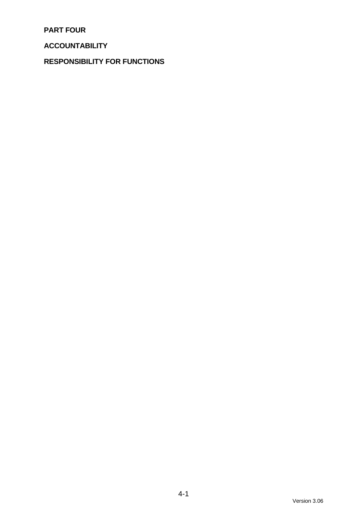**PART FOUR**

**ACCOUNTABILITY**

**RESPONSIBILITY FOR FUNCTIONS**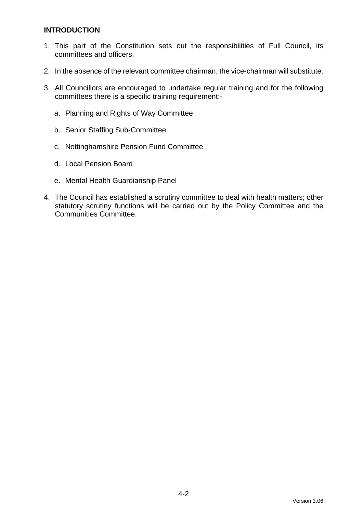# **INTRODUCTION**

- 1. This part of the Constitution sets out the responsibilities of Full Council, its committees and officers.
- 2. In the absence of the relevant committee chairman, the vice-chairman will substitute.
- 3. All Councillors are encouraged to undertake regular training and for the following committees there is a specific training requirement:
	- a. Planning and Rights of Way Committee
	- b. Senior Staffing Sub-Committee
	- c. Nottinghamshire Pension Fund Committee
	- d. Local Pension Board
	- e. Mental Health Guardianship Panel
- 4. The Council has established a scrutiny committee to deal with health matters; other statutory scrutiny functions will be carried out by the Policy Committee and the Communities Committee.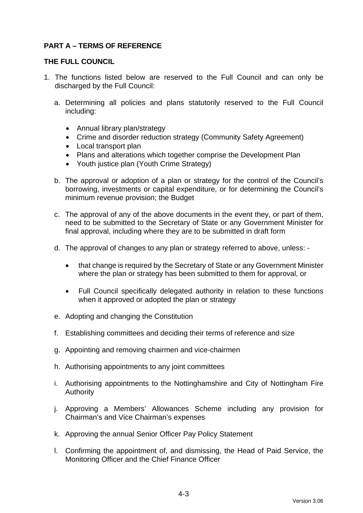# **PART A – TERMS OF REFERENCE**

#### **THE FULL COUNCIL**

- 1. The functions listed below are reserved to the Full Council and can only be discharged by the Full Council:
	- a. Determining all policies and plans statutorily reserved to the Full Council including:
		- Annual library plan/strategy
		- Crime and disorder reduction strategy (Community Safety Agreement)
		- Local transport plan
		- Plans and alterations which together comprise the Development Plan
		- Youth justice plan (Youth Crime Strategy)
	- b. The approval or adoption of a plan or strategy for the control of the Council's borrowing, investments or capital expenditure, or for determining the Council's minimum revenue provision; the Budget
	- c. The approval of any of the above documents in the event they, or part of them, need to be submitted to the Secretary of State or any Government Minister for final approval, including where they are to be submitted in draft form
	- d. The approval of changes to any plan or strategy referred to above, unless:
		- that change is required by the Secretary of State or any Government Minister where the plan or strategy has been submitted to them for approval, or
		- Full Council specifically delegated authority in relation to these functions when it approved or adopted the plan or strategy
	- e. Adopting and changing the Constitution
	- f. Establishing committees and deciding their terms of reference and size
	- g. Appointing and removing chairmen and vice-chairmen
	- h. Authorising appointments to any joint committees
	- i. Authorising appointments to the Nottinghamshire and City of Nottingham Fire Authority
	- j. Approving a Members' Allowances Scheme including any provision for Chairman's and Vice Chairman's expenses
	- k. Approving the annual Senior Officer Pay Policy Statement
	- l. Confirming the appointment of, and dismissing, the Head of Paid Service, the Monitoring Officer and the Chief Finance Officer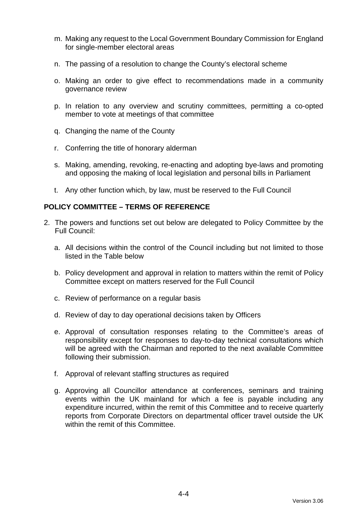- m. Making any request to the Local Government Boundary Commission for England for single-member electoral areas
- n. The passing of a resolution to change the County's electoral scheme
- o. Making an order to give effect to recommendations made in a community governance review
- p. In relation to any overview and scrutiny committees, permitting a co-opted member to vote at meetings of that committee
- q. Changing the name of the County
- r. Conferring the title of honorary alderman
- s. Making, amending, revoking, re-enacting and adopting bye-laws and promoting and opposing the making of local legislation and personal bills in Parliament
- t. Any other function which, by law, must be reserved to the Full Council

# **POLICY COMMITTEE – TERMS OF REFERENCE**

- 2. The powers and functions set out below are delegated to Policy Committee by the Full Council:
	- a. All decisions within the control of the Council including but not limited to those listed in the Table below
	- b. Policy development and approval in relation to matters within the remit of Policy Committee except on matters reserved for the Full Council
	- c. Review of performance on a regular basis
	- d. Review of day to day operational decisions taken by Officers
	- e. Approval of consultation responses relating to the Committee's areas of responsibility except for responses to day-to-day technical consultations which will be agreed with the Chairman and reported to the next available Committee following their submission.
	- f. Approval of relevant staffing structures as required
	- g. Approving all Councillor attendance at conferences, seminars and training events within the UK mainland for which a fee is payable including any expenditure incurred, within the remit of this Committee and to receive quarterly reports from Corporate Directors on departmental officer travel outside the UK within the remit of this Committee.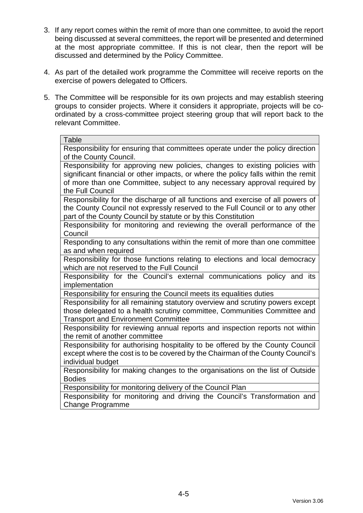- 3. If any report comes within the remit of more than one committee, to avoid the report being discussed at several committees, the report will be presented and determined at the most appropriate committee. If this is not clear, then the report will be discussed and determined by the Policy Committee.
- 4. As part of the detailed work programme the Committee will receive reports on the exercise of powers delegated to Officers.
- 5. The Committee will be responsible for its own projects and may establish steering groups to consider projects. Where it considers it appropriate, projects will be coordinated by a cross-committee project steering group that will report back to the relevant Committee.

Responsibility for ensuring that committees operate under the policy direction of the County Council.

Responsibility for approving new policies, changes to existing policies with significant financial or other impacts, or where the policy falls within the remit of more than one Committee, subject to any necessary approval required by the Full Council

Responsibility for the discharge of all functions and exercise of all powers of the County Council not expressly reserved to the Full Council or to any other part of the County Council by statute or by this Constitution

Responsibility for monitoring and reviewing the overall performance of the Council

Responding to any consultations within the remit of more than one committee as and when required

Responsibility for those functions relating to elections and local democracy which are not reserved to the Full Council

Responsibility for the Council's external communications policy and its implementation

Responsibility for ensuring the Council meets its equalities duties

Responsibility for all remaining statutory overview and scrutiny powers except those delegated to a health scrutiny committee, Communities Committee and Transport and Environment Committee

Responsibility for reviewing annual reports and inspection reports not within the remit of another committee

Responsibility for authorising hospitality to be offered by the County Council except where the cost is to be covered by the Chairman of the County Council's individual budget

Responsibility for making changes to the organisations on the list of Outside Bodies

Responsibility for monitoring delivery of the Council Plan

Responsibility for monitoring and driving the Council's Transformation and Change Programme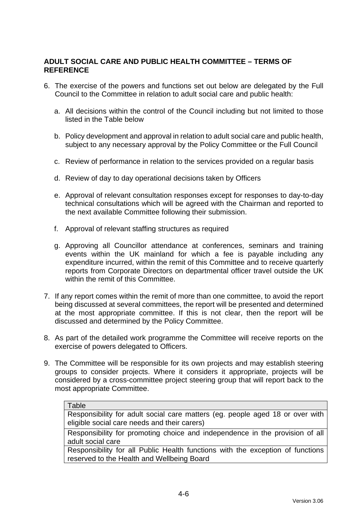# **ADULT SOCIAL CARE AND PUBLIC HEALTH COMMITTEE – TERMS OF REFERENCE**

- 6. The exercise of the powers and functions set out below are delegated by the Full Council to the Committee in relation to adult social care and public health:
	- a. All decisions within the control of the Council including but not limited to those listed in the Table below
	- b. Policy development and approval in relation to adult social care and public health, subject to any necessary approval by the Policy Committee or the Full Council
	- c. Review of performance in relation to the services provided on a regular basis
	- d. Review of day to day operational decisions taken by Officers
	- e. Approval of relevant consultation responses except for responses to day-to-day technical consultations which will be agreed with the Chairman and reported to the next available Committee following their submission.
	- f. Approval of relevant staffing structures as required
	- g. Approving all Councillor attendance at conferences, seminars and training events within the UK mainland for which a fee is payable including any expenditure incurred, within the remit of this Committee and to receive quarterly reports from Corporate Directors on departmental officer travel outside the UK within the remit of this Committee.
- 7. If any report comes within the remit of more than one committee, to avoid the report being discussed at several committees, the report will be presented and determined at the most appropriate committee. If this is not clear, then the report will be discussed and determined by the Policy Committee.
- 8. As part of the detailed work programme the Committee will receive reports on the exercise of powers delegated to Officers.
- 9. The Committee will be responsible for its own projects and may establish steering groups to consider projects. Where it considers it appropriate, projects will be considered by a cross-committee project steering group that will report back to the most appropriate Committee.

#### **Table**

Responsibility for adult social care matters (eg. people aged 18 or over with eligible social care needs and their carers)

Responsibility for promoting choice and independence in the provision of all adult social care

Responsibility for all Public Health functions with the exception of functions reserved to the Health and Wellbeing Board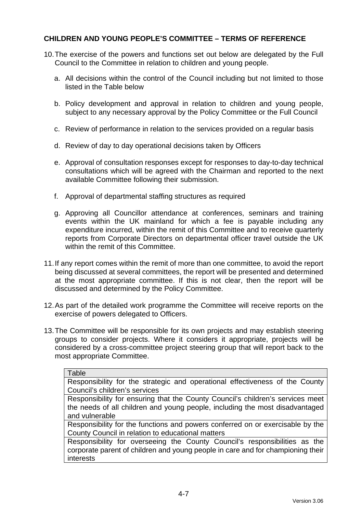# **CHILDREN AND YOUNG PEOPLE'S COMMITTEE – TERMS OF REFERENCE**

- 10.The exercise of the powers and functions set out below are delegated by the Full Council to the Committee in relation to children and young people.
	- a. All decisions within the control of the Council including but not limited to those listed in the Table below
	- b. Policy development and approval in relation to children and young people, subject to any necessary approval by the Policy Committee or the Full Council
	- c. Review of performance in relation to the services provided on a regular basis
	- d. Review of day to day operational decisions taken by Officers
	- e. Approval of consultation responses except for responses to day-to-day technical consultations which will be agreed with the Chairman and reported to the next available Committee following their submission.
	- f. Approval of departmental staffing structures as required
	- g. Approving all Councillor attendance at conferences, seminars and training events within the UK mainland for which a fee is payable including any expenditure incurred, within the remit of this Committee and to receive quarterly reports from Corporate Directors on departmental officer travel outside the UK within the remit of this Committee.
- 11.If any report comes within the remit of more than one committee, to avoid the report being discussed at several committees, the report will be presented and determined at the most appropriate committee. If this is not clear, then the report will be discussed and determined by the Policy Committee.
- 12.As part of the detailed work programme the Committee will receive reports on the exercise of powers delegated to Officers.
- 13.The Committee will be responsible for its own projects and may establish steering groups to consider projects. Where it considers it appropriate, projects will be considered by a cross-committee project steering group that will report back to the most appropriate Committee.

| Table                                                                           |
|---------------------------------------------------------------------------------|
| Responsibility for the strategic and operational effectiveness of the County    |
| Council's children's services                                                   |
| Responsibility for ensuring that the County Council's children's services meet  |
| the needs of all children and young people, including the most disadvantaged    |
| and vulnerable                                                                  |
| Responsibility for the functions and powers conferred on or exercisable by the  |
| County Council in relation to educational matters                               |
| Responsibility for overseeing the County Council's responsibilities as the      |
| corporate parent of children and young people in care and for championing their |
| interests                                                                       |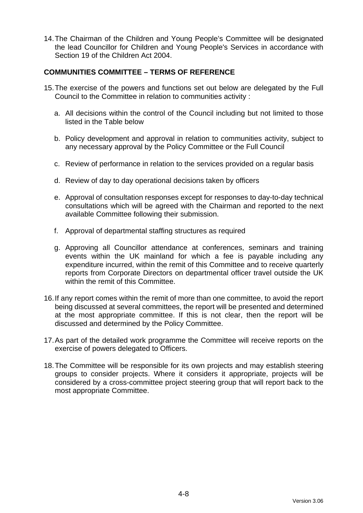14.The Chairman of the Children and Young People's Committee will be designated the lead Councillor for Children and Young People's Services in accordance with Section 19 of the Children Act 2004.

# **COMMUNITIES COMMITTEE – TERMS OF REFERENCE**

- 15.The exercise of the powers and functions set out below are delegated by the Full Council to the Committee in relation to communities activity :
	- a. All decisions within the control of the Council including but not limited to those listed in the Table below
	- b. Policy development and approval in relation to communities activity, subject to any necessary approval by the Policy Committee or the Full Council
	- c. Review of performance in relation to the services provided on a regular basis
	- d. Review of day to day operational decisions taken by officers
	- e. Approval of consultation responses except for responses to day-to-day technical consultations which will be agreed with the Chairman and reported to the next available Committee following their submission.
	- f. Approval of departmental staffing structures as required
	- g. Approving all Councillor attendance at conferences, seminars and training events within the UK mainland for which a fee is payable including any expenditure incurred, within the remit of this Committee and to receive quarterly reports from Corporate Directors on departmental officer travel outside the UK within the remit of this Committee.
- 16.If any report comes within the remit of more than one committee, to avoid the report being discussed at several committees, the report will be presented and determined at the most appropriate committee. If this is not clear, then the report will be discussed and determined by the Policy Committee.
- 17.As part of the detailed work programme the Committee will receive reports on the exercise of powers delegated to Officers.
- 18.The Committee will be responsible for its own projects and may establish steering groups to consider projects. Where it considers it appropriate, projects will be considered by a cross-committee project steering group that will report back to the most appropriate Committee.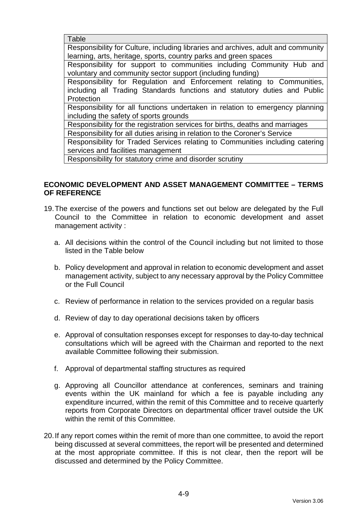Responsibility for Culture, including libraries and archives, adult and community learning, arts, heritage, sports, country parks and green spaces

Responsibility for support to communities including Community Hub and voluntary and community sector support (including funding)

Responsibility for Regulation and Enforcement relating to Communities, including all Trading Standards functions and statutory duties and Public **Protection** 

Responsibility for all functions undertaken in relation to emergency planning including the safety of sports grounds

Responsibility for the registration services for births, deaths and marriages Responsibility for all duties arising in relation to the Coroner's Service

Responsibility for Traded Services relating to Communities including catering services and facilities management

Responsibility for statutory crime and disorder scrutiny

# **ECONOMIC DEVELOPMENT AND ASSET MANAGEMENT COMMITTEE – TERMS OF REFERENCE**

- 19.The exercise of the powers and functions set out below are delegated by the Full Council to the Committee in relation to economic development and asset management activity :
	- a. All decisions within the control of the Council including but not limited to those listed in the Table below
	- b. Policy development and approval in relation to economic development and asset management activity, subject to any necessary approval by the Policy Committee or the Full Council
	- c. Review of performance in relation to the services provided on a regular basis
	- d. Review of day to day operational decisions taken by officers
	- e. Approval of consultation responses except for responses to day-to-day technical consultations which will be agreed with the Chairman and reported to the next available Committee following their submission.
	- f. Approval of departmental staffing structures as required
	- g. Approving all Councillor attendance at conferences, seminars and training events within the UK mainland for which a fee is payable including any expenditure incurred, within the remit of this Committee and to receive quarterly reports from Corporate Directors on departmental officer travel outside the UK within the remit of this Committee.
- 20.If any report comes within the remit of more than one committee, to avoid the report being discussed at several committees, the report will be presented and determined at the most appropriate committee. If this is not clear, then the report will be discussed and determined by the Policy Committee.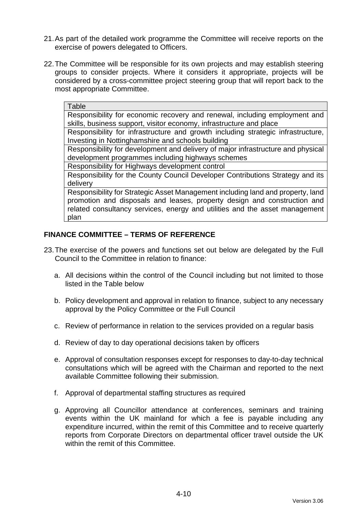- 21.As part of the detailed work programme the Committee will receive reports on the exercise of powers delegated to Officers.
- 22.The Committee will be responsible for its own projects and may establish steering groups to consider projects. Where it considers it appropriate, projects will be considered by a cross-committee project steering group that will report back to the most appropriate Committee.

Responsibility for economic recovery and renewal, including employment and skills, business support, visitor economy, infrastructure and place

Responsibility for infrastructure and growth including strategic infrastructure, Investing in Nottinghamshire and schools building

Responsibility for development and delivery of major infrastructure and physical development programmes including highways schemes

Responsibility for Highways development control

Responsibility for the County Council Developer Contributions Strategy and its delivery

Responsibility for Strategic Asset Management including land and property, land promotion and disposals and leases, property design and construction and related consultancy services, energy and utilities and the asset management plan

#### **FINANCE COMMITTEE – TERMS OF REFERENCE**

- 23.The exercise of the powers and functions set out below are delegated by the Full Council to the Committee in relation to finance:
	- a. All decisions within the control of the Council including but not limited to those listed in the Table below
	- b. Policy development and approval in relation to finance, subject to any necessary approval by the Policy Committee or the Full Council
	- c. Review of performance in relation to the services provided on a regular basis
	- d. Review of day to day operational decisions taken by officers
	- e. Approval of consultation responses except for responses to day-to-day technical consultations which will be agreed with the Chairman and reported to the next available Committee following their submission.
	- f. Approval of departmental staffing structures as required
	- g. Approving all Councillor attendance at conferences, seminars and training events within the UK mainland for which a fee is payable including any expenditure incurred, within the remit of this Committee and to receive quarterly reports from Corporate Directors on departmental officer travel outside the UK within the remit of this Committee.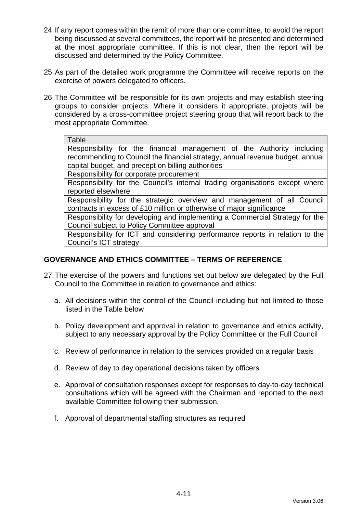- 24.If any report comes within the remit of more than one committee, to avoid the report being discussed at several committees, the report will be presented and determined at the most appropriate committee. If this is not clear, then the report will be discussed and determined by the Policy Committee.
- 25.As part of the detailed work programme the Committee will receive reports on the exercise of powers delegated to officers.
- 26.The Committee will be responsible for its own projects and may establish steering groups to consider projects. Where it considers it appropriate, projects will be considered by a cross-committee project steering group that will report back to the most appropriate Committee.

Responsibility for the financial management of the Authority including recommending to Council the financial strategy, annual revenue budget, annual capital budget, and precept on billing authorities

Responsibility for corporate procurement

Responsibility for the Council's internal trading organisations except where reported elsewhere

Responsibility for the strategic overview and management of all Council contracts in excess of £10 million or otherwise of major significance

Responsibility for developing and implementing a Commercial Strategy for the Council subject to Policy Committee approval

Responsibility for ICT and considering performance reports in relation to the Council's ICT strategy

#### **GOVERNANCE AND ETHICS COMMITTEE – TERMS OF REFERENCE**

- 27.The exercise of the powers and functions set out below are delegated by the Full Council to the Committee in relation to governance and ethics:
	- a. All decisions within the control of the Council including but not limited to those listed in the Table below
	- b. Policy development and approval in relation to governance and ethics activity, subject to any necessary approval by the Policy Committee or the Full Council
	- c. Review of performance in relation to the services provided on a regular basis
	- d. Review of day to day operational decisions taken by officers
	- e. Approval of consultation responses except for responses to day-to-day technical consultations which will be agreed with the Chairman and reported to the next available Committee following their submission.
	- f. Approval of departmental staffing structures as required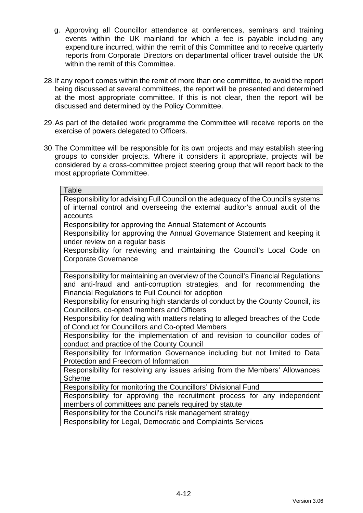- g. Approving all Councillor attendance at conferences, seminars and training events within the UK mainland for which a fee is payable including any expenditure incurred, within the remit of this Committee and to receive quarterly reports from Corporate Directors on departmental officer travel outside the UK within the remit of this Committee.
- 28.If any report comes within the remit of more than one committee, to avoid the report being discussed at several committees, the report will be presented and determined at the most appropriate committee. If this is not clear, then the report will be discussed and determined by the Policy Committee.
- 29.As part of the detailed work programme the Committee will receive reports on the exercise of powers delegated to Officers.
- 30.The Committee will be responsible for its own projects and may establish steering groups to consider projects. Where it considers it appropriate, projects will be considered by a cross-committee project steering group that will report back to the most appropriate Committee.

Responsibility for advising Full Council on the adequacy of the Council's systems of internal control and overseeing the external auditor's annual audit of the accounts

Responsibility for approving the Annual Statement of Accounts

Responsibility for approving the Annual Governance Statement and keeping it under review on a regular basis

Responsibility for reviewing and maintaining the Council's Local Code on Corporate Governance

Responsibility for maintaining an overview of the Council's Financial Regulations and anti-fraud and anti-corruption strategies, and for recommending the Financial Regulations to Full Council for adoption

Responsibility for ensuring high standards of conduct by the County Council, its Councillors, co-opted members and Officers

Responsibility for dealing with matters relating to alleged breaches of the Code of Conduct for Councillors and Co-opted Members

Responsibility for the implementation of and revision to councillor codes of conduct and practice of the County Council

Responsibility for Information Governance including but not limited to Data Protection and Freedom of Information

Responsibility for resolving any issues arising from the Members' Allowances Scheme

Responsibility for monitoring the Councillors' Divisional Fund

Responsibility for approving the recruitment process for any independent members of committees and panels required by statute

Responsibility for the Council's risk management strategy

Responsibility for Legal, Democratic and Complaints Services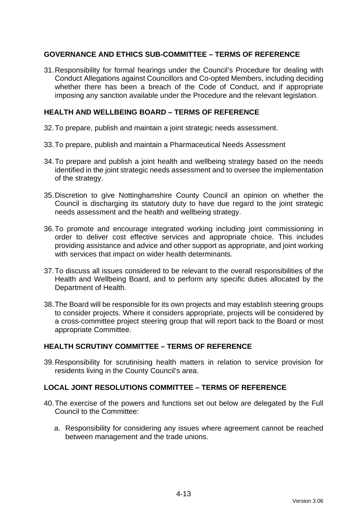# **GOVERNANCE AND ETHICS SUB-COMMITTEE – TERMS OF REFERENCE**

31.Responsibility for formal hearings under the Council's Procedure for dealing with Conduct Allegations against Councillors and Co-opted Members, including deciding whether there has been a breach of the Code of Conduct, and if appropriate imposing any sanction available under the Procedure and the relevant legislation.

#### **HEALTH AND WELLBEING BOARD – TERMS OF REFERENCE**

- 32.To prepare, publish and maintain a joint strategic needs assessment.
- 33.To prepare, publish and maintain a Pharmaceutical Needs Assessment
- 34.To prepare and publish a joint health and wellbeing strategy based on the needs identified in the joint strategic needs assessment and to oversee the implementation of the strategy.
- 35.Discretion to give Nottinghamshire County Council an opinion on whether the Council is discharging its statutory duty to have due regard to the joint strategic needs assessment and the health and wellbeing strategy.
- 36.To promote and encourage integrated working including joint commissioning in order to deliver cost effective services and appropriate choice. This includes providing assistance and advice and other support as appropriate, and joint working with services that impact on wider health determinants.
- 37.To discuss all issues considered to be relevant to the overall responsibilities of the Health and Wellbeing Board, and to perform any specific duties allocated by the Department of Health.
- 38.The Board will be responsible for its own projects and may establish steering groups to consider projects. Where it considers appropriate, projects will be considered by a cross-committee project steering group that will report back to the Board or most appropriate Committee.

#### **HEALTH SCRUTINY COMMITTEE – TERMS OF REFERENCE**

39.Responsibility for scrutinising health matters in relation to service provision for residents living in the County Council's area.

#### **LOCAL JOINT RESOLUTIONS COMMITTEE – TERMS OF REFERENCE**

- 40.The exercise of the powers and functions set out below are delegated by the Full Council to the Committee:
	- a. Responsibility for considering any issues where agreement cannot be reached between management and the trade unions.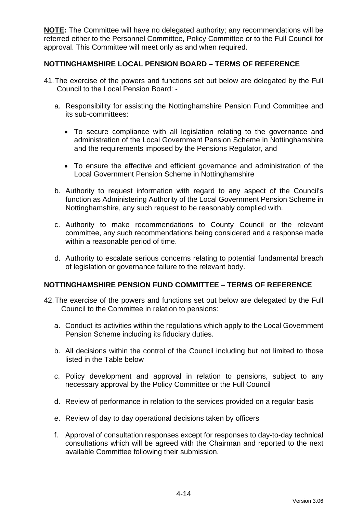**NOTE:** The Committee will have no delegated authority; any recommendations will be referred either to the Personnel Committee, Policy Committee or to the Full Council for approval. This Committee will meet only as and when required.

#### **NOTTINGHAMSHIRE LOCAL PENSION BOARD – TERMS OF REFERENCE**

- 41.The exercise of the powers and functions set out below are delegated by the Full Council to the Local Pension Board:
	- a. Responsibility for assisting the Nottinghamshire Pension Fund Committee and its sub-committees:
		- To secure compliance with all legislation relating to the governance and administration of the Local Government Pension Scheme in Nottinghamshire and the requirements imposed by the Pensions Regulator, and
		- To ensure the effective and efficient governance and administration of the Local Government Pension Scheme in Nottinghamshire
	- b. Authority to request information with regard to any aspect of the Council's function as Administering Authority of the Local Government Pension Scheme in Nottinghamshire, any such request to be reasonably complied with.
	- c. Authority to make recommendations to County Council or the relevant committee, any such recommendations being considered and a response made within a reasonable period of time.
	- d. Authority to escalate serious concerns relating to potential fundamental breach of legislation or governance failure to the relevant body.

#### **NOTTINGHAMSHIRE PENSION FUND COMMITTEE – TERMS OF REFERENCE**

- 42.The exercise of the powers and functions set out below are delegated by the Full Council to the Committee in relation to pensions:
	- a. Conduct its activities within the regulations which apply to the Local Government Pension Scheme including its fiduciary duties.
	- b. All decisions within the control of the Council including but not limited to those listed in the Table below
	- c. Policy development and approval in relation to pensions, subject to any necessary approval by the Policy Committee or the Full Council
	- d. Review of performance in relation to the services provided on a regular basis
	- e. Review of day to day operational decisions taken by officers
	- f. Approval of consultation responses except for responses to day-to-day technical consultations which will be agreed with the Chairman and reported to the next available Committee following their submission.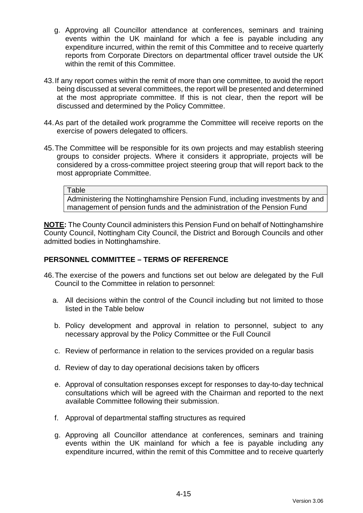- g. Approving all Councillor attendance at conferences, seminars and training events within the UK mainland for which a fee is payable including any expenditure incurred, within the remit of this Committee and to receive quarterly reports from Corporate Directors on departmental officer travel outside the UK within the remit of this Committee.
- 43.If any report comes within the remit of more than one committee, to avoid the report being discussed at several committees, the report will be presented and determined at the most appropriate committee. If this is not clear, then the report will be discussed and determined by the Policy Committee.
- 44.As part of the detailed work programme the Committee will receive reports on the exercise of powers delegated to officers.
- 45.The Committee will be responsible for its own projects and may establish steering groups to consider projects. Where it considers it appropriate, projects will be considered by a cross-committee project steering group that will report back to the most appropriate Committee.

Administering the Nottinghamshire Pension Fund, including investments by and management of pension funds and the administration of the Pension Fund

**NOTE:** The County Council administers this Pension Fund on behalf of Nottinghamshire County Council, Nottingham City Council, the District and Borough Councils and other admitted bodies in Nottinghamshire.

#### **PERSONNEL COMMITTEE – TERMS OF REFERENCE**

- 46.The exercise of the powers and functions set out below are delegated by the Full Council to the Committee in relation to personnel:
	- a. All decisions within the control of the Council including but not limited to those listed in the Table below
	- b. Policy development and approval in relation to personnel, subject to any necessary approval by the Policy Committee or the Full Council
	- c. Review of performance in relation to the services provided on a regular basis
	- d. Review of day to day operational decisions taken by officers
	- e. Approval of consultation responses except for responses to day-to-day technical consultations which will be agreed with the Chairman and reported to the next available Committee following their submission.
	- f. Approval of departmental staffing structures as required
	- g. Approving all Councillor attendance at conferences, seminars and training events within the UK mainland for which a fee is payable including any expenditure incurred, within the remit of this Committee and to receive quarterly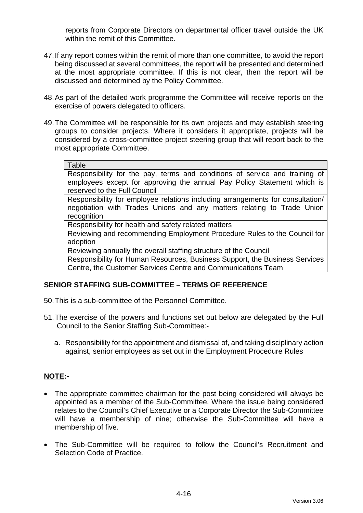reports from Corporate Directors on departmental officer travel outside the UK within the remit of this Committee.

- 47.If any report comes within the remit of more than one committee, to avoid the report being discussed at several committees, the report will be presented and determined at the most appropriate committee. If this is not clear, then the report will be discussed and determined by the Policy Committee.
- 48.As part of the detailed work programme the Committee will receive reports on the exercise of powers delegated to officers.
- 49.The Committee will be responsible for its own projects and may establish steering groups to consider projects. Where it considers it appropriate, projects will be considered by a cross-committee project steering group that will report back to the most appropriate Committee.

**Table** 

Responsibility for the pay, terms and conditions of service and training of employees except for approving the annual Pay Policy Statement which is reserved to the Full Council

Responsibility for employee relations including arrangements for consultation/ negotiation with Trades Unions and any matters relating to Trade Union recognition

Responsibility for health and safety related matters

Reviewing and recommending Employment Procedure Rules to the Council for adoption

Reviewing annually the overall staffing structure of the Council

Responsibility for Human Resources, Business Support, the Business Services Centre, the Customer Services Centre and Communications Team

# **SENIOR STAFFING SUB-COMMITTEE – TERMS OF REFERENCE**

- 50.This is a sub-committee of the Personnel Committee.
- 51.The exercise of the powers and functions set out below are delegated by the Full Council to the Senior Staffing Sub-Committee:
	- a. Responsibility for the appointment and dismissal of, and taking disciplinary action against, senior employees as set out in the Employment Procedure Rules

# **NOTE:-**

- The appropriate committee chairman for the post being considered will always be appointed as a member of the Sub-Committee. Where the issue being considered relates to the Council's Chief Executive or a Corporate Director the Sub-Committee will have a membership of nine; otherwise the Sub-Committee will have a membership of five.
- The Sub-Committee will be required to follow the Council's Recruitment and Selection Code of Practice.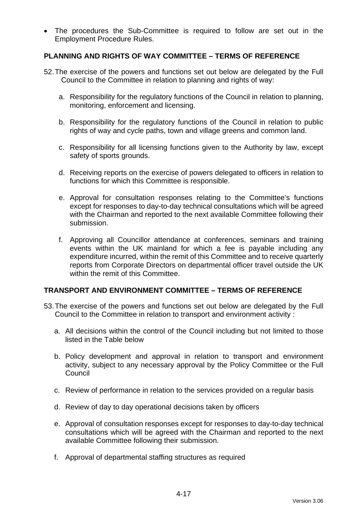• The procedures the Sub-Committee is required to follow are set out in the Employment Procedure Rules.

## **PLANNING AND RIGHTS OF WAY COMMITTEE – TERMS OF REFERENCE**

- 52.The exercise of the powers and functions set out below are delegated by the Full Council to the Committee in relation to planning and rights of way:
	- a. Responsibility for the regulatory functions of the Council in relation to planning, monitoring, enforcement and licensing.
	- b. Responsibility for the regulatory functions of the Council in relation to public rights of way and cycle paths, town and village greens and common land.
	- c. Responsibility for all licensing functions given to the Authority by law, except safety of sports grounds.
	- d. Receiving reports on the exercise of powers delegated to officers in relation to functions for which this Committee is responsible.
	- e. Approval for consultation responses relating to the Committee's functions except for responses to day-to-day technical consultations which will be agreed with the Chairman and reported to the next available Committee following their submission.
	- f. Approving all Councillor attendance at conferences, seminars and training events within the UK mainland for which a fee is payable including any expenditure incurred, within the remit of this Committee and to receive quarterly reports from Corporate Directors on departmental officer travel outside the UK within the remit of this Committee.

## **TRANSPORT AND ENVIRONMENT COMMITTEE – TERMS OF REFERENCE**

- 53.The exercise of the powers and functions set out below are delegated by the Full Council to the Committee in relation to transport and environment activity :
	- a. All decisions within the control of the Council including but not limited to those listed in the Table below
	- b. Policy development and approval in relation to transport and environment activity, subject to any necessary approval by the Policy Committee or the Full **Council**
	- c. Review of performance in relation to the services provided on a regular basis
	- d. Review of day to day operational decisions taken by officers
	- e. Approval of consultation responses except for responses to day-to-day technical consultations which will be agreed with the Chairman and reported to the next available Committee following their submission.
	- f. Approval of departmental staffing structures as required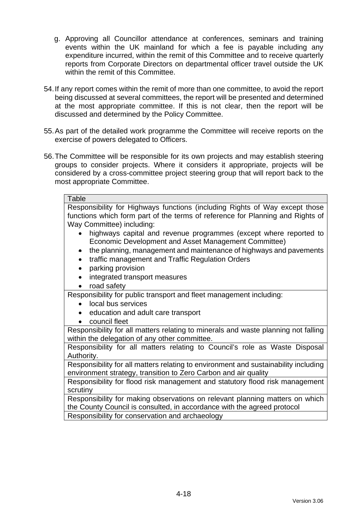- g. Approving all Councillor attendance at conferences, seminars and training events within the UK mainland for which a fee is payable including any expenditure incurred, within the remit of this Committee and to receive quarterly reports from Corporate Directors on departmental officer travel outside the UK within the remit of this Committee.
- 54.If any report comes within the remit of more than one committee, to avoid the report being discussed at several committees, the report will be presented and determined at the most appropriate committee. If this is not clear, then the report will be discussed and determined by the Policy Committee.
- 55.As part of the detailed work programme the Committee will receive reports on the exercise of powers delegated to Officers.
- 56.The Committee will be responsible for its own projects and may establish steering groups to consider projects. Where it considers it appropriate, projects will be considered by a cross-committee project steering group that will report back to the most appropriate Committee.

#### **Table**

Responsibility for Highways functions (including Rights of Way except those functions which form part of the terms of reference for Planning and Rights of Way Committee) including:

- highways capital and revenue programmes (except where reported to Economic Development and Asset Management Committee)
- the planning, management and maintenance of highways and pavements
- traffic management and Traffic Regulation Orders
- parking provision
- integrated transport measures
- road safety

Responsibility for public transport and fleet management including:

- local bus services
- education and adult care transport
- council fleet

Responsibility for all matters relating to minerals and waste planning not falling within the delegation of any other committee.

Responsibility for all matters relating to Council's role as Waste Disposal Authority.

Responsibility for all matters relating to environment and sustainability including environment strategy, transition to Zero Carbon and air quality

Responsibility for flood risk management and statutory flood risk management scrutiny

Responsibility for making observations on relevant planning matters on which the County Council is consulted, in accordance with the agreed protocol Responsibility for conservation and archaeology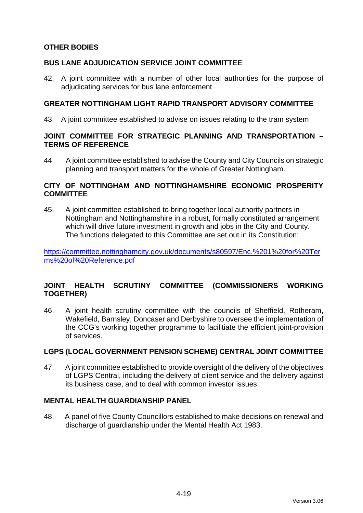# **OTHER BODIES**

# **BUS LANE ADJUDICATION SERVICE JOINT COMMITTEE**

42. A joint committee with a number of other local authorities for the purpose of adjudicating services for bus lane enforcement

# **GREATER NOTTINGHAM LIGHT RAPID TRANSPORT ADVISORY COMMITTEE**

43. A joint committee established to advise on issues relating to the tram system

## **JOINT COMMITTEE FOR STRATEGIC PLANNING AND TRANSPORTATION – TERMS OF REFERENCE**

44. A joint committee established to advise the County and City Councils on strategic planning and transport matters for the whole of Greater Nottingham.

## **CITY OF NOTTINGHAM AND NOTTINGHAMSHIRE ECONOMIC PROSPERITY COMMITTEE**

45. A joint committee established to bring together local authority partners in Nottingham and Nottinghamshire in a robust, formally constituted arrangement which will drive future investment in growth and jobs in the City and County. The functions delegated to this Committee are set out in its Constitution:

[https://committee.nottinghamcity.gov.uk/documents/s80597/Enc.%201%20for%20Ter](https://committee.nottinghamcity.gov.uk/documents/s80597/Enc.%201%20for%20Terms%20of%20Reference.pdf) [ms%20of%20Reference.pdf](https://committee.nottinghamcity.gov.uk/documents/s80597/Enc.%201%20for%20Terms%20of%20Reference.pdf)

## **JOINT HEALTH SCRUTINY COMMITTEE (COMMISSIONERS WORKING TOGETHER)**

46. A joint health scrutiny committee with the councils of Sheffield, Rotheram, Wakefield, Barnsley, Doncaser and Derbyshire to oversee the implementation of the CCG's working together programme to facilitiate the efficient joint-provision of services.

## **LGPS (LOCAL GOVERNMENT PENSION SCHEME) CENTRAL JOINT COMMITTEE**

47. A joint committee established to provide oversight of the delivery of the objectives of LGPS Central, including the delivery of client service and the delivery against its business case, and to deal with common investor issues.

## **MENTAL HEALTH GUARDIANSHIP PANEL**

48. A panel of five County Councillors established to make decisions on renewal and discharge of guardianship under the Mental Health Act 1983.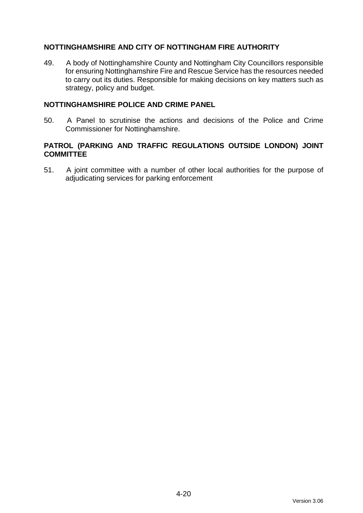# **NOTTINGHAMSHIRE AND CITY OF NOTTINGHAM FIRE AUTHORITY**

49. A body of Nottinghamshire County and Nottingham City Councillors responsible for ensuring Nottinghamshire Fire and Rescue Service has the resources needed to carry out its duties. Responsible for making decisions on key matters such as strategy, policy and budget.

#### **NOTTINGHAMSHIRE POLICE AND CRIME PANEL**

50. A Panel to scrutinise the actions and decisions of the Police and Crime Commissioner for Nottinghamshire.

## **PATROL (PARKING AND TRAFFIC REGULATIONS OUTSIDE LONDON) JOINT COMMITTEE**

51. A joint committee with a number of other local authorities for the purpose of adjudicating services for parking enforcement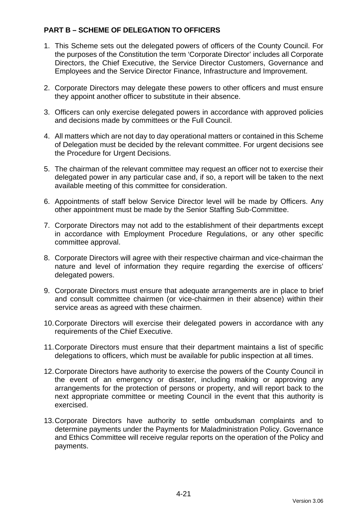# **PART B – SCHEME OF DELEGATION TO OFFICERS**

- 1. This Scheme sets out the delegated powers of officers of the County Council. For the purposes of the Constitution the term 'Corporate Director' includes all Corporate Directors, the Chief Executive, the Service Director Customers, Governance and Employees and the Service Director Finance, Infrastructure and Improvement.
- 2. Corporate Directors may delegate these powers to other officers and must ensure they appoint another officer to substitute in their absence.
- 3. Officers can only exercise delegated powers in accordance with approved policies and decisions made by committees or the Full Council.
- 4. All matters which are not day to day operational matters or contained in this Scheme of Delegation must be decided by the relevant committee. For urgent decisions see the Procedure for Urgent Decisions.
- 5. The chairman of the relevant committee may request an officer not to exercise their delegated power in any particular case and, if so, a report will be taken to the next available meeting of this committee for consideration.
- 6. Appointments of staff below Service Director level will be made by Officers. Any other appointment must be made by the Senior Staffing Sub-Committee.
- 7. Corporate Directors may not add to the establishment of their departments except in accordance with Employment Procedure Regulations, or any other specific committee approval.
- 8. Corporate Directors will agree with their respective chairman and vice-chairman the nature and level of information they require regarding the exercise of officers' delegated powers.
- 9. Corporate Directors must ensure that adequate arrangements are in place to brief and consult committee chairmen (or vice-chairmen in their absence) within their service areas as agreed with these chairmen.
- 10.Corporate Directors will exercise their delegated powers in accordance with any requirements of the Chief Executive.
- 11.Corporate Directors must ensure that their department maintains a list of specific delegations to officers, which must be available for public inspection at all times.
- 12.Corporate Directors have authority to exercise the powers of the County Council in the event of an emergency or disaster, including making or approving any arrangements for the protection of persons or property, and will report back to the next appropriate committee or meeting Council in the event that this authority is exercised.
- 13.Corporate Directors have authority to settle ombudsman complaints and to determine payments under the Payments for Maladministration Policy. Governance and Ethics Committee will receive regular reports on the operation of the Policy and payments.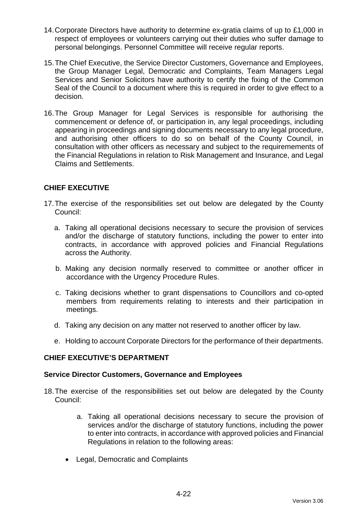- 14.Corporate Directors have authority to determine ex-gratia claims of up to £1,000 in respect of employees or volunteers carrying out their duties who suffer damage to personal belongings. Personnel Committee will receive regular reports.
- 15.The Chief Executive, the Service Director Customers, Governance and Employees, the Group Manager Legal, Democratic and Complaints, Team Managers Legal Services and Senior Solicitors have authority to certify the fixing of the Common Seal of the Council to a document where this is required in order to give effect to a decision.
- 16.The Group Manager for Legal Services is responsible for authorising the commencement or defence of, or participation in, any legal proceedings, including appearing in proceedings and signing documents necessary to any legal procedure, and authorising other officers to do so on behalf of the County Council, in consultation with other officers as necessary and subject to the requiremements of the Financial Regulations in relation to Risk Management and Insurance, and Legal Claims and Settlements.

# **CHIEF EXECUTIVE**

- 17.The exercise of the responsibilities set out below are delegated by the County Council:
	- a. Taking all operational decisions necessary to secure the provision of services and/or the discharge of statutory functions, including the power to enter into contracts, in accordance with approved policies and Financial Regulations across the Authority.
	- b. Making any decision normally reserved to committee or another officer in accordance with the Urgency Procedure Rules.
	- c. Taking decisions whether to grant dispensations to Councillors and co-opted members from requirements relating to interests and their participation in meetings.
	- d. Taking any decision on any matter not reserved to another officer by law.
	- e. Holding to account Corporate Directors for the performance of their departments.

## **CHIEF EXECUTIVE'S DEPARTMENT**

#### **Service Director Customers, Governance and Employees**

- 18.The exercise of the responsibilities set out below are delegated by the County Council:
	- a. Taking all operational decisions necessary to secure the provision of services and/or the discharge of statutory functions, including the power to enter into contracts, in accordance with approved policies and Financial Regulations in relation to the following areas:
	- Legal, Democratic and Complaints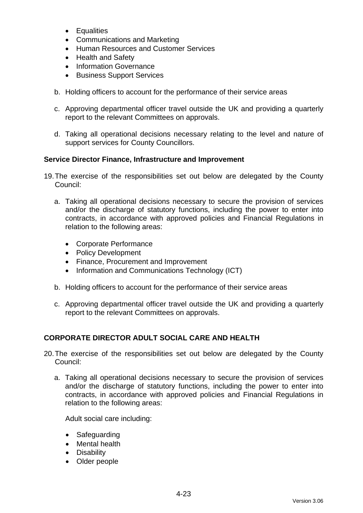- Equalities
- Communications and Marketing
- Human Resources and Customer Services
- Health and Safety
- Information Governance
- Business Support Services
- b. Holding officers to account for the performance of their service areas
- c. Approving departmental officer travel outside the UK and providing a quarterly report to the relevant Committees on approvals.
- d. Taking all operational decisions necessary relating to the level and nature of support services for County Councillors.

## **Service Director Finance, Infrastructure and Improvement**

- 19.The exercise of the responsibilities set out below are delegated by the County Council:
	- a. Taking all operational decisions necessary to secure the provision of services and/or the discharge of statutory functions, including the power to enter into contracts, in accordance with approved policies and Financial Regulations in relation to the following areas:
		- Corporate Performance
		- Policy Development
		- Finance, Procurement and Improvement
		- Information and Communications Technology (ICT)
	- b. Holding officers to account for the performance of their service areas
	- c. Approving departmental officer travel outside the UK and providing a quarterly report to the relevant Committees on approvals.

## **CORPORATE DIRECTOR ADULT SOCIAL CARE AND HEALTH**

- 20.The exercise of the responsibilities set out below are delegated by the County Council:
	- a. Taking all operational decisions necessary to secure the provision of services and/or the discharge of statutory functions, including the power to enter into contracts, in accordance with approved policies and Financial Regulations in relation to the following areas:

Adult social care including:

- Safeguarding
- Mental health
- Disability
- Older people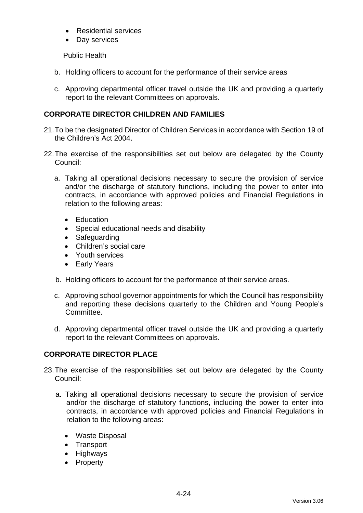- Residential services
- Day services

Public Health

- b. Holding officers to account for the performance of their service areas
- c. Approving departmental officer travel outside the UK and providing a quarterly report to the relevant Committees on approvals.

# **CORPORATE DIRECTOR CHILDREN AND FAMILIES**

- 21.To be the designated Director of Children Services in accordance with Section 19 of the Children's Act 2004.
- 22.The exercise of the responsibilities set out below are delegated by the County Council:
	- a. Taking all operational decisions necessary to secure the provision of service and/or the discharge of statutory functions, including the power to enter into contracts, in accordance with approved policies and Financial Regulations in relation to the following areas:
		- Education
		- Special educational needs and disability
		- Safeguarding
		- Children's social care
		- Youth services
		- Early Years
	- b. Holding officers to account for the performance of their service areas.
	- c. Approving school governor appointments for which the Council has responsibility and reporting these decisions quarterly to the Children and Young People's Committee.
	- d. Approving departmental officer travel outside the UK and providing a quarterly report to the relevant Committees on approvals.

# **CORPORATE DIRECTOR PLACE**

- 23.The exercise of the responsibilities set out below are delegated by the County Council:
	- a. Taking all operational decisions necessary to secure the provision of service and/or the discharge of statutory functions, including the power to enter into contracts, in accordance with approved policies and Financial Regulations in relation to the following areas:
		- Waste Disposal
		- Transport
		- Highways
		- Property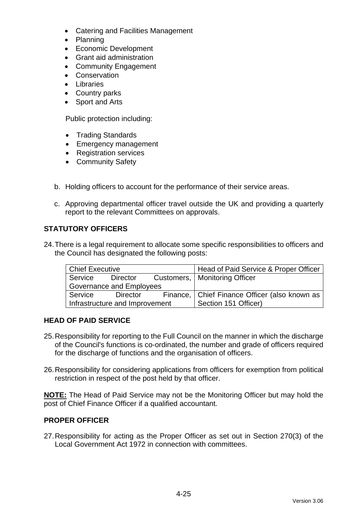- Catering and Facilities Management
- Planning
- Economic Development
- Grant aid administration
- Community Engagement
- Conservation
- Libraries
- Country parks
- Sport and Arts

Public protection including:

- Trading Standards
- Emergency management
- Registration services
- Community Safety
- b. Holding officers to account for the performance of their service areas.
- c. Approving departmental officer travel outside the UK and providing a quarterly report to the relevant Committees on approvals.

# **STATUTORY OFFICERS**

24.There is a legal requirement to allocate some specific responsibilities to officers and the Council has designated the following posts:

| Chief Executive                 |          |  | Head of Paid Service & Proper Officer           |
|---------------------------------|----------|--|-------------------------------------------------|
| Service                         | Director |  | Customers,   Monitoring Officer                 |
| <b>Governance and Employees</b> |          |  |                                                 |
| Service                         | Director |  | Finance,   Chief Finance Officer (also known as |
| Infrastructure and Improvement  |          |  | Section 151 Officer)                            |

# **HEAD OF PAID SERVICE**

- 25.Responsibility for reporting to the Full Council on the manner in which the discharge of the Council's functions is co-ordinated, the number and grade of officers required for the discharge of functions and the organisation of officers.
- 26.Responsibility for considering applications from officers for exemption from political restriction in respect of the post held by that officer.

**NOTE:** The Head of Paid Service may not be the Monitoring Officer but may hold the post of Chief Finance Officer if a qualified accountant.

## **PROPER OFFICER**

27.Responsibility for acting as the Proper Officer as set out in Section 270(3) of the Local Government Act 1972 in connection with committees.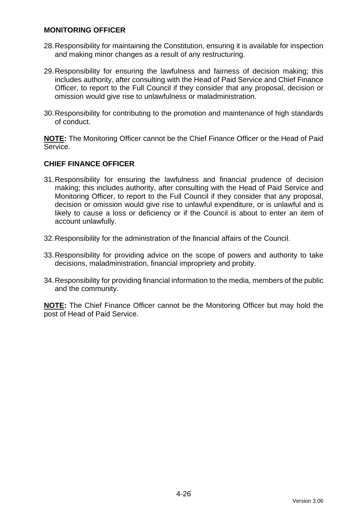#### **MONITORING OFFICER**

- 28.Responsibility for maintaining the Constitution, ensuring it is available for inspection and making minor changes as a result of any restructuring.
- 29.Responsibility for ensuring the lawfulness and fairness of decision making; this includes authority, after consulting with the Head of Paid Service and Chief Finance Officer, to report to the Full Council if they consider that any proposal, decision or omission would give rise to unlawfulness or maladministration.
- 30.Responsibility for contributing to the promotion and maintenance of high standards of conduct.

**NOTE:** The Monitoring Officer cannot be the Chief Finance Officer or the Head of Paid Service.

## **CHIEF FINANCE OFFICER**

- 31.Responsibility for ensuring the lawfulness and financial prudence of decision making; this includes authority, after consulting with the Head of Paid Service and Monitoring Officer, to report to the Full Council if they consider that any proposal, decision or omission would give rise to unlawful expenditure, or is unlawful and is likely to cause a loss or deficiency or if the Council is about to enter an item of account unlawfully.
- 32.Responsibility for the administration of the financial affairs of the Council.
- 33.Responsibility for providing advice on the scope of powers and authority to take decisions, maladministration, financial impropriety and probity.
- 34.Responsibility for providing financial information to the media, members of the public and the community.

**NOTE:** The Chief Finance Officer cannot be the Monitoring Officer but may hold the post of Head of Paid Service.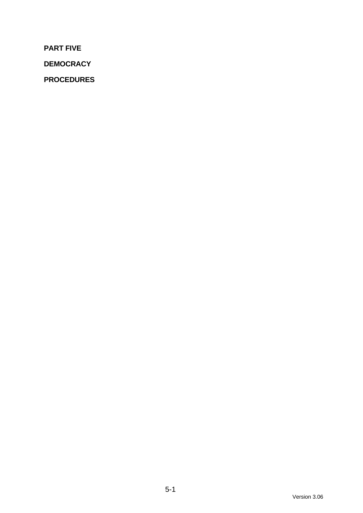**PART FIVE**

**DEMOCRACY**

**PROCEDURES**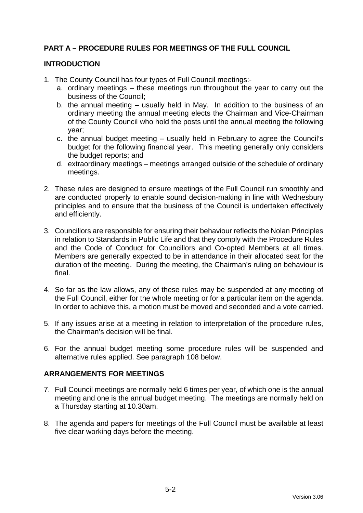# **PART A – PROCEDURE RULES FOR MEETINGS OF THE FULL COUNCIL**

## **INTRODUCTION**

- 1. The County Council has four types of Full Council meetings:
	- a. ordinary meetings these meetings run throughout the year to carry out the business of the Council;
	- b. the annual meeting usually held in May. In addition to the business of an ordinary meeting the annual meeting elects the Chairman and Vice-Chairman of the County Council who hold the posts until the annual meeting the following year;
	- c. the annual budget meeting usually held in February to agree the Council's budget for the following financial year. This meeting generally only considers the budget reports; and
	- d. extraordinary meetings meetings arranged outside of the schedule of ordinary meetings.
- 2. These rules are designed to ensure meetings of the Full Council run smoothly and are conducted properly to enable sound decision-making in line with Wednesbury principles and to ensure that the business of the Council is undertaken effectively and efficiently.
- 3. Councillors are responsible for ensuring their behaviour reflects the Nolan Principles in relation to Standards in Public Life and that they comply with the Procedure Rules and the Code of Conduct for Councillors and Co-opted Members at all times. Members are generally expected to be in attendance in their allocated seat for the duration of the meeting. During the meeting, the Chairman's ruling on behaviour is final.
- 4. So far as the law allows, any of these rules may be suspended at any meeting of the Full Council, either for the whole meeting or for a particular item on the agenda. In order to achieve this, a motion must be moved and seconded and a vote carried.
- 5. If any issues arise at a meeting in relation to interpretation of the procedure rules, the Chairman's decision will be final.
- 6. For the annual budget meeting some procedure rules will be suspended and alternative rules applied. See paragraph 108 below.

## **ARRANGEMENTS FOR MEETINGS**

- 7. Full Council meetings are normally held 6 times per year, of which one is the annual meeting and one is the annual budget meeting. The meetings are normally held on a Thursday starting at 10.30am.
- 8. The agenda and papers for meetings of the Full Council must be available at least five clear working days before the meeting.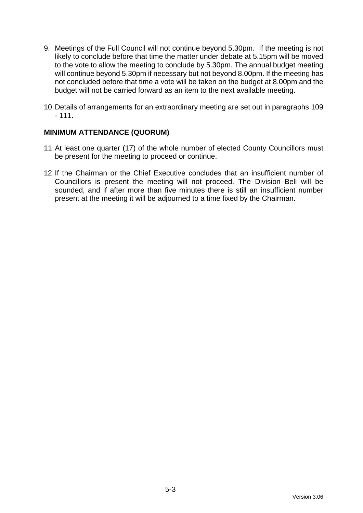- 9. Meetings of the Full Council will not continue beyond 5.30pm. If the meeting is not likely to conclude before that time the matter under debate at 5.15pm will be moved to the vote to allow the meeting to conclude by 5.30pm. The annual budget meeting will continue beyond 5.30pm if necessary but not beyond 8.00pm. If the meeting has not concluded before that time a vote will be taken on the budget at 8.00pm and the budget will not be carried forward as an item to the next available meeting.
- 10.Details of arrangements for an extraordinary meeting are set out in paragraphs 109  $-111.$

## **MINIMUM ATTENDANCE (QUORUM)**

- 11.At least one quarter (17) of the whole number of elected County Councillors must be present for the meeting to proceed or continue.
- 12.If the Chairman or the Chief Executive concludes that an insufficient number of Councillors is present the meeting will not proceed. The Division Bell will be sounded, and if after more than five minutes there is still an insufficient number present at the meeting it will be adjourned to a time fixed by the Chairman.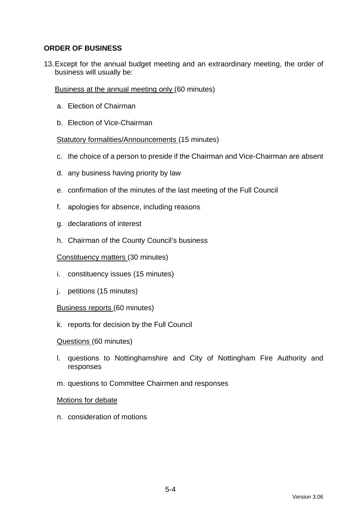# **ORDER OF BUSINESS**

13.Except for the annual budget meeting and an extraordinary meeting, the order of business will usually be:

Business at the annual meeting only (60 minutes)

- a. Election of Chairman
- b. Election of Vice-Chairman

## Statutory formalities/Announcements (15 minutes)

- c. the choice of a person to preside if the Chairman and Vice-Chairman are absent
- d. any business having priority by law
- e. confirmation of the minutes of the last meeting of the Full Council
- f. apologies for absence, including reasons
- g. declarations of interest
- h. Chairman of the County Council's business

Constituency matters (30 minutes)

- i. constituency issues (15 minutes)
- j. petitions (15 minutes)
- Business reports (60 minutes)
- k. reports for decision by the Full Council

Questions (60 minutes)

- l. questions to Nottinghamshire and City of Nottingham Fire Authority and responses
- m. questions to Committee Chairmen and responses

#### Motions for debate

n. consideration of motions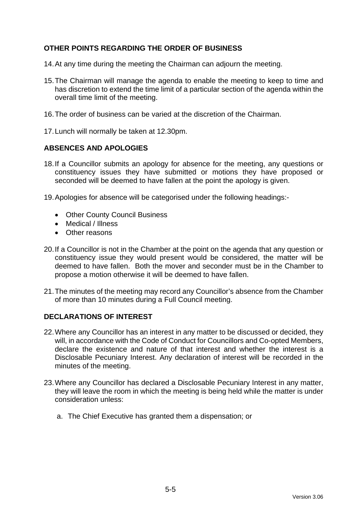# **OTHER POINTS REGARDING THE ORDER OF BUSINESS**

- 14.At any time during the meeting the Chairman can adjourn the meeting.
- 15.The Chairman will manage the agenda to enable the meeting to keep to time and has discretion to extend the time limit of a particular section of the agenda within the overall time limit of the meeting.
- 16.The order of business can be varied at the discretion of the Chairman.
- 17.Lunch will normally be taken at 12.30pm.

## **ABSENCES AND APOLOGIES**

- 18.If a Councillor submits an apology for absence for the meeting, any questions or constituency issues they have submitted or motions they have proposed or seconded will be deemed to have fallen at the point the apology is given.
- 19.Apologies for absence will be categorised under the following headings:-
	- Other County Council Business
	- Medical / Illness
	- Other reasons
- 20.If a Councillor is not in the Chamber at the point on the agenda that any question or constituency issue they would present would be considered, the matter will be deemed to have fallen. Both the mover and seconder must be in the Chamber to propose a motion otherwise it will be deemed to have fallen.
- 21.The minutes of the meeting may record any Councillor's absence from the Chamber of more than 10 minutes during a Full Council meeting.

## **DECLARATIONS OF INTEREST**

- 22.Where any Councillor has an interest in any matter to be discussed or decided, they will, in accordance with the Code of Conduct for Councillors and Co-opted Members, declare the existence and nature of that interest and whether the interest is a Disclosable Pecuniary Interest. Any declaration of interest will be recorded in the minutes of the meeting.
- 23.Where any Councillor has declared a Disclosable Pecuniary Interest in any matter, they will leave the room in which the meeting is being held while the matter is under consideration unless:
	- a. The Chief Executive has granted them a dispensation; or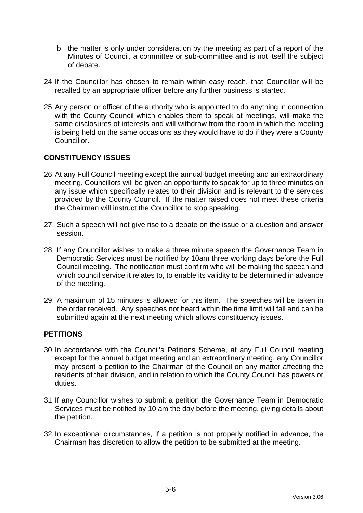- b. the matter is only under consideration by the meeting as part of a report of the Minutes of Council, a committee or sub-committee and is not itself the subject of debate.
- 24.If the Councillor has chosen to remain within easy reach, that Councillor will be recalled by an appropriate officer before any further business is started.
- 25.Any person or officer of the authority who is appointed to do anything in connection with the County Council which enables them to speak at meetings, will make the same disclosures of interests and will withdraw from the room in which the meeting is being held on the same occasions as they would have to do if they were a County Councillor.

## **CONSTITUENCY ISSUES**

- 26.At any Full Council meeting except the annual budget meeting and an extraordinary meeting, Councillors will be given an opportunity to speak for up to three minutes on any issue which specifically relates to their division and is relevant to the services provided by the County Council. If the matter raised does not meet these criteria the Chairman will instruct the Councillor to stop speaking.
- 27. Such a speech will not give rise to a debate on the issue or a question and answer session.
- 28. If any Councillor wishes to make a three minute speech the Governance Team in Democratic Services must be notified by 10am three working days before the Full Council meeting. The notification must confirm who will be making the speech and which council service it relates to, to enable its validity to be determined in advance of the meeting.
- 29. A maximum of 15 minutes is allowed for this item. The speeches will be taken in the order received. Any speeches not heard within the time limit will fall and can be submitted again at the next meeting which allows constituency issues.

## **PETITIONS**

- 30.In accordance with the Council's Petitions Scheme, at any Full Council meeting except for the annual budget meeting and an extraordinary meeting, any Councillor may present a petition to the Chairman of the Council on any matter affecting the residents of their division, and in relation to which the County Council has powers or duties.
- 31.If any Councillor wishes to submit a petition the Governance Team in Democratic Services must be notified by 10 am the day before the meeting, giving details about the petition.
- 32.In exceptional circumstances, if a petition is not properly notified in advance, the Chairman has discretion to allow the petition to be submitted at the meeting.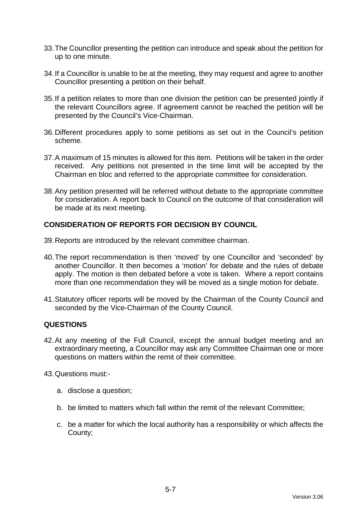- 33.The Councillor presenting the petition can introduce and speak about the petition for up to one minute.
- 34.If a Councillor is unable to be at the meeting, they may request and agree to another Councillor presenting a petition on their behalf.
- 35.If a petition relates to more than one division the petition can be presented jointly if the relevant Councillors agree. If agreement cannot be reached the petition will be presented by the Council's Vice-Chairman.
- 36.Different procedures apply to some petitions as set out in the Council's petition scheme.
- 37.A maximum of 15 minutes is allowed for this item. Petitions will be taken in the order received. Any petitions not presented in the time limit will be accepted by the Chairman en bloc and referred to the appropriate committee for consideration.
- 38.Any petition presented will be referred without debate to the appropriate committee for consideration. A report back to Council on the outcome of that consideration will be made at its next meeting.

## **CONSIDERATION OF REPORTS FOR DECISION BY COUNCIL**

- 39.Reports are introduced by the relevant committee chairman.
- 40.The report recommendation is then 'moved' by one Councillor and 'seconded' by another Councillor. It then becomes a 'motion' for debate and the rules of debate apply. The motion is then debated before a vote is taken. Where a report contains more than one recommendation they will be moved as a single motion for debate.
- 41.Statutory officer reports will be moved by the Chairman of the County Council and seconded by the Vice-Chairman of the County Council.

## **QUESTIONS**

- 42.At any meeting of the Full Council, except the annual budget meeting and an extraordinary meeting, a Councillor may ask any Committee Chairman one or more questions on matters within the remit of their committee.
- 43.Questions must:
	- a. disclose a question;
	- b. be limited to matters which fall within the remit of the relevant Committee;
	- c. be a matter for which the local authority has a responsibility or which affects the County;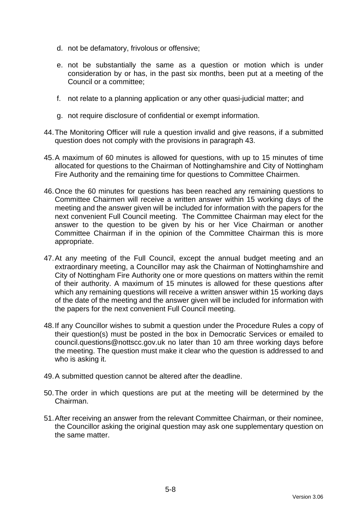- d. not be defamatory, frivolous or offensive;
- e. not be substantially the same as a question or motion which is under consideration by or has, in the past six months, been put at a meeting of the Council or a committee;
- f. not relate to a planning application or any other quasi-judicial matter; and
- g. not require disclosure of confidential or exempt information.
- 44.The Monitoring Officer will rule a question invalid and give reasons, if a submitted question does not comply with the provisions in paragraph 43.
- 45.A maximum of 60 minutes is allowed for questions, with up to 15 minutes of time allocated for questions to the Chairman of Nottinghamshire and City of Nottingham Fire Authority and the remaining time for questions to Committee Chairmen.
- 46.Once the 60 minutes for questions has been reached any remaining questions to Committee Chairmen will receive a written answer within 15 working days of the meeting and the answer given will be included for information with the papers for the next convenient Full Council meeting. The Committee Chairman may elect for the answer to the question to be given by his or her Vice Chairman or another Committee Chairman if in the opinion of the Committee Chairman this is more appropriate.
- 47.At any meeting of the Full Council, except the annual budget meeting and an extraordinary meeting, a Councillor may ask the Chairman of Nottinghamshire and City of Nottingham Fire Authority one or more questions on matters within the remit of their authority. A maximum of 15 minutes is allowed for these questions after which any remaining questions will receive a written answer within 15 working days of the date of the meeting and the answer given will be included for information with the papers for the next convenient Full Council meeting.
- 48.If any Councillor wishes to submit a question under the Procedure Rules a copy of their question(s) must be posted in the box in Democratic Services or emailed to council.questions@nottscc.gov.uk no later than 10 am three working days before the meeting. The question must make it clear who the question is addressed to and who is asking it.
- 49.A submitted question cannot be altered after the deadline.
- 50.The order in which questions are put at the meeting will be determined by the Chairman.
- 51.After receiving an answer from the relevant Committee Chairman, or their nominee, the Councillor asking the original question may ask one supplementary question on the same matter.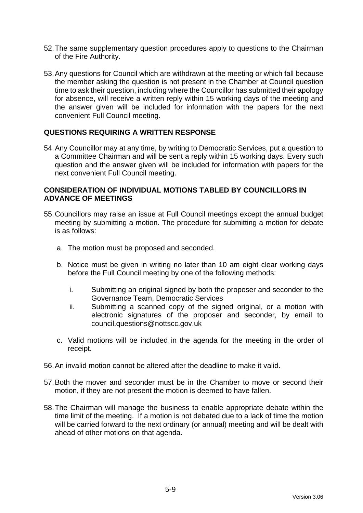- 52.The same supplementary question procedures apply to questions to the Chairman of the Fire Authority.
- 53.Any questions for Council which are withdrawn at the meeting or which fall because the member asking the question is not present in the Chamber at Council question time to ask their question, including where the Councillor has submitted their apology for absence, will receive a written reply within 15 working days of the meeting and the answer given will be included for information with the papers for the next convenient Full Council meeting.

## **QUESTIONS REQUIRING A WRITTEN RESPONSE**

54.Any Councillor may at any time, by writing to Democratic Services, put a question to a Committee Chairman and will be sent a reply within 15 working days. Every such question and the answer given will be included for information with papers for the next convenient Full Council meeting.

#### **CONSIDERATION OF INDIVIDUAL MOTIONS TABLED BY COUNCILLORS IN ADVANCE OF MEETINGS**

- 55.Councillors may raise an issue at Full Council meetings except the annual budget meeting by submitting a motion. The procedure for submitting a motion for debate is as follows:
	- a. The motion must be proposed and seconded.
	- b. Notice must be given in writing no later than 10 am eight clear working days before the Full Council meeting by one of the following methods:
		- i. Submitting an original signed by both the proposer and seconder to the Governance Team, Democratic Services
		- ii. Submitting a scanned copy of the signed original, or a motion with electronic signatures of the proposer and seconder, by email to council.questions@nottscc.gov.uk
	- c. Valid motions will be included in the agenda for the meeting in the order of receipt.
- 56.An invalid motion cannot be altered after the deadline to make it valid.
- 57.Both the mover and seconder must be in the Chamber to move or second their motion, if they are not present the motion is deemed to have fallen.
- 58.The Chairman will manage the business to enable appropriate debate within the time limit of the meeting. If a motion is not debated due to a lack of time the motion will be carried forward to the next ordinary (or annual) meeting and will be dealt with ahead of other motions on that agenda.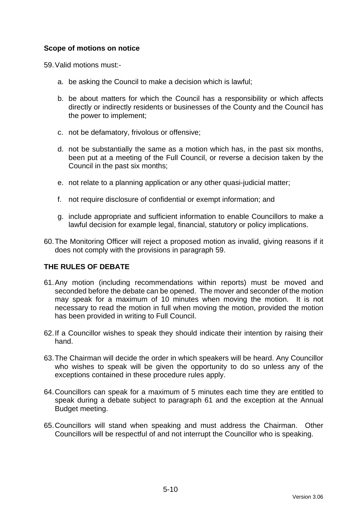# **Scope of motions on notice**

59.Valid motions must:-

- a. be asking the Council to make a decision which is lawful;
- b. be about matters for which the Council has a responsibility or which affects directly or indirectly residents or businesses of the County and the Council has the power to implement;
- c. not be defamatory, frivolous or offensive;
- d. not be substantially the same as a motion which has, in the past six months, been put at a meeting of the Full Council, or reverse a decision taken by the Council in the past six months;
- e. not relate to a planning application or any other quasi-judicial matter;
- f. not require disclosure of confidential or exempt information; and
- g. include appropriate and sufficient information to enable Councillors to make a lawful decision for example legal, financial, statutory or policy implications.
- 60.The Monitoring Officer will reject a proposed motion as invalid, giving reasons if it does not comply with the provisions in paragraph 59.

## **THE RULES OF DEBATE**

- 61.Any motion (including recommendations within reports) must be moved and seconded before the debate can be opened. The mover and seconder of the motion may speak for a maximum of 10 minutes when moving the motion. It is not necessary to read the motion in full when moving the motion, provided the motion has been provided in writing to Full Council.
- 62.If a Councillor wishes to speak they should indicate their intention by raising their hand.
- 63.The Chairman will decide the order in which speakers will be heard. Any Councillor who wishes to speak will be given the opportunity to do so unless any of the exceptions contained in these procedure rules apply.
- 64.Councillors can speak for a maximum of 5 minutes each time they are entitled to speak during a debate subject to paragraph 61 and the exception at the Annual Budget meeting.
- 65.Councillors will stand when speaking and must address the Chairman. Other Councillors will be respectful of and not interrupt the Councillor who is speaking.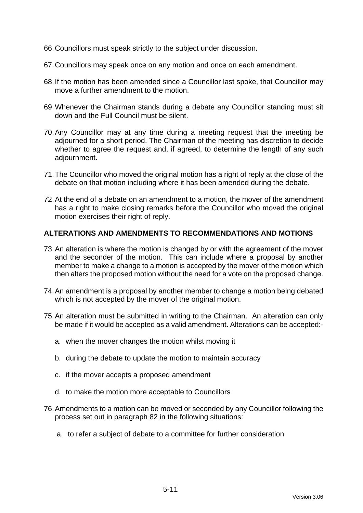- 66.Councillors must speak strictly to the subject under discussion.
- 67.Councillors may speak once on any motion and once on each amendment.
- 68.If the motion has been amended since a Councillor last spoke, that Councillor may move a further amendment to the motion.
- 69.Whenever the Chairman stands during a debate any Councillor standing must sit down and the Full Council must be silent.
- 70.Any Councillor may at any time during a meeting request that the meeting be adjourned for a short period. The Chairman of the meeting has discretion to decide whether to agree the request and, if agreed, to determine the length of any such adjournment.
- 71.The Councillor who moved the original motion has a right of reply at the close of the debate on that motion including where it has been amended during the debate.
- 72.At the end of a debate on an amendment to a motion, the mover of the amendment has a right to make closing remarks before the Councillor who moved the original motion exercises their right of reply.

## **ALTERATIONS AND AMENDMENTS TO RECOMMENDATIONS AND MOTIONS**

- 73.An alteration is where the motion is changed by or with the agreement of the mover and the seconder of the motion. This can include where a proposal by another member to make a change to a motion is accepted by the mover of the motion which then alters the proposed motion without the need for a vote on the proposed change.
- 74.An amendment is a proposal by another member to change a motion being debated which is not accepted by the mover of the original motion.
- 75.An alteration must be submitted in writing to the Chairman. An alteration can only be made if it would be accepted as a valid amendment. Alterations can be accepted:
	- a. when the mover changes the motion whilst moving it
	- b. during the debate to update the motion to maintain accuracy
	- c. if the mover accepts a proposed amendment
	- d. to make the motion more acceptable to Councillors
- 76.Amendments to a motion can be moved or seconded by any Councillor following the process set out in paragraph 82 in the following situations:
	- a. to refer a subject of debate to a committee for further consideration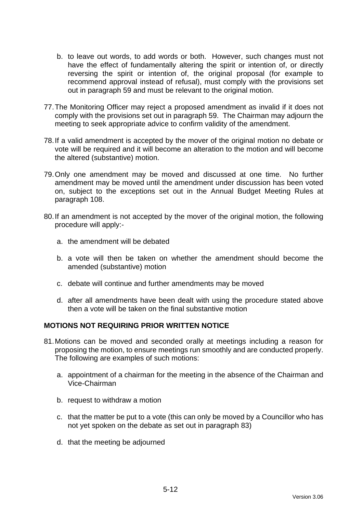- b. to leave out words, to add words or both. However, such changes must not have the effect of fundamentally altering the spirit or intention of, or directly reversing the spirit or intention of, the original proposal (for example to recommend approval instead of refusal), must comply with the provisions set out in paragraph 59 and must be relevant to the original motion.
- 77.The Monitoring Officer may reject a proposed amendment as invalid if it does not comply with the provisions set out in paragraph 59. The Chairman may adjourn the meeting to seek appropriate advice to confirm validity of the amendment.
- 78.If a valid amendment is accepted by the mover of the original motion no debate or vote will be required and it will become an alteration to the motion and will become the altered (substantive) motion.
- 79.Only one amendment may be moved and discussed at one time. No further amendment may be moved until the amendment under discussion has been voted on, subject to the exceptions set out in the Annual Budget Meeting Rules at paragraph 108.
- 80.If an amendment is not accepted by the mover of the original motion, the following procedure will apply:
	- a. the amendment will be debated
	- b. a vote will then be taken on whether the amendment should become the amended (substantive) motion
	- c. debate will continue and further amendments may be moved
	- d. after all amendments have been dealt with using the procedure stated above then a vote will be taken on the final substantive motion

## **MOTIONS NOT REQUIRING PRIOR WRITTEN NOTICE**

- 81.Motions can be moved and seconded orally at meetings including a reason for proposing the motion, to ensure meetings run smoothly and are conducted properly. The following are examples of such motions:
	- a. appointment of a chairman for the meeting in the absence of the Chairman and Vice-Chairman
	- b. request to withdraw a motion
	- c. that the matter be put to a vote (this can only be moved by a Councillor who has not yet spoken on the debate as set out in paragraph 83)
	- d. that the meeting be adjourned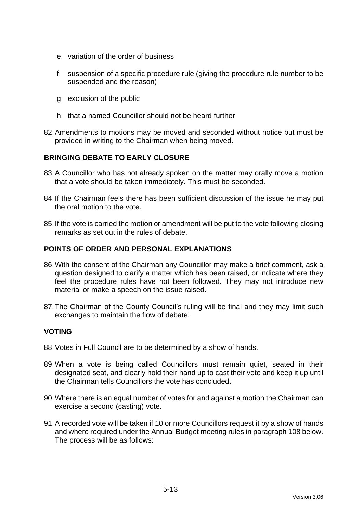- e. variation of the order of business
- f. suspension of a specific procedure rule (giving the procedure rule number to be suspended and the reason)
- g. exclusion of the public
- h. that a named Councillor should not be heard further
- 82.Amendments to motions may be moved and seconded without notice but must be provided in writing to the Chairman when being moved.

## **BRINGING DEBATE TO EARLY CLOSURE**

- 83.A Councillor who has not already spoken on the matter may orally move a motion that a vote should be taken immediately. This must be seconded.
- 84.If the Chairman feels there has been sufficient discussion of the issue he may put the oral motion to the vote.
- 85.If the vote is carried the motion or amendment will be put to the vote following closing remarks as set out in the rules of debate.

## **POINTS OF ORDER AND PERSONAL EXPLANATIONS**

- 86.With the consent of the Chairman any Councillor may make a brief comment, ask a question designed to clarify a matter which has been raised, or indicate where they feel the procedure rules have not been followed. They may not introduce new material or make a speech on the issue raised.
- 87.The Chairman of the County Council's ruling will be final and they may limit such exchanges to maintain the flow of debate.

## **VOTING**

- 88.Votes in Full Council are to be determined by a show of hands.
- 89.When a vote is being called Councillors must remain quiet, seated in their designated seat, and clearly hold their hand up to cast their vote and keep it up until the Chairman tells Councillors the vote has concluded.
- 90.Where there is an equal number of votes for and against a motion the Chairman can exercise a second (casting) vote.
- 91.A recorded vote will be taken if 10 or more Councillors request it by a show of hands and where required under the Annual Budget meeting rules in paragraph 108 below. The process will be as follows: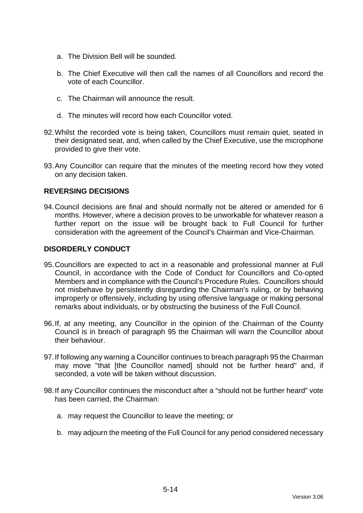- a. The Division Bell will be sounded.
- b. The Chief Executive will then call the names of all Councillors and record the vote of each Councillor.
- c. The Chairman will announce the result.
- d. The minutes will record how each Councillor voted.
- 92.Whilst the recorded vote is being taken, Councillors must remain quiet, seated in their designated seat, and, when called by the Chief Executive, use the microphone provided to give their vote.
- 93.Any Councillor can require that the minutes of the meeting record how they voted on any decision taken.

## **REVERSING DECISIONS**

94.Council decisions are final and should normally not be altered or amended for 6 months. However, where a decision proves to be unworkable for whatever reason a further report on the issue will be brought back to Full Council for further consideration with the agreement of the Council's Chairman and Vice-Chairman.

#### **DISORDERLY CONDUCT**

- 95.Councillors are expected to act in a reasonable and professional manner at Full Council, in accordance with the Code of Conduct for Councillors and Co-opted Members and in compliance with the Council's Procedure Rules. Councillors should not misbehave by persistently disregarding the Chairman's ruling, or by behaving improperly or offensively, including by using offensive language or making personal remarks about individuals, or by obstructing the business of the Full Council.
- 96.If, at any meeting, any Councillor in the opinion of the Chairman of the County Council is in breach of paragraph 95 the Chairman will warn the Councillor about their behaviour.
- 97.If following any warning a Councillor continues to breach paragraph 95 the Chairman may move "that [the Councillor named] should not be further heard" and, if seconded, a vote will be taken without discussion.
- 98.If any Councillor continues the misconduct after a "should not be further heard" vote has been carried, the Chairman:
	- a. may request the Councillor to leave the meeting; or
	- b. may adjourn the meeting of the Full Council for any period considered necessary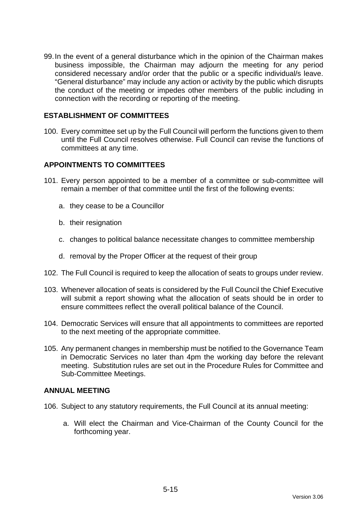99.In the event of a general disturbance which in the opinion of the Chairman makes business impossible, the Chairman may adjourn the meeting for any period considered necessary and/or order that the public or a specific individual/s leave. "General disturbance" may include any action or activity by the public which disrupts the conduct of the meeting or impedes other members of the public including in connection with the recording or reporting of the meeting.

## **ESTABLISHMENT OF COMMITTEES**

100. Every committee set up by the Full Council will perform the functions given to them until the Full Council resolves otherwise. Full Council can revise the functions of committees at any time.

## **APPOINTMENTS TO COMMITTEES**

- 101. Every person appointed to be a member of a committee or sub-committee will remain a member of that committee until the first of the following events:
	- a. they cease to be a Councillor
	- b. their resignation
	- c. changes to political balance necessitate changes to committee membership
	- d. removal by the Proper Officer at the request of their group
- 102. The Full Council is required to keep the allocation of seats to groups under review.
- 103. Whenever allocation of seats is considered by the Full Council the Chief Executive will submit a report showing what the allocation of seats should be in order to ensure committees reflect the overall political balance of the Council.
- 104. Democratic Services will ensure that all appointments to committees are reported to the next meeting of the appropriate committee.
- 105. Any permanent changes in membership must be notified to the Governance Team in Democratic Services no later than 4pm the working day before the relevant meeting. Substitution rules are set out in the Procedure Rules for Committee and Sub-Committee Meetings.

## **ANNUAL MEETING**

- 106. Subject to any statutory requirements, the Full Council at its annual meeting:
	- a. Will elect the Chairman and Vice-Chairman of the County Council for the forthcoming year.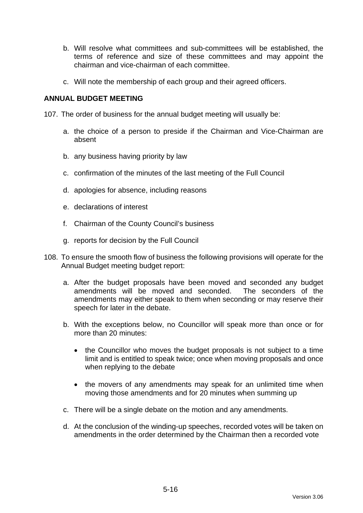- b. Will resolve what committees and sub-committees will be established, the terms of reference and size of these committees and may appoint the chairman and vice-chairman of each committee.
- c. Will note the membership of each group and their agreed officers.

#### **ANNUAL BUDGET MEETING**

107. The order of business for the annual budget meeting will usually be:

- a. the choice of a person to preside if the Chairman and Vice-Chairman are absent
- b. any business having priority by law
- c. confirmation of the minutes of the last meeting of the Full Council
- d. apologies for absence, including reasons
- e. declarations of interest
- f. Chairman of the County Council's business
- g. reports for decision by the Full Council
- 108. To ensure the smooth flow of business the following provisions will operate for the Annual Budget meeting budget report:
	- a. After the budget proposals have been moved and seconded any budget amendments will be moved and seconded. The seconders of the amendments may either speak to them when seconding or may reserve their speech for later in the debate.
	- b. With the exceptions below, no Councillor will speak more than once or for more than 20 minutes:
		- the Councillor who moves the budget proposals is not subject to a time limit and is entitled to speak twice; once when moving proposals and once when replying to the debate
		- the movers of any amendments may speak for an unlimited time when moving those amendments and for 20 minutes when summing up
	- c. There will be a single debate on the motion and any amendments.
	- d. At the conclusion of the winding-up speeches, recorded votes will be taken on amendments in the order determined by the Chairman then a recorded vote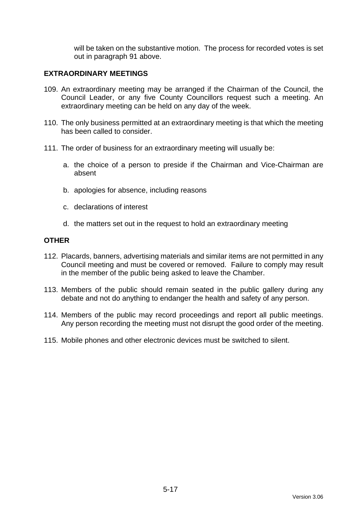will be taken on the substantive motion. The process for recorded votes is set out in paragraph 91 above.

# **EXTRAORDINARY MEETINGS**

- 109. An extraordinary meeting may be arranged if the Chairman of the Council, the Council Leader, or any five County Councillors request such a meeting. An extraordinary meeting can be held on any day of the week.
- 110. The only business permitted at an extraordinary meeting is that which the meeting has been called to consider.
- 111. The order of business for an extraordinary meeting will usually be:
	- a. the choice of a person to preside if the Chairman and Vice-Chairman are absent
	- b. apologies for absence, including reasons
	- c. declarations of interest
	- d. the matters set out in the request to hold an extraordinary meeting

#### **OTHER**

- 112. Placards, banners, advertising materials and similar items are not permitted in any Council meeting and must be covered or removed. Failure to comply may result in the member of the public being asked to leave the Chamber.
- 113. Members of the public should remain seated in the public gallery during any debate and not do anything to endanger the health and safety of any person.
- 114. Members of the public may record proceedings and report all public meetings. Any person recording the meeting must not disrupt the good order of the meeting.
- 115. Mobile phones and other electronic devices must be switched to silent.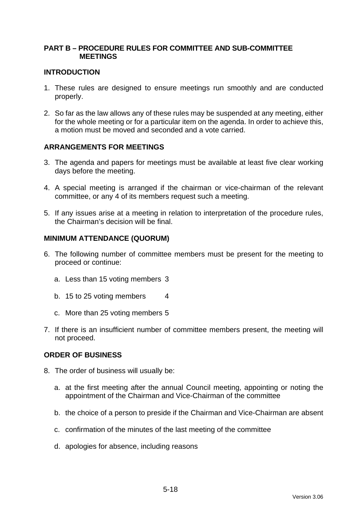## **PART B – PROCEDURE RULES FOR COMMITTEE AND SUB-COMMITTEE MEETINGS**

## **INTRODUCTION**

- 1. These rules are designed to ensure meetings run smoothly and are conducted properly.
- 2. So far as the law allows any of these rules may be suspended at any meeting, either for the whole meeting or for a particular item on the agenda. In order to achieve this, a motion must be moved and seconded and a vote carried.

## **ARRANGEMENTS FOR MEETINGS**

- 3. The agenda and papers for meetings must be available at least five clear working days before the meeting.
- 4. A special meeting is arranged if the chairman or vice-chairman of the relevant committee, or any 4 of its members request such a meeting.
- 5. If any issues arise at a meeting in relation to interpretation of the procedure rules, the Chairman's decision will be final.

#### **MINIMUM ATTENDANCE (QUORUM)**

- 6. The following number of committee members must be present for the meeting to proceed or continue:
	- a. Less than 15 voting members 3
	- b. 15 to 25 voting members 4
	- c. More than 25 voting members 5
- 7. If there is an insufficient number of committee members present, the meeting will not proceed.

#### **ORDER OF BUSINESS**

- 8. The order of business will usually be:
	- a. at the first meeting after the annual Council meeting, appointing or noting the appointment of the Chairman and Vice-Chairman of the committee
	- b. the choice of a person to preside if the Chairman and Vice-Chairman are absent
	- c. confirmation of the minutes of the last meeting of the committee
	- d. apologies for absence, including reasons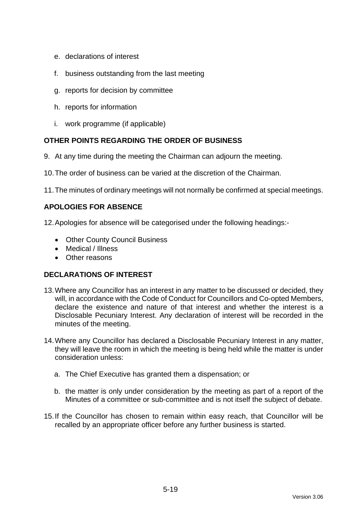- e. declarations of interest
- f. business outstanding from the last meeting
- g. reports for decision by committee
- h. reports for information
- i. work programme (if applicable)

# **OTHER POINTS REGARDING THE ORDER OF BUSINESS**

- 9. At any time during the meeting the Chairman can adjourn the meeting.
- 10.The order of business can be varied at the discretion of the Chairman.
- 11.The minutes of ordinary meetings will not normally be confirmed at special meetings.

# **APOLOGIES FOR ABSENCE**

12.Apologies for absence will be categorised under the following headings:-

- Other County Council Business
- Medical / Illness
- Other reasons

# **DECLARATIONS OF INTEREST**

- 13.Where any Councillor has an interest in any matter to be discussed or decided, they will, in accordance with the Code of Conduct for Councillors and Co-opted Members, declare the existence and nature of that interest and whether the interest is a Disclosable Pecuniary Interest. Any declaration of interest will be recorded in the minutes of the meeting.
- 14.Where any Councillor has declared a Disclosable Pecuniary Interest in any matter, they will leave the room in which the meeting is being held while the matter is under consideration unless:
	- a. The Chief Executive has granted them a dispensation; or
	- b. the matter is only under consideration by the meeting as part of a report of the Minutes of a committee or sub-committee and is not itself the subject of debate.
- 15.If the Councillor has chosen to remain within easy reach, that Councillor will be recalled by an appropriate officer before any further business is started.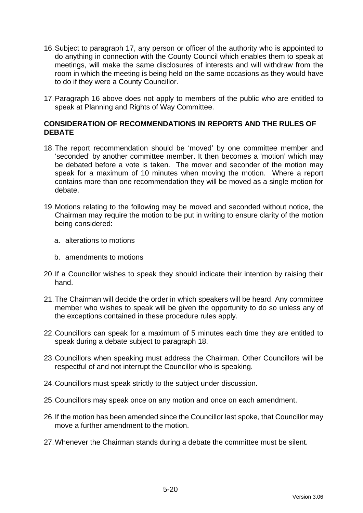- 16.Subject to paragraph 17, any person or officer of the authority who is appointed to do anything in connection with the County Council which enables them to speak at meetings, will make the same disclosures of interests and will withdraw from the room in which the meeting is being held on the same occasions as they would have to do if they were a County Councillor.
- 17.Paragraph 16 above does not apply to members of the public who are entitled to speak at Planning and Rights of Way Committee.

## **CONSIDERATION OF RECOMMENDATIONS IN REPORTS AND THE RULES OF DEBATE**

- 18.The report recommendation should be 'moved' by one committee member and 'seconded' by another committee member. It then becomes a 'motion' which may be debated before a vote is taken. The mover and seconder of the motion may speak for a maximum of 10 minutes when moving the motion. Where a report contains more than one recommendation they will be moved as a single motion for debate.
- 19.Motions relating to the following may be moved and seconded without notice, the Chairman may require the motion to be put in writing to ensure clarity of the motion being considered:
	- a. alterations to motions
	- b. amendments to motions
- 20.If a Councillor wishes to speak they should indicate their intention by raising their hand.
- 21.The Chairman will decide the order in which speakers will be heard. Any committee member who wishes to speak will be given the opportunity to do so unless any of the exceptions contained in these procedure rules apply.
- 22.Councillors can speak for a maximum of 5 minutes each time they are entitled to speak during a debate subject to paragraph 18.
- 23.Councillors when speaking must address the Chairman. Other Councillors will be respectful of and not interrupt the Councillor who is speaking.
- 24.Councillors must speak strictly to the subject under discussion.
- 25.Councillors may speak once on any motion and once on each amendment.
- 26.If the motion has been amended since the Councillor last spoke, that Councillor may move a further amendment to the motion.
- 27.Whenever the Chairman stands during a debate the committee must be silent.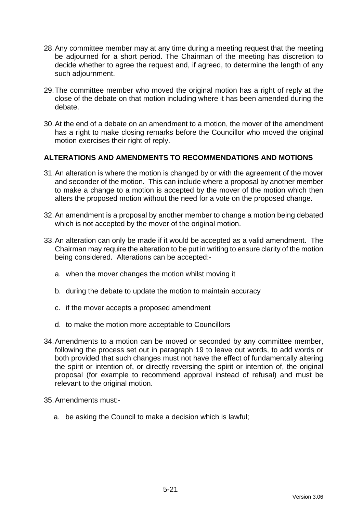- 28.Any committee member may at any time during a meeting request that the meeting be adjourned for a short period. The Chairman of the meeting has discretion to decide whether to agree the request and, if agreed, to determine the length of any such adjournment.
- 29.The committee member who moved the original motion has a right of reply at the close of the debate on that motion including where it has been amended during the debate.
- 30.At the end of a debate on an amendment to a motion, the mover of the amendment has a right to make closing remarks before the Councillor who moved the original motion exercises their right of reply.

## **ALTERATIONS AND AMENDMENTS TO RECOMMENDATIONS AND MOTIONS**

- 31.An alteration is where the motion is changed by or with the agreement of the mover and seconder of the motion. This can include where a proposal by another member to make a change to a motion is accepted by the mover of the motion which then alters the proposed motion without the need for a vote on the proposed change.
- 32.An amendment is a proposal by another member to change a motion being debated which is not accepted by the mover of the original motion.
- 33.An alteration can only be made if it would be accepted as a valid amendment. The Chairman may require the alteration to be put in writing to ensure clarity of the motion being considered. Alterations can be accepted:
	- a. when the mover changes the motion whilst moving it
	- b. during the debate to update the motion to maintain accuracy
	- c. if the mover accepts a proposed amendment
	- d. to make the motion more acceptable to Councillors
- 34.Amendments to a motion can be moved or seconded by any committee member, following the process set out in paragraph 19 to leave out words, to add words or both provided that such changes must not have the effect of fundamentally altering the spirit or intention of, or directly reversing the spirit or intention of, the original proposal (for example to recommend approval instead of refusal) and must be relevant to the original motion.
- 35.Amendments must:
	- a. be asking the Council to make a decision which is lawful;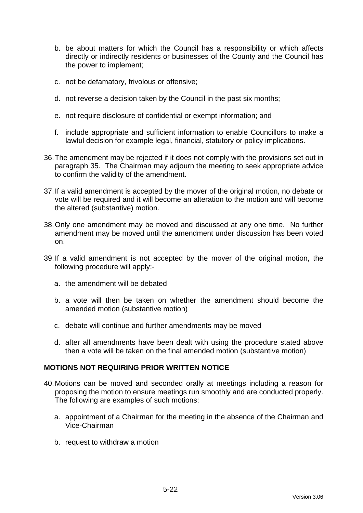- b. be about matters for which the Council has a responsibility or which affects directly or indirectly residents or businesses of the County and the Council has the power to implement;
- c. not be defamatory, frivolous or offensive;
- d. not reverse a decision taken by the Council in the past six months;
- e. not require disclosure of confidential or exempt information; and
- f. include appropriate and sufficient information to enable Councillors to make a lawful decision for example legal, financial, statutory or policy implications.
- 36.The amendment may be rejected if it does not comply with the provisions set out in paragraph 35. The Chairman may adjourn the meeting to seek appropriate advice to confirm the validity of the amendment.
- 37.If a valid amendment is accepted by the mover of the original motion, no debate or vote will be required and it will become an alteration to the motion and will become the altered (substantive) motion.
- 38.Only one amendment may be moved and discussed at any one time. No further amendment may be moved until the amendment under discussion has been voted on.
- 39.If a valid amendment is not accepted by the mover of the original motion, the following procedure will apply:
	- a. the amendment will be debated
	- b. a vote will then be taken on whether the amendment should become the amended motion (substantive motion)
	- c. debate will continue and further amendments may be moved
	- d. after all amendments have been dealt with using the procedure stated above then a vote will be taken on the final amended motion (substantive motion)

#### **MOTIONS NOT REQUIRING PRIOR WRITTEN NOTICE**

- 40.Motions can be moved and seconded orally at meetings including a reason for proposing the motion to ensure meetings run smoothly and are conducted properly. The following are examples of such motions:
	- a. appointment of a Chairman for the meeting in the absence of the Chairman and Vice-Chairman
	- b. request to withdraw a motion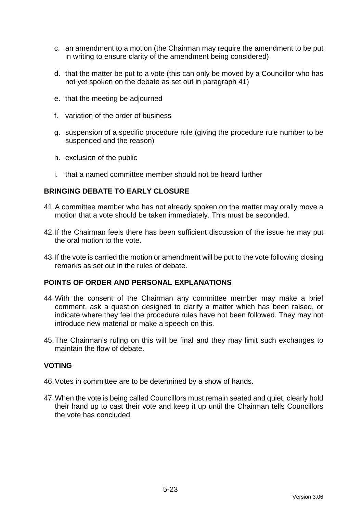- c. an amendment to a motion (the Chairman may require the amendment to be put in writing to ensure clarity of the amendment being considered)
- d. that the matter be put to a vote (this can only be moved by a Councillor who has not yet spoken on the debate as set out in paragraph 41)
- e. that the meeting be adjourned
- f. variation of the order of business
- g. suspension of a specific procedure rule (giving the procedure rule number to be suspended and the reason)
- h. exclusion of the public
- i. that a named committee member should not be heard further

## **BRINGING DEBATE TO EARLY CLOSURE**

- 41.A committee member who has not already spoken on the matter may orally move a motion that a vote should be taken immediately. This must be seconded.
- 42.If the Chairman feels there has been sufficient discussion of the issue he may put the oral motion to the vote.
- 43.If the vote is carried the motion or amendment will be put to the vote following closing remarks as set out in the rules of debate.

## **POINTS OF ORDER AND PERSONAL EXPLANATIONS**

- 44.With the consent of the Chairman any committee member may make a brief comment, ask a question designed to clarify a matter which has been raised, or indicate where they feel the procedure rules have not been followed. They may not introduce new material or make a speech on this.
- 45.The Chairman's ruling on this will be final and they may limit such exchanges to maintain the flow of debate.

#### **VOTING**

- 46.Votes in committee are to be determined by a show of hands.
- 47.When the vote is being called Councillors must remain seated and quiet, clearly hold their hand up to cast their vote and keep it up until the Chairman tells Councillors the vote has concluded.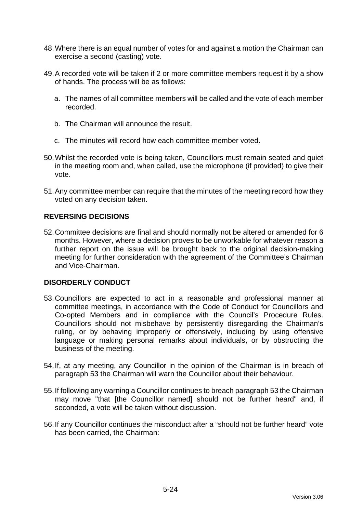- 48.Where there is an equal number of votes for and against a motion the Chairman can exercise a second (casting) vote.
- 49.A recorded vote will be taken if 2 or more committee members request it by a show of hands. The process will be as follows:
	- a. The names of all committee members will be called and the vote of each member recorded.
	- b. The Chairman will announce the result.
	- c. The minutes will record how each committee member voted.
- 50.Whilst the recorded vote is being taken, Councillors must remain seated and quiet in the meeting room and, when called, use the microphone (if provided) to give their vote.
- 51.Any committee member can require that the minutes of the meeting record how they voted on any decision taken.

## **REVERSING DECISIONS**

52.Committee decisions are final and should normally not be altered or amended for 6 months. However, where a decision proves to be unworkable for whatever reason a further report on the issue will be brought back to the original decision-making meeting for further consideration with the agreement of the Committee's Chairman and Vice-Chairman.

## **DISORDERLY CONDUCT**

- 53.Councillors are expected to act in a reasonable and professional manner at committee meetings, in accordance with the Code of Conduct for Councillors and Co-opted Members and in compliance with the Council's Procedure Rules. Councillors should not misbehave by persistently disregarding the Chairman's ruling, or by behaving improperly or offensively, including by using offensive language or making personal remarks about individuals, or by obstructing the business of the meeting.
- 54.If, at any meeting, any Councillor in the opinion of the Chairman is in breach of paragraph 53 the Chairman will warn the Councillor about their behaviour.
- 55.If following any warning a Councillor continues to breach paragraph 53 the Chairman may move "that [the Councillor named] should not be further heard" and, if seconded, a vote will be taken without discussion.
- 56.If any Councillor continues the misconduct after a "should not be further heard" vote has been carried, the Chairman: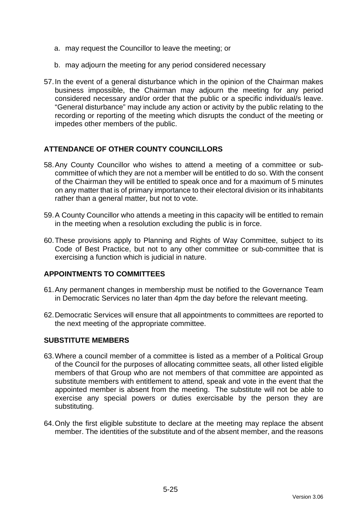- a. may request the Councillor to leave the meeting; or
- b. may adjourn the meeting for any period considered necessary
- 57.In the event of a general disturbance which in the opinion of the Chairman makes business impossible, the Chairman may adjourn the meeting for any period considered necessary and/or order that the public or a specific individual/s leave. "General disturbance" may include any action or activity by the public relating to the recording or reporting of the meeting which disrupts the conduct of the meeting or impedes other members of the public.

## **ATTENDANCE OF OTHER COUNTY COUNCILLORS**

- 58.Any County Councillor who wishes to attend a meeting of a committee or subcommittee of which they are not a member will be entitled to do so. With the consent of the Chairman they will be entitled to speak once and for a maximum of 5 minutes on any matter that is of primary importance to their electoral division or its inhabitants rather than a general matter, but not to vote.
- 59.A County Councillor who attends a meeting in this capacity will be entitled to remain in the meeting when a resolution excluding the public is in force.
- 60.These provisions apply to Planning and Rights of Way Committee, subject to its Code of Best Practice, but not to any other committee or sub-committee that is exercising a function which is judicial in nature.

## **APPOINTMENTS TO COMMITTEES**

- 61.Any permanent changes in membership must be notified to the Governance Team in Democratic Services no later than 4pm the day before the relevant meeting.
- 62.Democratic Services will ensure that all appointments to committees are reported to the next meeting of the appropriate committee.

## **SUBSTITUTE MEMBERS**

- 63.Where a council member of a committee is listed as a member of a Political Group of the Council for the purposes of allocating committee seats, all other listed eligible members of that Group who are not members of that committee are appointed as substitute members with entitlement to attend, speak and vote in the event that the appointed member is absent from the meeting. The substitute will not be able to exercise any special powers or duties exercisable by the person they are substituting.
- 64.Only the first eligible substitute to declare at the meeting may replace the absent member. The identities of the substitute and of the absent member, and the reasons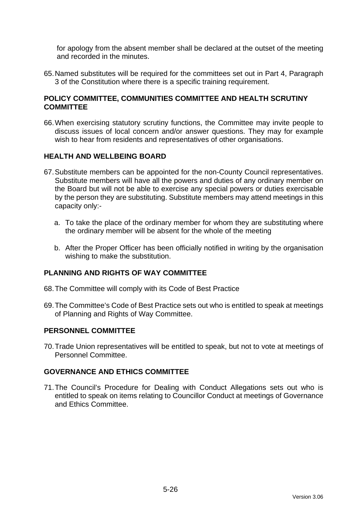for apology from the absent member shall be declared at the outset of the meeting and recorded in the minutes.

65.Named substitutes will be required for the committees set out in Part 4, Paragraph 3 of the Constitution where there is a specific training requirement.

## **POLICY COMMITTEE, COMMUNITIES COMMITTEE AND HEALTH SCRUTINY COMMITTEE**

66.When exercising statutory scrutiny functions, the Committee may invite people to discuss issues of local concern and/or answer questions. They may for example wish to hear from residents and representatives of other organisations.

## **HEALTH AND WELLBEING BOARD**

- 67.Substitute members can be appointed for the non-County Council representatives. Substitute members will have all the powers and duties of any ordinary member on the Board but will not be able to exercise any special powers or duties exercisable by the person they are substituting. Substitute members may attend meetings in this capacity only:
	- a. To take the place of the ordinary member for whom they are substituting where the ordinary member will be absent for the whole of the meeting
	- b. After the Proper Officer has been officially notified in writing by the organisation wishing to make the substitution.

## **PLANNING AND RIGHTS OF WAY COMMITTEE**

- 68.The Committee will comply with its Code of Best Practice
- 69.The Committee's Code of Best Practice sets out who is entitled to speak at meetings of Planning and Rights of Way Committee.

#### **PERSONNEL COMMITTEE**

70.Trade Union representatives will be entitled to speak, but not to vote at meetings of Personnel Committee.

#### **GOVERNANCE AND ETHICS COMMITTEE**

71.The Council's Procedure for Dealing with Conduct Allegations sets out who is entitled to speak on items relating to Councillor Conduct at meetings of Governance and Ethics Committee.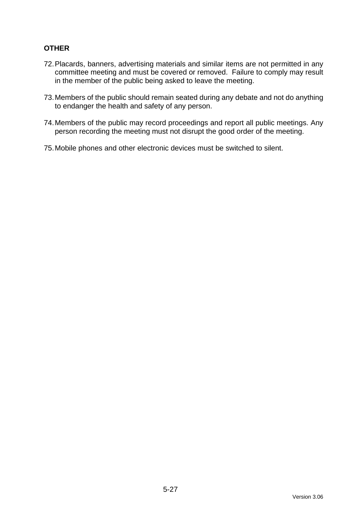## **OTHER**

- 72.Placards, banners, advertising materials and similar items are not permitted in any committee meeting and must be covered or removed. Failure to comply may result in the member of the public being asked to leave the meeting.
- 73.Members of the public should remain seated during any debate and not do anything to endanger the health and safety of any person.
- 74.Members of the public may record proceedings and report all public meetings. Any person recording the meeting must not disrupt the good order of the meeting.
- 75.Mobile phones and other electronic devices must be switched to silent.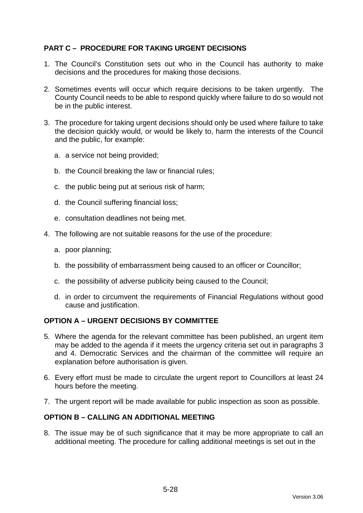## **PART C – PROCEDURE FOR TAKING URGENT DECISIONS**

- 1. The Council's Constitution sets out who in the Council has authority to make decisions and the procedures for making those decisions.
- 2. Sometimes events will occur which require decisions to be taken urgently. The County Council needs to be able to respond quickly where failure to do so would not be in the public interest.
- <span id="page-73-0"></span>3. The procedure for taking urgent decisions should only be used where failure to take the decision quickly would, or would be likely to, harm the interests of the Council and the public, for example:
	- a. a service not being provided;
	- b. the Council breaking the law or financial rules;
	- c. the public being put at serious risk of harm;
	- d. the Council suffering financial loss;
	- e. consultation deadlines not being met.
- <span id="page-73-1"></span>4. The following are not suitable reasons for the use of the procedure:
	- a. poor planning;
	- b. the possibility of embarrassment being caused to an officer or Councillor;
	- c. the possibility of adverse publicity being caused to the Council;
	- d. in order to circumvent the requirements of Financial Regulations without good cause and justification.

#### **OPTION A – URGENT DECISIONS BY COMMITTEE**

- 5. Where the agenda for the relevant committee has been published, an urgent item may be added to the agenda if it meets the urgency criteria set out in paragraphs 3 and 4. Democratic Services and the chairman of the committee will require an explanation before authorisation is given.
- 6. Every effort must be made to circulate the urgent report to Councillors at least 24 hours before the meeting.
- 7. The urgent report will be made available for public inspection as soon as possible.

## **OPTION B – CALLING AN ADDITIONAL MEETING**

8. The issue may be of such significance that it may be more appropriate to call an additional meeting. The procedure for calling additional meetings is set out in the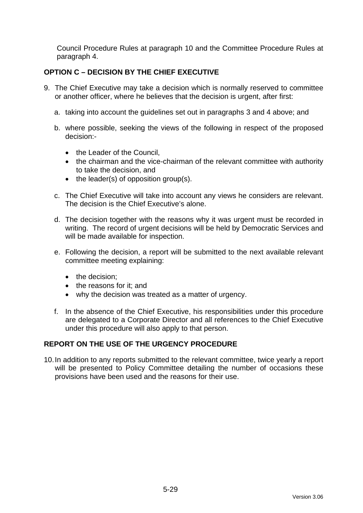Council Procedure Rules at paragraph 10 and the Committee Procedure Rules at paragraph 4.

## **OPTION C – DECISION BY THE CHIEF EXECUTIVE**

- 9. The Chief Executive may take a decision which is normally reserved to committee or another officer, where he believes that the decision is urgent, after first:
	- a. taking into account the guidelines set out in paragraphs [3](#page-73-0) and [4](#page-73-1) above; and
	- b. where possible, seeking the views of the following in respect of the proposed decision:-
		- the Leader of the Council.
		- the chairman and the vice-chairman of the relevant committee with authority to take the decision, and
		- the leader(s) of opposition group(s).
	- c. The Chief Executive will take into account any views he considers are relevant. The decision is the Chief Executive's alone.
	- d. The decision together with the reasons why it was urgent must be recorded in writing. The record of urgent decisions will be held by Democratic Services and will be made available for inspection.
	- e. Following the decision, a report will be submitted to the next available relevant committee meeting explaining:
		- the decision:
		- the reasons for it: and
		- why the decision was treated as a matter of urgency.
	- f. In the absence of the Chief Executive, his responsibilities under this procedure are delegated to a Corporate Director and all references to the Chief Executive under this procedure will also apply to that person.

#### **REPORT ON THE USE OF THE URGENCY PROCEDURE**

10.In addition to any reports submitted to the relevant committee, twice yearly a report will be presented to Policy Committee detailing the number of occasions these provisions have been used and the reasons for their use.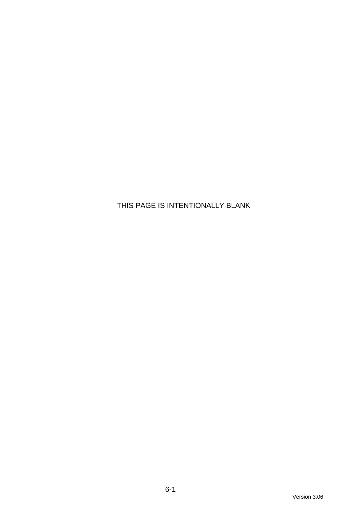# THIS PAGE IS INTENTIONALLY BLANK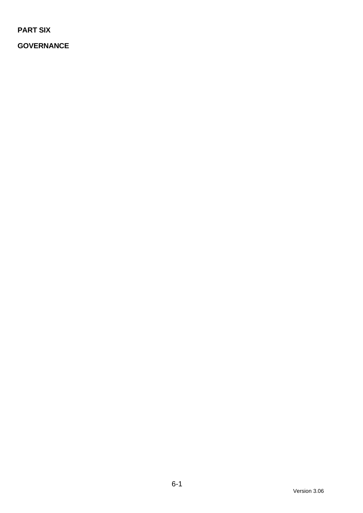**PART SIX**

**GOVERNANCE**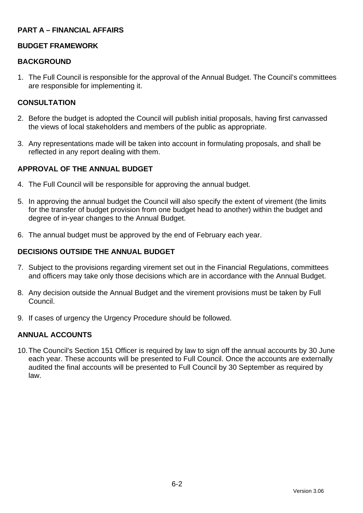## **PART A – FINANCIAL AFFAIRS**

## **BUDGET FRAMEWORK**

## **BACKGROUND**

1. The Full Council is responsible for the approval of the Annual Budget. The Council's committees are responsible for implementing it.

## **CONSULTATION**

- 2. Before the budget is adopted the Council will publish initial proposals, having first canvassed the views of local stakeholders and members of the public as appropriate.
- 3. Any representations made will be taken into account in formulating proposals, and shall be reflected in any report dealing with them.

## **APPROVAL OF THE ANNUAL BUDGET**

- 4. The Full Council will be responsible for approving the annual budget.
- 5. In approving the annual budget the Council will also specify the extent of virement (the limits for the transfer of budget provision from one budget head to another) within the budget and degree of in-year changes to the Annual Budget.
- 6. The annual budget must be approved by the end of February each year.

## **DECISIONS OUTSIDE THE ANNUAL BUDGET**

- 7. Subject to the provisions regarding virement set out in the Financial Regulations, committees and officers may take only those decisions which are in accordance with the Annual Budget.
- 8. Any decision outside the Annual Budget and the virement provisions must be taken by Full Council.
- 9. If cases of urgency the Urgency Procedure should be followed.

## **ANNUAL ACCOUNTS**

10.The Council's Section 151 Officer is required by law to sign off the annual accounts by 30 June each year. These accounts will be presented to Full Council. Once the accounts are externally audited the final accounts will be presented to Full Council by 30 September as required by law.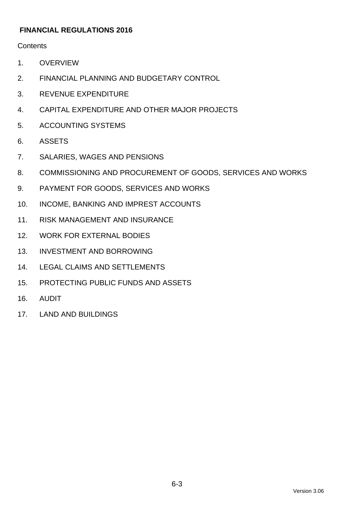## **FINANCIAL REGULATIONS 2016**

## **Contents**

- 1. [OVERVIEW](#page-79-0)
- 2. [FINANCIAL PLANNING AND BUDGETARY CONTROL](#page-80-0)
- 3. [REVENUE EXPENDITURE](#page-81-0)
- 4. [CAPITAL EXPENDITURE AND OTHER MAJOR PROJECTS](#page-85-0)
- 5. [ACCOUNTING SYSTEMS](#page-89-0)
- 6. [ASSETS](#page-90-0)
- 7. [SALARIES, WAGES AND PENSIONS](#page-92-0)
- 8. [COMMISSIONING AND PROCUREMENT OF GOODS, SERVICES AND WORKS](#page-93-0)
- 9. [PAYMENT FOR GOODS, SERVICES AND WORKS](#page-102-0)
- 10. [INCOME, BANKING AND IMPREST ACCOUNTS](#page-104-0)
- 11. [RISK MANAGEMENT AND INSURANCE](#page-107-0)
- 12. [WORK FOR EXTERNAL BODIES](#page-107-1)
- 13. [INVESTMENT AND BORROWING](#page-110-0)
- 14. [LEGAL CLAIMS AND SETTLEMENTS](#page-111-0)
- 15. [PROTECTING PUBLIC FUNDS AND ASSETS](#page-111-1)
- 16. [AUDIT](#page-111-2)
- 17. [LAND AND BUILDINGS](#page-112-0)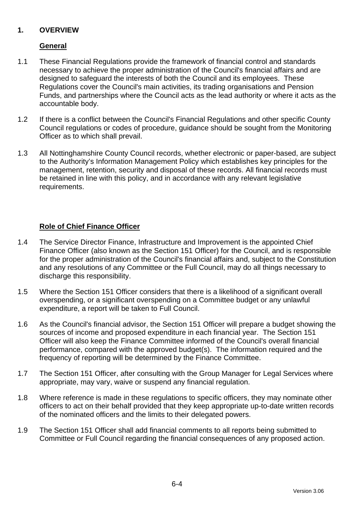# <span id="page-79-0"></span>**1. OVERVIEW**

# **General**

- 1.1 These Financial Regulations provide the framework of financial control and standards necessary to achieve the proper administration of the Council's financial affairs and are designed to safeguard the interests of both the Council and its employees. These Regulations cover the Council's main activities, its trading organisations and Pension Funds, and partnerships where the Council acts as the lead authority or where it acts as the accountable body.
- 1.2 If there is a conflict between the Council's Financial Regulations and other specific County Council regulations or codes of procedure, guidance should be sought from the Monitoring Officer as to which shall prevail.
- 1.3 All Nottinghamshire County Council records, whether electronic or paper-based, are subject to the Authority's Information Management Policy which establishes key principles for the management, retention, security and disposal of these records. All financial records must be retained in line with this policy, and in accordance with any relevant legislative requirements.

# **Role of Chief Finance Officer**

- 1.4 The Service Director Finance, Infrastructure and Improvement is the appointed Chief Finance Officer (also known as the Section 151 Officer) for the Council, and is responsible for the proper administration of the Council's financial affairs and, subject to the Constitution and any resolutions of any Committee or the Full Council, may do all things necessary to discharge this responsibility.
- 1.5 Where the Section 151 Officer considers that there is a likelihood of a significant overall overspending, or a significant overspending on a Committee budget or any unlawful expenditure, a report will be taken to Full Council.
- 1.6 As the Council's financial advisor, the Section 151 Officer will prepare a budget showing the sources of income and proposed expenditure in each financial year. The Section 151 Officer will also keep the Finance Committee informed of the Council's overall financial performance, compared with the approved budget(s). The information required and the frequency of reporting will be determined by the Finance Committee.
- 1.7 The Section 151 Officer, after consulting with the Group Manager for Legal Services where appropriate, may vary, waive or suspend any financial regulation.
- 1.8 Where reference is made in these regulations to specific officers, they may nominate other officers to act on their behalf provided that they keep appropriate up-to-date written records of the nominated officers and the limits to their delegated powers.
- 1.9 The Section 151 Officer shall add financial comments to all reports being submitted to Committee or Full Council regarding the financial consequences of any proposed action.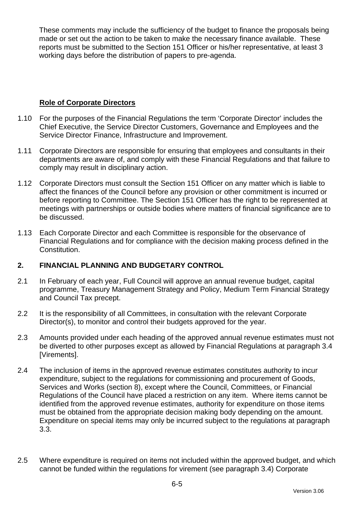These comments may include the sufficiency of the budget to finance the proposals being made or set out the action to be taken to make the necessary finance available. These reports must be submitted to the Section 151 Officer or his/her representative, at least 3 working days before the distribution of papers to pre-agenda.

## **Role of Corporate Directors**

- 1.10 For the purposes of the Financial Regulations the term 'Corporate Director' includes the Chief Executive, the Service Director Customers, Governance and Employees and the Service Director Finance, Infrastructure and Improvement.
- 1.11 Corporate Directors are responsible for ensuring that employees and consultants in their departments are aware of, and comply with these Financial Regulations and that failure to comply may result in disciplinary action.
- 1.12 Corporate Directors must consult the Section 151 Officer on any matter which is liable to affect the finances of the Council before any provision or other commitment is incurred or before reporting to Committee. The Section 151 Officer has the right to be represented at meetings with partnerships or outside bodies where matters of financial significance are to be discussed.
- 1.13 Each Corporate Director and each Committee is responsible for the observance of Financial Regulations and for compliance with the decision making process defined in the Constitution.

## <span id="page-80-0"></span>**2. FINANCIAL PLANNING AND BUDGETARY CONTROL**

- 2.1 In February of each year, Full Council will approve an annual revenue budget, capital programme, Treasury Management Strategy and Policy, Medium Term Financial Strategy and Council Tax precept.
- 2.2 It is the responsibility of all Committees, in consultation with the relevant Corporate Director(s), to monitor and control their budgets approved for the year.
- 2.3 Amounts provided under each heading of the approved annual revenue estimates must not be diverted to other purposes except as allowed by Financial Regulations at paragraph [3.4](#page-84-0) [Virements].
- 2.4 The inclusion of items in the approved revenue estimates constitutes authority to incur expenditure, subject to the regulations for commissioning and procurement of Goods, Services and Works (section [8\)](#page-93-0), except where the Council, Committees, or Financial Regulations of the Council have placed a restriction on any item. Where items cannot be identified from the approved revenue estimates, authority for expenditure on those items must be obtained from the appropriate decision making body depending on the amount. Expenditure on special items may only be incurred subject to the regulations at paragraph [3.3.](#page-82-0)
- 2.5 Where expenditure is required on items not included within the approved budget, and which cannot be funded within the regulations for virement (see paragraph [3.4\)](#page-84-0) Corporate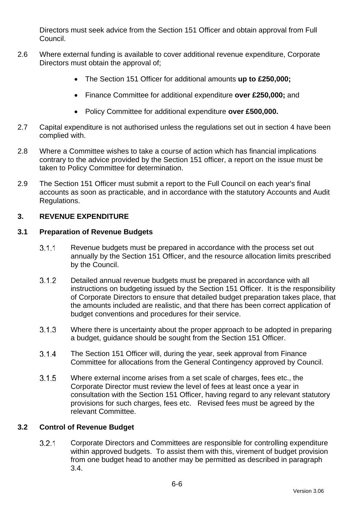Directors must seek advice from the Section 151 Officer and obtain approval from Full Council.

- 2.6 Where external funding is available to cover additional revenue expenditure, Corporate Directors must obtain the approval of;
	- The Section 151 Officer for additional amounts **up to £250,000;**
	- Finance Committee for additional expenditure **over £250,000;** and
	- Policy Committee for additional expenditure **over £500,000.**
- 2.7 Capital expenditure is not authorised unless the regulations set out in section [4](#page-85-0) have been complied with.
- 2.8 Where a Committee wishes to take a course of action which has financial implications contrary to the advice provided by the Section 151 officer, a report on the issue must be taken to Policy Committee for determination.
- 2.9 The Section 151 Officer must submit a report to the Full Council on each year's final accounts as soon as practicable, and in accordance with the statutory Accounts and Audit Regulations.

## <span id="page-81-0"></span>**3. REVENUE EXPENDITURE**

## **3.1 Preparation of Revenue Budgets**

- $3.1.1$ Revenue budgets must be prepared in accordance with the process set out annually by the Section 151 Officer, and the resource allocation limits prescribed by the Council.
- $3.1.2$ Detailed annual revenue budgets must be prepared in accordance with all instructions on budgeting issued by the Section 151 Officer. It is the responsibility of Corporate Directors to ensure that detailed budget preparation takes place, that the amounts included are realistic, and that there has been correct application of budget conventions and procedures for their service.
- $3.1.3$ Where there is uncertainty about the proper approach to be adopted in preparing a budget, guidance should be sought from the Section 151 Officer.
- $3.1.4$ The Section 151 Officer will, during the year, seek approval from Finance Committee for allocations from the General Contingency approved by Council.
- $3.1.5$ Where external income arises from a set scale of charges, fees etc., the Corporate Director must review the level of fees at least once a year in consultation with the Section 151 Officer, having regard to any relevant statutory provisions for such charges, fees etc. Revised fees must be agreed by the relevant Committee.

## **3.2 Control of Revenue Budget**

 $3.2.1$ Corporate Directors and Committees are responsible for controlling expenditure within approved budgets. To assist them with this, virement of budget provision from one budget head to another may be permitted as described in paragraph [3.4.](#page-84-0)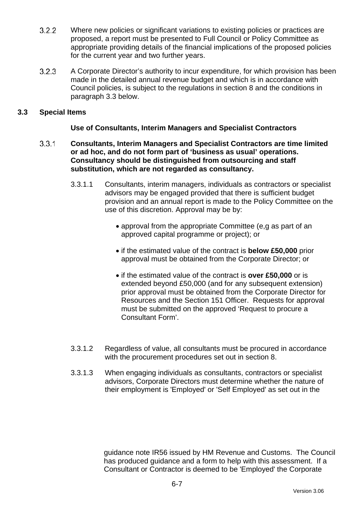- $3.2.2$ Where new policies or significant variations to existing policies or practices are proposed, a report must be presented to Full Council or Policy Committee as appropriate providing details of the financial implications of the proposed policies for the current year and two further years.
- $3.2.3$ A Corporate Director's authority to incur expenditure, for which provision has been made in the detailed annual revenue budget and which is in accordance with Council policies, is subject to the regulations in section [8](#page-93-0) and the conditions in paragraph [3.3](#page-82-0) below.

## <span id="page-82-0"></span>**3.3 Special Items**

## **Use of Consultants, Interim Managers and Specialist Contractors**

- $3.3.1$ **Consultants, Interim Managers and Specialist Contractors are time limited or ad hoc, and do not form part of 'business as usual' operations. Consultancy should be distinguished from outsourcing and staff substitution, which are not regarded as consultancy.**
	- 3.3.1.1 Consultants, interim managers, individuals as contractors or specialist advisors may be engaged provided that there is sufficient budget provision and an annual report is made to the Policy Committee on the use of this discretion. Approval may be by:
		- approval from the appropriate Committee (e,g as part of an approved capital programme or project); or
		- if the estimated value of the contract is **below £50,000** prior approval must be obtained from the Corporate Director; or
		- if the estimated value of the contract is **over £50,000** or is extended beyond £50,000 (and for any subsequent extension) prior approval must be obtained from the Corporate Director for Resources and the Section 151 Officer. Requests for approval must be submitted on the approved 'Request to procure a Consultant Form'.
	- 3.3.1.2 Regardless of value, all consultants must be procured in accordance with the procurement procedures set out in section [8.](#page-93-0)
	- 3.3.1.3 When engaging individuals as consultants, contractors or specialist advisors, Corporate Directors must determine whether the nature of their employment is 'Employed' or 'Self Employed' as set out in the

<span id="page-82-1"></span>guidance note IR56 issued by HM Revenue and Customs. The Council has produced guidance and a form to help with this assessment. If a Consultant or Contractor is deemed to be 'Employed' the Corporate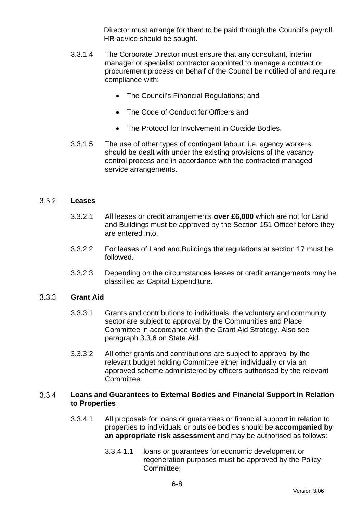Director must arrange for them to be paid through the Council's payroll. HR advice should be sought.

- 3.3.1.4 The Corporate Director must ensure that any consultant, interim manager or specialist contractor appointed to manage a contract or procurement process on behalf of the Council be notified of and require compliance with:
	- The Council's Financial Regulations; and
	- The Code of Conduct for Officers and
	- The Protocol for Involvement in Outside Bodies.
- 3.3.1.5 The use of other types of contingent labour, i.e. agency workers, should be dealt with under the existing provisions of the vacancy control process and in accordance with the contracted managed service arrangements.

#### <span id="page-83-0"></span> $3.3.2$ **Leases**

- 3.3.2.1 All leases or credit arrangements **over £6,000** which are not for Land and Buildings must be approved by the Section 151 Officer before they are entered into.
- 3.3.2.2 For leases of Land and Buildings the regulations at section [17](#page-112-0) must be followed.
- 3.3.2.3 Depending on the circumstances leases or credit arrangements may be classified as Capital Expenditure.

#### $3.3.3$ **Grant Aid**

- 3.3.3.1 Grants and contributions to individuals, the voluntary and community sector are subject to approval by the Communities and Place Committee in accordance with the Grant Aid Strategy. Also see paragraph 3.3.6 on State Aid.
- 3.3.3.2 All other grants and contributions are subject to approval by the relevant budget holding Committee either individually or via an approved scheme administered by officers authorised by the relevant Committee.

#### $3.3.4$ **Loans and Guarantees to External Bodies and Financial Support in Relation to Properties**

- 3.3.4.1 All proposals for loans or guarantees or financial support in relation to properties to individuals or outside bodies should be **accompanied by an appropriate risk assessment** and may be authorised as follows:
	- 3.3.4.1.1 loans or guarantees for economic development or regeneration purposes must be approved by the Policy Committee;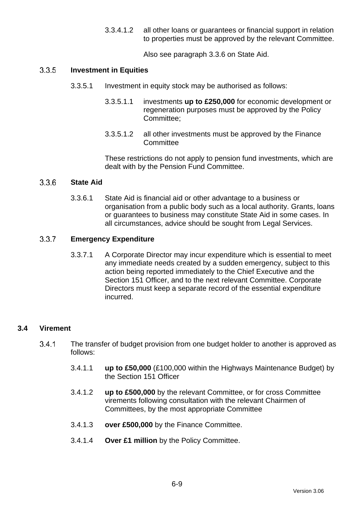3.3.4.1.2 all other loans or guarantees or financial support in relation to properties must be approved by the relevant Committee.

Also see paragraph 3.3.6 on State Aid.

#### $3.3.5$ **Investment in Equities**

- 3.3.5.1 Investment in equity stock may be authorised as follows:
	- 3.3.5.1.1 investments **up to £250,000** for economic development or regeneration purposes must be approved by the Policy Committee;
	- 3.3.5.1.2 all other investments must be approved by the Finance **Committee**

These restrictions do not apply to pension fund investments, which are dealt with by the Pension Fund Committee.

#### $3.3.6$ **State Aid**

3.3.6.1 State Aid is financial aid or other advantage to a business or organisation from a public body such as a local authority. Grants, loans or guarantees to business may constitute State Aid in some cases. In all circumstances, advice should be sought from Legal Services.

#### $3.3.7$ **Emergency Expenditure**

3.3.7.1 A Corporate Director may incur expenditure which is essential to meet any immediate needs created by a sudden emergency, subject to this action being reported immediately to the Chief Executive and the Section 151 Officer, and to the next relevant Committee. Corporate Directors must keep a separate record of the essential expenditure incurred.

#### <span id="page-84-0"></span>**3.4 Virement**

- $3.4.1$ The transfer of budget provision from one budget holder to another is approved as follows:
	- 3.4.1.1 **up to £50,000** (£100,000 within the Highways Maintenance Budget) by the Section 151 Officer
	- 3.4.1.2 **up to £500,000** by the relevant Committee, or for cross Committee virements following consultation with the relevant Chairmen of Committees, by the most appropriate Committee
	- 3.4.1.3 **over £500,000** by the Finance Committee.
	- 3.4.1.4 **Over £1 million** by the Policy Committee.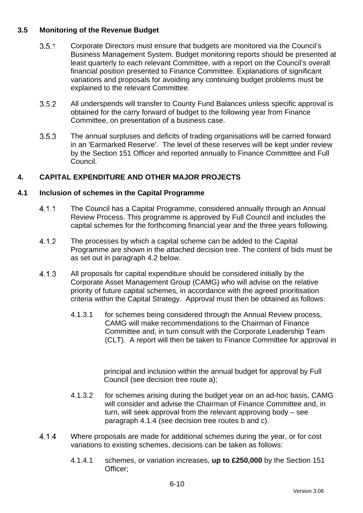## **3.5 Monitoring of the Revenue Budget**

- $3.5.1$ Corporate Directors must ensure that budgets are monitored via the Council's Business Management System. Budget monitoring reports should be presented at least quarterly to each relevant Committee, with a report on the Council's overall financial position presented to Finance Committee. Explanations of significant variations and proposals for avoiding any continuing budget problems must be explained to the relevant Committee.
- $3.5.2$ All underspends will transfer to County Fund Balances unless specific approval is obtained for the carry forward of budget to the following year from Finance Committee, on presentation of a business case.
- $3.5.3$ The annual surpluses and deficits of trading organisations will be carried forward in an 'Earmarked Reserve'. The level of these reserves will be kept under review by the Section 151 Officer and reported annually to Finance Committee and Full Council.

# <span id="page-85-0"></span>**4. CAPITAL EXPENDITURE AND OTHER MAJOR PROJECTS**

## <span id="page-85-3"></span>**4.1 Inclusion of schemes in the Capital Programme**

- $4.1.1$ The Council has a Capital Programme, considered annually through an Annual Review Process. This programme is approved by Full Council and includes the capital schemes for the forthcoming financial year and the three years following.
- $4.1.2$ The processes by which a capital scheme can be added to the Capital Programme are shown in the attached decision tree. The content of bids must be as set out in paragraph [4.2](#page-86-0) below.
- <span id="page-85-2"></span> $4.1.3$ All proposals for capital expenditure should be considered initially by the Corporate Asset Management Group (CAMG) who will advise on the relative priority of future capital schemes, in accordance with the agreed prioritisation criteria within the Capital Strategy. Approval must then be obtained as follows:
	- 4.1.3.1 for schemes being considered through the Annual Review process, CAMG will make recommendations to the Chairman of Finance Committee and, in turn consult with the Corporate Leadership Team (CLT). A report will then be taken to Finance Committee for approval in

principal and inclusion within the annual budget for approval by Full Council (see decision tree route a);

- 4.1.3.2 for schemes arising during the budget year on an ad-hoc basis, CAMG will consider and advise the Chairman of Finance Committee and, in turn, will seek approval from the relevant approving body – see paragraph [4.1.4](#page-85-1) (see decision tree routes b and c).
- <span id="page-85-1"></span>4 1 4 Where proposals are made for additional schemes during the year, or for cost variations to existing schemes, decisions can be taken as follows:
	- 4.1.4.1 schemes, or variation increases, **up to £250,000** by the Section 151 Officer;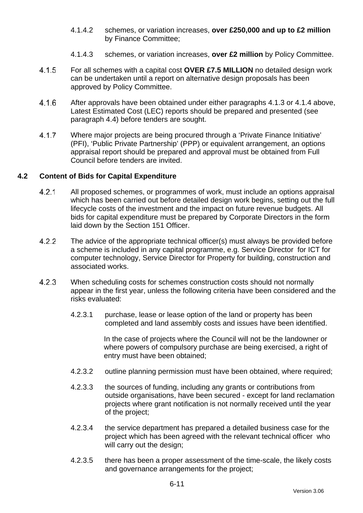- 4.1.4.2 schemes, or variation increases, **over £250,000 and up to £2 million** by Finance Committee;
- 4.1.4.3 schemes, or variation increases, **over £2 million** by Policy Committee.
- <span id="page-86-1"></span> $4.1.5$ For all schemes with a capital cost **OVER £7.5 MILLION** no detailed design work can be undertaken until a report on alternative design proposals has been approved by Policy Committee.
- $4.1.6$ After approvals have been obtained under either paragraphs [4.1.3](#page-85-2) or [4.1.4](#page-85-1) above, Latest Estimated Cost (LEC) reports should be prepared and presented (see paragraph [4.4\)](#page-87-0) before tenders are sought.
- $4.1.7$ Where major projects are being procured through a 'Private Finance Initiative' (PFI), 'Public Private Partnership' (PPP) or equivalent arrangement, an options appraisal report should be prepared and approval must be obtained from Full Council before tenders are invited.

## <span id="page-86-0"></span>**4.2 Content of Bids for Capital Expenditure**

- 421 All proposed schemes, or programmes of work, must include an options appraisal which has been carried out before detailed design work begins, setting out the full lifecycle costs of the investment and the impact on future revenue budgets. All bids for capital expenditure must be prepared by Corporate Directors in the form laid down by the Section 151 Officer.
- $4.2.2$ The advice of the appropriate technical officer(s) must always be provided before a scheme is included in any capital programme, e.g. Service Director for ICT for computer technology, Service Director for Property for building, construction and associated works.
- $4.2.3$ When scheduling costs for schemes construction costs should not normally appear in the first year, unless the following criteria have been considered and the risks evaluated:
	- 4.2.3.1 purchase, lease or lease option of the land or property has been completed and land assembly costs and issues have been identified.

In the case of projects where the Council will not be the landowner or where powers of compulsory purchase are being exercised, a right of entry must have been obtained;

- 4.2.3.2 outline planning permission must have been obtained, where required;
- 4.2.3.3 the sources of funding, including any grants or contributions from outside organisations, have been secured - except for land reclamation projects where grant notification is not normally received until the year of the project;
- 4.2.3.4 the service department has prepared a detailed business case for the project which has been agreed with the relevant technical officer who will carry out the design:
- 4.2.3.5 there has been a proper assessment of the time-scale, the likely costs and governance arrangements for the project;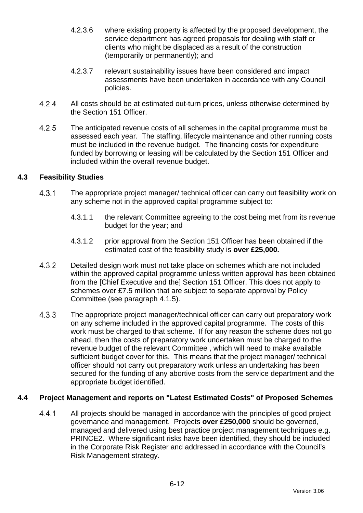- 4.2.3.6 where existing property is affected by the proposed development, the service department has agreed proposals for dealing with staff or clients who might be displaced as a result of the construction (temporarily or permanently); and
- 4.2.3.7 relevant sustainability issues have been considered and impact assessments have been undertaken in accordance with any Council policies.
- $4.2.4$ All costs should be at estimated out-turn prices, unless otherwise determined by the Section 151 Officer.
- $4.2.5$ The anticipated revenue costs of all schemes in the capital programme must be assessed each year. The staffing, lifecycle maintenance and other running costs must be included in the revenue budget. The financing costs for expenditure funded by borrowing or leasing will be calculated by the Section 151 Officer and included within the overall revenue budget.

## **4.3 Feasibility Studies**

- $4.3.1$ The appropriate project manager/ technical officer can carry out feasibility work on any scheme not in the approved capital programme subject to:
	- 4.3.1.1 the relevant Committee agreeing to the cost being met from its revenue budget for the year; and
	- 4.3.1.2 prior approval from the Section 151 Officer has been obtained if the estimated cost of the feasibility study is **over £25,000.**
- 432 Detailed design work must not take place on schemes which are not included within the approved capital programme unless written approval has been obtained from the [Chief Executive and the] Section 151 Officer. This does not apply to schemes over £7.5 million that are subject to separate approval by Policy Committee (see paragraph [4.1.5\)](#page-86-1).
- $4.3.3$ The appropriate project manager/technical officer can carry out preparatory work on any scheme included in the approved capital programme. The costs of this work must be charged to that scheme. If for any reason the scheme does not go ahead, then the costs of preparatory work undertaken must be charged to the revenue budget of the relevant Committee , which will need to make available sufficient budget cover for this. This means that the project manager/ technical officer should not carry out preparatory work unless an undertaking has been secured for the funding of any abortive costs from the service department and the appropriate budget identified.

#### <span id="page-87-0"></span>**4.4 Project Management and reports on "Latest Estimated Costs" of Proposed Schemes**

 $4.4.1$ All projects should be managed in accordance with the principles of good project governance and management. Projects **over £250,000** should be governed, managed and delivered using best practice project management techniques e.g. PRINCE2. Where significant risks have been identified, they should be included in the Corporate Risk Register and addressed in accordance with the Council's Risk Management strategy.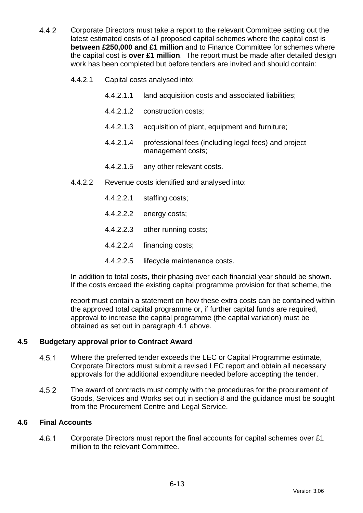- $4.4.2$ Corporate Directors must take a report to the relevant Committee setting out the latest estimated costs of all proposed capital schemes where the capital cost is **between £250,000 and £1 million** and to Finance Committee for schemes where the capital cost is **over £1 million**. The report must be made after detailed design work has been completed but before tenders are invited and should contain:
	- 4.4.2.1 Capital costs analysed into:
		- 4.4.2.1.1 land acquisition costs and associated liabilities;
		- 4.4.2.1.2 construction costs;
		- 4.4.2.1.3 acquisition of plant, equipment and furniture;
		- 4.4.2.1.4 professional fees (including legal fees) and project management costs;
		- 4.4.2.1.5 any other relevant costs.
	- 4.4.2.2 Revenue costs identified and analysed into:
		- 4.4.2.2.1 staffing costs;
		- 4.4.2.2.2 energy costs;
		- 4.4.2.2.3 other running costs;
		- 4.4.2.2.4 financing costs;
		- 4.4.2.2.5 lifecycle maintenance costs.

In addition to total costs, their phasing over each financial year should be shown. If the costs exceed the existing capital programme provision for that scheme, the

report must contain a statement on how these extra costs can be contained within the approved total capital programme or, if further capital funds are required, approval to increase the capital programme (the capital variation) must be obtained as set out in paragraph [4.1](#page-85-3) above.

#### **4.5 Budgetary approval prior to Contract Award**

- $4.5.1$ Where the preferred tender exceeds the LEC or Capital Programme estimate, Corporate Directors must submit a revised LEC report and obtain all necessary approvals for the additional expenditure needed before accepting the tender.
- $4.5.2$ The award of contracts must comply with the procedures for the procurement of Goods, Services and Works set out in section [8](#page-93-0) and the guidance must be sought from the Procurement Centre and Legal Service.

#### **4.6 Final Accounts**

4.6.1 Corporate Directors must report the final accounts for capital schemes over £1 million to the relevant Committee.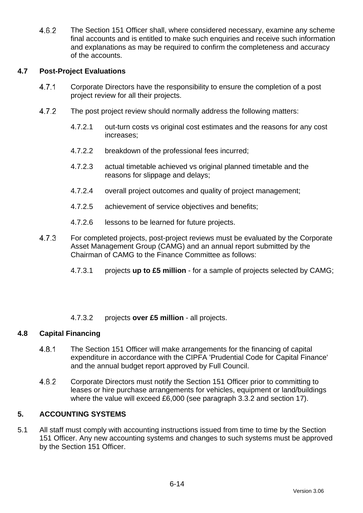$4.6.2$ The Section 151 Officer shall, where considered necessary, examine any scheme final accounts and is entitled to make such enquiries and receive such information and explanations as may be required to confirm the completeness and accuracy of the accounts.

## **4.7 Post-Project Evaluations**

- $4.7.1$ Corporate Directors have the responsibility to ensure the completion of a post project review for all their projects.
- 4.7.2 The post project review should normally address the following matters:
	- 4.7.2.1 out-turn costs vs original cost estimates and the reasons for any cost increases;
	- 4.7.2.2 breakdown of the professional fees incurred;
	- 4.7.2.3 actual timetable achieved vs original planned timetable and the reasons for slippage and delays;
	- 4.7.2.4 overall project outcomes and quality of project management;
	- 4.7.2.5 achievement of service objectives and benefits;
	- 4.7.2.6 lessons to be learned for future projects.
- 473 For completed projects, post-project reviews must be evaluated by the Corporate Asset Management Group (CAMG) and an annual report submitted by the Chairman of CAMG to the Finance Committee as follows:
	- 4.7.3.1 projects **up to £5 million** for a sample of projects selected by CAMG;

#### 4.7.3.2 projects **over £5 million** - all projects.

#### **4.8 Capital Financing**

- 4.8.1 The Section 151 Officer will make arrangements for the financing of capital expenditure in accordance with the CIPFA 'Prudential Code for Capital Finance' and the annual budget report approved by Full Council.
- 4.8.2 Corporate Directors must notify the Section 151 Officer prior to committing to leases or hire purchase arrangements for vehicles, equipment or land/buildings where the value will exceed £6,000 (see paragraph [3.3.2](#page-83-0) and section [17\)](#page-112-0).

#### <span id="page-89-0"></span>**5. ACCOUNTING SYSTEMS**

5.1 All staff must comply with accounting instructions issued from time to time by the Section 151 Officer. Any new accounting systems and changes to such systems must be approved by the Section 151 Officer.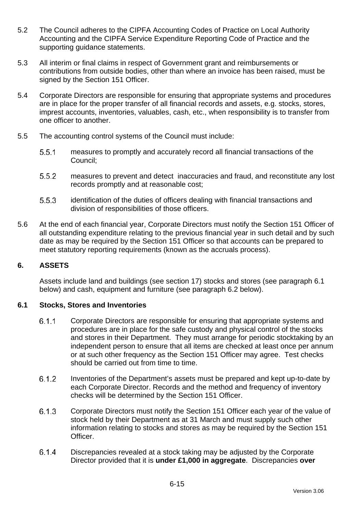- 5.2 The Council adheres to the CIPFA Accounting Codes of Practice on Local Authority Accounting and the CIPFA Service Expenditure Reporting Code of Practice and the supporting guidance statements.
- 5.3 All interim or final claims in respect of Government grant and reimbursements or contributions from outside bodies, other than where an invoice has been raised, must be signed by the Section 151 Officer.
- 5.4 Corporate Directors are responsible for ensuring that appropriate systems and procedures are in place for the proper transfer of all financial records and assets, e.g. stocks, stores, imprest accounts, inventories, valuables, cash, etc., when responsibility is to transfer from one officer to another.
- 5.5 The accounting control systems of the Council must include:
	- $5.5.1$ measures to promptly and accurately record all financial transactions of the Council;
	- 5.5.2 measures to prevent and detect inaccuracies and fraud, and reconstitute any lost records promptly and at reasonable cost;
	- 5.5.3 identification of the duties of officers dealing with financial transactions and division of responsibilities of those officers.
- 5.6 At the end of each financial year, Corporate Directors must notify the Section 151 Officer of all outstanding expenditure relating to the previous financial year in such detail and by such date as may be required by the Section 151 Officer so that accounts can be prepared to meet statutory reporting requirements (known as the accruals process).

## <span id="page-90-0"></span>**6. ASSETS**

Assets include land and buildings (see section [17\)](#page-112-0) stocks and stores (see paragraph [6.1](#page-90-1) below) and cash, equipment and furniture (see paragraph [6.2](#page-91-0) below).

#### <span id="page-90-1"></span>**6.1 Stocks, Stores and Inventories**

- $6.1.1$ Corporate Directors are responsible for ensuring that appropriate systems and procedures are in place for the safe custody and physical control of the stocks and stores in their Department. They must arrange for periodic stocktaking by an independent person to ensure that all items are checked at least once per annum or at such other frequency as the Section 151 Officer may agree. Test checks should be carried out from time to time.
- $6.1.2$ Inventories of the Department's assets must be prepared and kept up-to-date by each Corporate Director. Records and the method and frequency of inventory checks will be determined by the Section 151 Officer.
- $6.1.3$ Corporate Directors must notify the Section 151 Officer each year of the value of stock held by their Department as at 31 March and must supply such other information relating to stocks and stores as may be required by the Section 151 Officer.
- $6.1.4$ Discrepancies revealed at a stock taking may be adjusted by the Corporate Director provided that it is **under £1,000 in aggregate**. Discrepancies **over**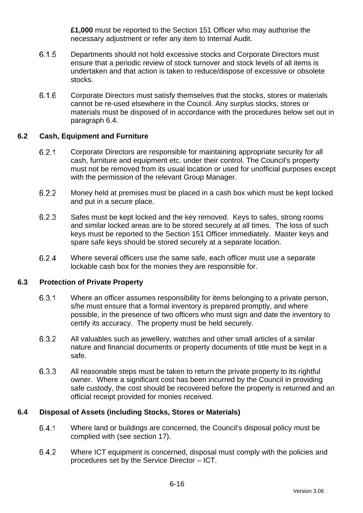**£1,000** must be reported to the Section 151 Officer who may authorise the necessary adjustment or refer any item to Internal Audit.

- $6.1.5$ Departments should not hold excessive stocks and Corporate Directors must ensure that a periodic review of stock turnover and stock levels of all items is undertaken and that action is taken to reduce/dispose of excessive or obsolete stocks.
- 6.1.6 Corporate Directors must satisfy themselves that the stocks, stores or materials cannot be re-used elsewhere in the Council. Any surplus stocks, stores or materials must be disposed of in accordance with the procedures below set out in paragraph [6.4.](#page-91-1)

#### <span id="page-91-0"></span>**6.2 Cash, Equipment and Furniture**

- $6.2.1$ Corporate Directors are responsible for maintaining appropriate security for all cash, furniture and equipment etc. under their control. The Council's property must not be removed from its usual location or used for unofficial purposes except with the permission of the relevant Group Manager.
- $6.2.2$ Money held at premises must be placed in a cash box which must be kept locked and put in a secure place.
- $6.2.3$ Safes must be kept locked and the key removed. Keys to safes, strong rooms and similar locked areas are to be stored securely at all times. The loss of such keys must be reported to the Section 151 Officer immediately. Master keys and spare safe keys should be stored securely at a separate location.
- $6.2.4$ Where several officers use the same safe, each officer must use a separate lockable cash box for the monies they are responsible for.

#### **6.3 Protection of Private Property**

- $6.3.1$ Where an officer assumes responsibility for items belonging to a private person, s/he must ensure that a formal inventory is prepared promptly, and where possible, in the presence of two officers who must sign and date the inventory to certify its accuracy. The property must be held securely.
- 632 All valuables such as jewellery, watches and other small articles of a similar nature and financial documents or property documents of title must be kept in a safe.
- 6.3.3 All reasonable steps must be taken to return the private property to its rightful owner. Where a significant cost has been incurred by the Council in providing safe custody, the cost should be recovered before the property is returned and an official receipt provided for monies received.

#### <span id="page-91-1"></span>**6.4 Disposal of Assets (including Stocks, Stores or Materials)**

- $6.4.1$ Where land or buildings are concerned, the Council's disposal policy must be complied with (see section [17\)](#page-112-0).
- 6.4.2 Where ICT equipment is concerned, disposal must comply with the policies and procedures set by the Service Director – ICT.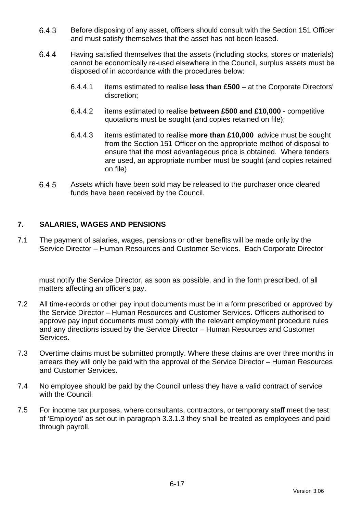- 6.4.3 Before disposing of any asset, officers should consult with the Section 151 Officer and must satisfy themselves that the asset has not been leased.
- 6.4.4 Having satisfied themselves that the assets (including stocks, stores or materials) cannot be economically re-used elsewhere in the Council, surplus assets must be disposed of in accordance with the procedures below:
	- 6.4.4.1 items estimated to realise **less than £500** at the Corporate Directors' discretion;
	- 6.4.4.2 items estimated to realise **between £500 and £10,000** competitive quotations must be sought (and copies retained on file);
	- 6.4.4.3 items estimated to realise **more than £10,000** advice must be sought from the Section 151 Officer on the appropriate method of disposal to ensure that the most advantageous price is obtained. Where tenders are used, an appropriate number must be sought (and copies retained on file)
- 6.4.5 Assets which have been sold may be released to the purchaser once cleared funds have been received by the Council.

## <span id="page-92-0"></span>**7. SALARIES, WAGES AND PENSIONS**

7.1 The payment of salaries, wages, pensions or other benefits will be made only by the Service Director – Human Resources and Customer Services. Each Corporate Director

must notify the Service Director, as soon as possible, and in the form prescribed, of all matters affecting an officer's pay.

- 7.2 All time-records or other pay input documents must be in a form prescribed or approved by the Service Director – Human Resources and Customer Services. Officers authorised to approve pay input documents must comply with the relevant employment procedure rules and any directions issued by the Service Director – Human Resources and Customer Services.
- 7.3 Overtime claims must be submitted promptly. Where these claims are over three months in arrears they will only be paid with the approval of the Service Director – Human Resources and Customer Services.
- 7.4 No employee should be paid by the Council unless they have a valid contract of service with the Council.
- 7.5 For income tax purposes, where consultants, contractors, or temporary staff meet the test of 'Employed' as set out in paragraph [3.3.1.3](#page-82-1) they shall be treated as employees and paid through payroll.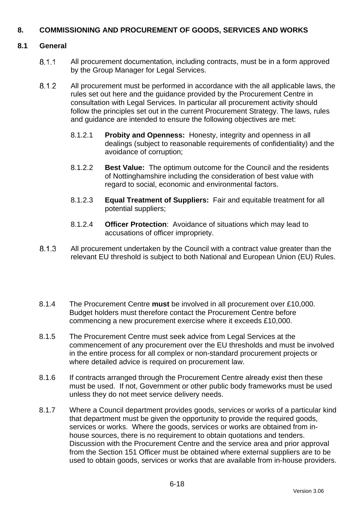## <span id="page-93-0"></span>**8. COMMISSIONING AND PROCUREMENT OF GOODS, SERVICES AND WORKS**

#### **8.1 General**

- $8.1.1$ All procurement documentation, including contracts, must be in a form approved by the Group Manager for Legal Services.
- 812 All procurement must be performed in accordance with the all applicable laws, the rules set out here and the guidance provided by the Procurement Centre in consultation with Legal Services. In particular all procurement activity should follow the principles set out in the current Procurement Strategy. The laws, rules and guidance are intended to ensure the following objectives are met:
	- 8.1.2.1 **Probity and Openness:** Honesty, integrity and openness in all dealings (subject to reasonable requirements of confidentiality) and the avoidance of corruption;
	- 8.1.2.2 **Best Value:** The optimum outcome for the Council and the residents of Nottinghamshire including the consideration of best value with regard to social, economic and environmental factors.
	- 8.1.2.3 **Equal Treatment of Suppliers:** Fair and equitable treatment for all potential suppliers;
	- 8.1.2.4 **Officer Protection**: Avoidance of situations which may lead to accusations of officer impropriety.
- 8.1.3 All procurement undertaken by the Council with a contract value greater than the relevant EU threshold is subject to both National and European Union (EU) Rules.
- 8.1.4 The Procurement Centre **must** be involved in all procurement over £10,000. Budget holders must therefore contact the Procurement Centre before commencing a new procurement exercise where it exceeds £10,000.
- 8.1.5 The Procurement Centre must seek advice from Legal Services at the commencement of any procurement over the EU thresholds and must be involved in the entire process for all complex or non-standard procurement projects or where detailed advice is required on procurement law.
- 8.1.6 If contracts arranged through the Procurement Centre already exist then these must be used. If not, Government or other public body frameworks must be used unless they do not meet service delivery needs.
- 8.1.7 Where a Council department provides goods, services or works of a particular kind that department must be given the opportunity to provide the required goods, services or works. Where the goods, services or works are obtained from inhouse sources, there is no requirement to obtain quotations and tenders. Discussion with the Procurement Centre and the service area and prior approval from the Section 151 Officer must be obtained where external suppliers are to be used to obtain goods, services or works that are available from in-house providers.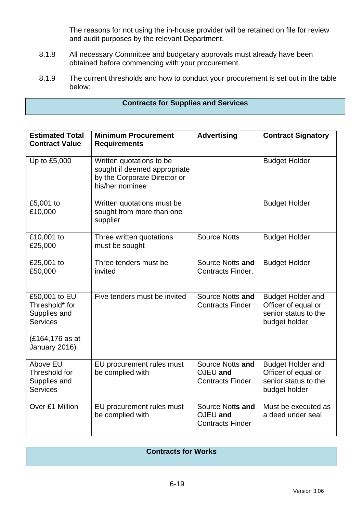The reasons for not using the in-house provider will be retained on file for review and audit purposes by the relevant Department.

- 8.1.8 All necessary Committee and budgetary approvals must already have been obtained before commencing with your procurement.
- 8.1.9 The current thresholds and how to conduct your procurement is set out in the table below:

## **Contracts for Supplies and Services**

| <b>Estimated Total</b><br><b>Contract Value</b>                                       | <b>Minimum Procurement</b><br><b>Requirements</b>                                                           | <b>Advertising</b>                                      | <b>Contract Signatory</b>                                                                |
|---------------------------------------------------------------------------------------|-------------------------------------------------------------------------------------------------------------|---------------------------------------------------------|------------------------------------------------------------------------------------------|
| Up to £5,000                                                                          | Written quotations to be<br>sought if deemed appropriate<br>by the Corporate Director or<br>his/her nominee |                                                         | <b>Budget Holder</b>                                                                     |
| £5,001 to<br>£10,000                                                                  | Written quotations must be<br>sought from more than one<br>supplier                                         |                                                         | <b>Budget Holder</b>                                                                     |
| £10,001 to<br>£25,000                                                                 | Three written quotations<br>must be sought                                                                  | <b>Source Notts</b>                                     | <b>Budget Holder</b>                                                                     |
| £25,001 to<br>£50,000                                                                 | Three tenders must be<br>invited                                                                            | Source Notts and<br>Contracts Finder.                   | <b>Budget Holder</b>                                                                     |
| £50,001 to EU<br>Threshold* for<br>Supplies and<br><b>Services</b><br>(£164,176 as at | Five tenders must be invited                                                                                | Source Notts and<br><b>Contracts Finder</b>             | <b>Budget Holder and</b><br>Officer of equal or<br>senior status to the<br>budget holder |
| January 2016)                                                                         |                                                                                                             |                                                         |                                                                                          |
| Above EU<br>Threshold for<br>Supplies and<br><b>Services</b>                          | EU procurement rules must<br>be complied with                                                               | Source Notts and<br>OJEU and<br><b>Contracts Finder</b> | <b>Budget Holder and</b><br>Officer of equal or<br>senior status to the<br>budget holder |
| Over £1 Million                                                                       | EU procurement rules must<br>be complied with                                                               | Source Notts and<br>OJEU and<br><b>Contracts Finder</b> | Must be executed as<br>a deed under seal                                                 |

| <b>Contracts for Works</b> |
|----------------------------|
|----------------------------|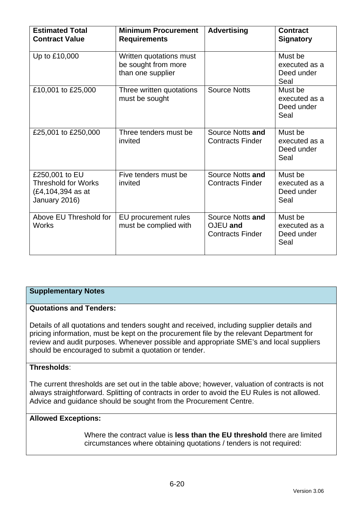| <b>Estimated Total</b><br><b>Contract Value</b>                                    | <b>Minimum Procurement</b><br><b>Requirements</b>                   | <b>Advertising</b>                                      | <b>Contract</b><br><b>Signatory</b>            |
|------------------------------------------------------------------------------------|---------------------------------------------------------------------|---------------------------------------------------------|------------------------------------------------|
| Up to £10,000                                                                      | Written quotations must<br>be sought from more<br>than one supplier |                                                         | Must be<br>executed as a<br>Deed under<br>Seal |
| £10,001 to £25,000                                                                 | Three written quotations<br>must be sought                          | <b>Source Notts</b>                                     | Must be<br>executed as a<br>Deed under<br>Seal |
| £25,001 to £250,000                                                                | Three tenders must be<br>invited                                    | Source Notts and<br><b>Contracts Finder</b>             | Must be<br>executed as a<br>Deed under<br>Seal |
| £250,001 to EU<br><b>Threshold for Works</b><br>(£4,104,394 as at<br>January 2016) | Five tenders must be<br>invited                                     | Source Notts and<br><b>Contracts Finder</b>             | Must be<br>executed as a<br>Deed under<br>Seal |
| Above EU Threshold for<br><b>Works</b>                                             | EU procurement rules<br>must be complied with                       | Source Notts and<br>OJEU and<br><b>Contracts Finder</b> | Must be<br>executed as a<br>Deed under<br>Seal |

## **Supplementary Notes**

#### **Quotations and Tenders:**

Details of all quotations and tenders sought and received, including supplier details and pricing information, must be kept on the procurement file by the relevant Department for review and audit purposes. Whenever possible and appropriate SME's and local suppliers should be encouraged to submit a quotation or tender.

#### **Thresholds**:

The current thresholds are set out in the table above; however, valuation of contracts is not always straightforward. Splitting of contracts in order to avoid the EU Rules is not allowed. Advice and guidance should be sought from the Procurement Centre.

#### **Allowed Exceptions:**

Where the contract value is **less than the EU threshold** there are limited circumstances where obtaining quotations / tenders is not required: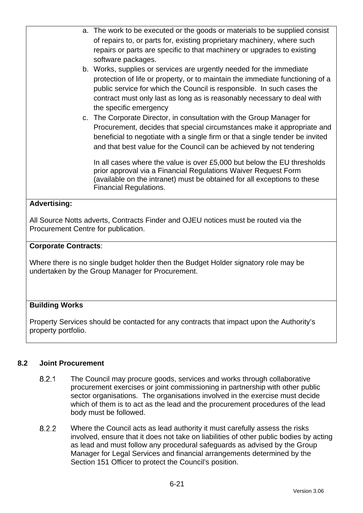a. The work to be executed or the goods or materials to be supplied consist of repairs to, or parts for, existing proprietary machinery, where such repairs or parts are specific to that machinery or upgrades to existing software packages. b. Works, supplies or services are urgently needed for the immediate protection of life or property, or to maintain the immediate functioning of a public service for which the Council is responsible. In such cases the contract must only last as long as is reasonably necessary to deal with the specific emergency c. The Corporate Director, in consultation with the Group Manager for Procurement, decides that special circumstances make it appropriate and beneficial to negotiate with a single firm or that a single tender be invited and that best value for the Council can be achieved by not tendering In all cases where the value is over £5,000 but below the EU thresholds prior approval via a Financial Regulations Waiver Request Form

(available on the intranet) must be obtained for all exceptions to these Financial Regulations.

# **Advertising:**

All Source Notts adverts, Contracts Finder and OJEU notices must be routed via the Procurement Centre for publication.

## **Corporate Contracts**:

Where there is no single budget holder then the Budget Holder signatory role may be undertaken by the Group Manager for Procurement.

# **Building Works**

Property Services should be contacted for any contracts that impact upon the Authority's property portfolio.

## **8.2 Joint Procurement**

- $8.2.1$ The Council may procure goods, services and works through collaborative procurement exercises or joint commissioning in partnership with other public sector organisations. The organisations involved in the exercise must decide which of them is to act as the lead and the procurement procedures of the lead body must be followed.
- 8.2.2 Where the Council acts as lead authority it must carefully assess the risks involved, ensure that it does not take on liabilities of other public bodies by acting as lead and must follow any procedural safeguards as advised by the Group Manager for Legal Services and financial arrangements determined by the Section 151 Officer to protect the Council's position.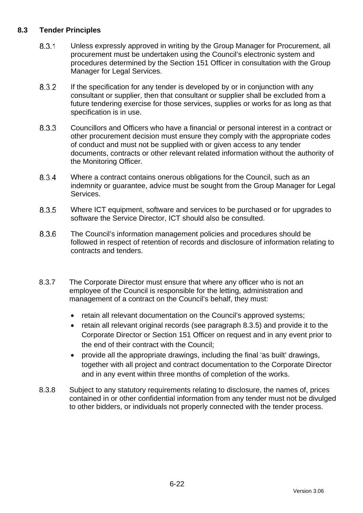## **8.3 Tender Principles**

- 8.3.1 Unless expressly approved in writing by the Group Manager for Procurement, all procurement must be undertaken using the Council's electronic system and procedures determined by the Section 151 Officer in consultation with the Group Manager for Legal Services.
- 8.3.2 If the specification for any tender is developed by or in conjunction with any consultant or supplier, then that consultant or supplier shall be excluded from a future tendering exercise for those services, supplies or works for as long as that specification is in use.
- 8.3.3 Councillors and Officers who have a financial or personal interest in a contract or other procurement decision must ensure they comply with the appropriate codes of conduct and must not be supplied with or given access to any tender documents, contracts or other relevant related information without the authority of the Monitoring Officer.
- 8.3.4 Where a contract contains onerous obligations for the Council, such as an indemnity or guarantee, advice must be sought from the Group Manager for Legal Services.
- 8.3.5 Where ICT equipment, software and services to be purchased or for upgrades to software the Service Director, ICT should also be consulted.
- 8.3.6 The Council's information management policies and procedures should be followed in respect of retention of records and disclosure of information relating to contracts and tenders.
- 8.3.7 The Corporate Director must ensure that where any officer who is not an employee of the Council is responsible for the letting, administration and management of a contract on the Council's behalf, they must:
	- retain all relevant documentation on the Council's approved systems;
	- retain all relevant original records (see paragraph 8.3.5) and provide it to the Corporate Director or Section 151 Officer on request and in any event prior to the end of their contract with the Council;
	- provide all the appropriate drawings, including the final 'as built' drawings, together with all project and contract documentation to the Corporate Director and in any event within three months of completion of the works.
- 8.3.8 Subject to any statutory requirements relating to disclosure, the names of, prices contained in or other confidential information from any tender must not be divulged to other bidders, or individuals not properly connected with the tender process.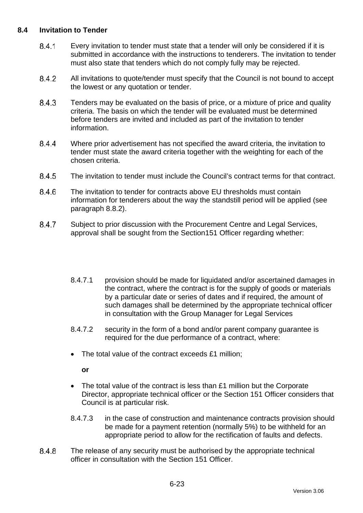## **8.4 Invitation to Tender**

- 841 Every invitation to tender must state that a tender will only be considered if it is submitted in accordance with the instructions to tenderers. The invitation to tender must also state that tenders which do not comply fully may be rejected.
- 8.4.2 All invitations to quote/tender must specify that the Council is not bound to accept the lowest or any quotation or tender.
- 8.4.3 Tenders may be evaluated on the basis of price, or a mixture of price and quality criteria. The basis on which the tender will be evaluated must be determined before tenders are invited and included as part of the invitation to tender information.
- 8.4.4 Where prior advertisement has not specified the award criteria, the invitation to tender must state the award criteria together with the weighting for each of the chosen criteria.
- 8.4.5 The invitation to tender must include the Council's contract terms for that contract.
- 846 The invitation to tender for contracts above EU thresholds must contain information for tenderers about the way the standstill period will be applied (see paragraph 8.8.2).
- 8.4.7 Subject to prior discussion with the Procurement Centre and Legal Services, approval shall be sought from the Section151 Officer regarding whether:
	- 8.4.7.1 provision should be made for liquidated and/or ascertained damages in the contract, where the contract is for the supply of goods or materials by a particular date or series of dates and if required, the amount of such damages shall be determined by the appropriate technical officer in consultation with the Group Manager for Legal Services
	- 8.4.7.2 security in the form of a bond and/or parent company guarantee is required for the due performance of a contract, where:
	- The total value of the contract exceeds £1 million:

**or**

- The total value of the contract is less than £1 million but the Corporate Director, appropriate technical officer or the Section 151 Officer considers that Council is at particular risk.
- 8.4.7.3 in the case of construction and maintenance contracts provision should be made for a payment retention (normally 5%) to be withheld for an appropriate period to allow for the rectification of faults and defects.
- 8.4.8 The release of any security must be authorised by the appropriate technical officer in consultation with the Section 151 Officer.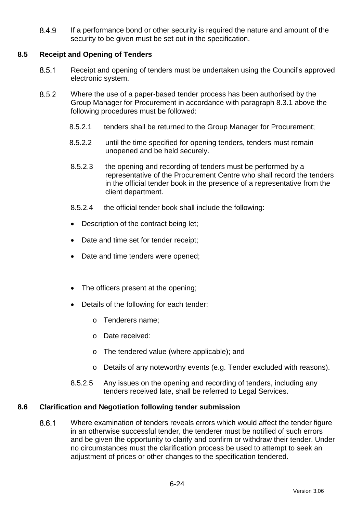8.4.9 If a performance bond or other security is required the nature and amount of the security to be given must be set out in the specification.

#### **8.5 Receipt and Opening of Tenders**

- 8.5.1 Receipt and opening of tenders must be undertaken using the Council's approved electronic system.
- 8.5.2 Where the use of a paper-based tender process has been authorised by the Group Manager for Procurement in accordance with paragraph 8.3.1 above the following procedures must be followed:
	- 8.5.2.1 tenders shall be returned to the Group Manager for Procurement;
	- 8.5.2.2 until the time specified for opening tenders, tenders must remain unopened and be held securely.
	- 8.5.2.3 the opening and recording of tenders must be performed by a representative of the Procurement Centre who shall record the tenders in the official tender book in the presence of a representative from the client department.
	- 8.5.2.4 the official tender book shall include the following:
	- Description of the contract being let:
	- Date and time set for tender receipt;
	- Date and time tenders were opened;
	- The officers present at the opening;
	- Details of the following for each tender:
		- o Tenderers name;
		- o Date received:
		- o The tendered value (where applicable); and
		- o Details of any noteworthy events (e.g. Tender excluded with reasons).
	- 8.5.2.5 Any issues on the opening and recording of tenders, including any tenders received late, shall be referred to Legal Services.

#### **8.6 Clarification and Negotiation following tender submission**

8.6.1 Where examination of tenders reveals errors which would affect the tender figure in an otherwise successful tender, the tenderer must be notified of such errors and be given the opportunity to clarify and confirm or withdraw their tender. Under no circumstances must the clarification process be used to attempt to seek an adjustment of prices or other changes to the specification tendered.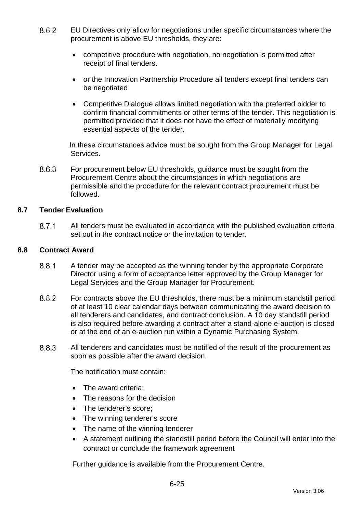- 8.6.2 EU Directives only allow for negotiations under specific circumstances where the procurement is above EU thresholds, they are:
	- competitive procedure with negotiation, no negotiation is permitted after receipt of final tenders.
	- or the Innovation Partnership Procedure all tenders except final tenders can be negotiated
	- Competitive Dialogue allows limited negotiation with the preferred bidder to confirm financial commitments or other terms of the tender. This negotiation is permitted provided that it does not have the effect of materially modifying essential aspects of the tender.

In these circumstances advice must be sought from the Group Manager for Legal Services.

8.6.3 For procurement below EU thresholds, guidance must be sought from the Procurement Centre about the circumstances in which negotiations are permissible and the procedure for the relevant contract procurement must be followed.

## **8.7 Tender Evaluation**

8.7.1 All tenders must be evaluated in accordance with the published evaluation criteria set out in the contract notice or the invitation to tender.

#### **8.8 Contract Award**

- 881 A tender may be accepted as the winning tender by the appropriate Corporate Director using a form of acceptance letter approved by the Group Manager for Legal Services and the Group Manager for Procurement.
- 882 For contracts above the EU thresholds, there must be a minimum standstill period of at least 10 clear calendar days between communicating the award decision to all tenderers and candidates, and contract conclusion. A 10 day standstill period is also required before awarding a contract after a stand-alone e-auction is closed or at the end of an e-auction run within a Dynamic Purchasing System.
- 883 All tenderers and candidates must be notified of the result of the procurement as soon as possible after the award decision.

The notification must contain:

- The award criteria:
- The reasons for the decision
- The tenderer's score:
- The winning tenderer's score
- The name of the winning tenderer
- A statement outlining the standstill period before the Council will enter into the contract or conclude the framework agreement

Further guidance is available from the Procurement Centre.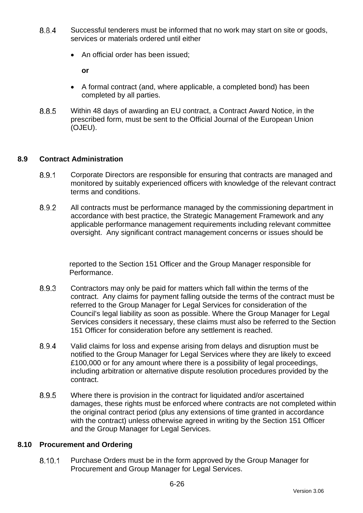- 8.8.4 Successful tenderers must be informed that no work may start on site or goods, services or materials ordered until either
	- An official order has been issued;

**or**

- A formal contract (and, where applicable, a completed bond) has been completed by all parties.
- 885 Within 48 days of awarding an EU contract, a Contract Award Notice, in the prescribed form, must be sent to the Official Journal of the European Union (OJEU).

#### **8.9 Contract Administration**

- 891 Corporate Directors are responsible for ensuring that contracts are managed and monitored by suitably experienced officers with knowledge of the relevant contract terms and conditions.
- 8.9.2 All contracts must be performance managed by the commissioning department in accordance with best practice, the Strategic Management Framework and any applicable performance management requirements including relevant committee oversight. Any significant contract management concerns or issues should be

reported to the Section 151 Officer and the Group Manager responsible for Performance.

- 8.9.3 Contractors may only be paid for matters which fall within the terms of the contract. Any claims for payment falling outside the terms of the contract must be referred to the Group Manager for Legal Services for consideration of the Council's legal liability as soon as possible. Where the Group Manager for Legal Services considers it necessary, these claims must also be referred to the Section 151 Officer for consideration before any settlement is reached.
- 8.9.4 Valid claims for loss and expense arising from delays and disruption must be notified to the Group Manager for Legal Services where they are likely to exceed £100,000 or for any amount where there is a possibility of legal proceedings, including arbitration or alternative dispute resolution procedures provided by the contract.
- 8.9.5 Where there is provision in the contract for liquidated and/or ascertained damages, these rights must be enforced where contracts are not completed within the original contract period (plus any extensions of time granted in accordance with the contract) unless otherwise agreed in writing by the Section 151 Officer and the Group Manager for Legal Services.

#### **8.10 Procurement and Ordering**

8.10.1 Purchase Orders must be in the form approved by the Group Manager for Procurement and Group Manager for Legal Services.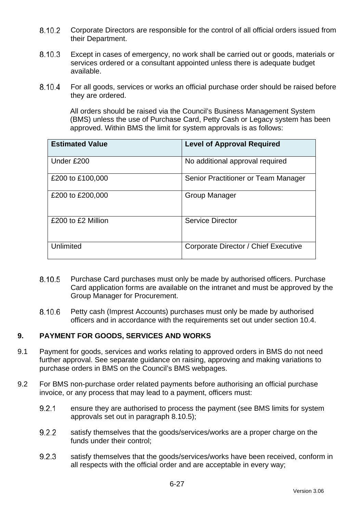- 8.10.2 Corporate Directors are responsible for the control of all official orders issued from their Department.
- 8.10.3 Except in cases of emergency, no work shall be carried out or goods, materials or services ordered or a consultant appointed unless there is adequate budget available.
- 8.10.4 For all goods, services or works an official purchase order should be raised before they are ordered.

All orders should be raised via the Council's Business Management System (BMS) unless the use of Purchase Card, Petty Cash or Legacy system has been approved. Within BMS the limit for system approvals is as follows:

| <b>Estimated Value</b> | <b>Level of Approval Required</b>    |
|------------------------|--------------------------------------|
| Under £200             | No additional approval required      |
| £200 to £100,000       | Senior Practitioner or Team Manager  |
| £200 to £200,000       | Group Manager                        |
| £200 to £2 Million     | <b>Service Director</b>              |
| Unlimited              | Corporate Director / Chief Executive |

- 8.10.5 Purchase Card purchases must only be made by authorised officers. Purchase Card application forms are available on the intranet and must be approved by the Group Manager for Procurement.
- 8.10.6 Petty cash (Imprest Accounts) purchases must only be made by authorised officers and in accordance with the requirements set out under section [10.4.](#page-106-0)

#### <span id="page-102-0"></span>**9. PAYMENT FOR GOODS, SERVICES AND WORKS**

- 9.1 Payment for goods, services and works relating to approved orders in BMS do not need further approval. See separate guidance on raising, approving and making variations to purchase orders in BMS on the Council's BMS webpages.
- <span id="page-102-3"></span><span id="page-102-2"></span><span id="page-102-1"></span>9.2 For BMS non-purchase order related payments before authorising an official purchase invoice, or any process that may lead to a payment, officers must:
	- ensure they are authorised to process the payment (see BMS limits for system  $9.2.1$ approvals set out in paragraph 8.10.5);
	- $9.2.2$ satisfy themselves that the goods/services/works are a proper charge on the funds under their control;
	- $9.2.3$ satisfy themselves that the goods/services/works have been received, conform in all respects with the official order and are acceptable in every way;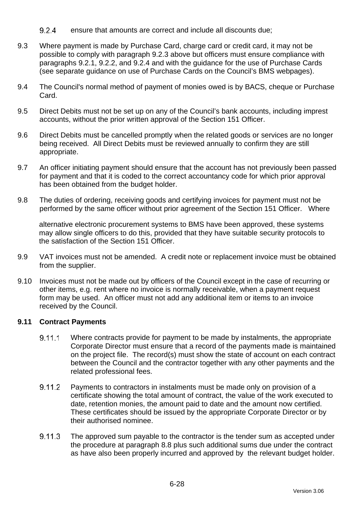- $9.2.4$ ensure that amounts are correct and include all discounts due;
- <span id="page-103-0"></span>9.3 Where payment is made by Purchase Card, charge card or credit card, it may not be possible to comply with paragraph [9.2.3](#page-102-1) above but officers must ensure compliance with paragraphs [9.2.1,](#page-102-2) [9.2.2,](#page-102-3) and [9.2.4](#page-103-0) and with the guidance for the use of Purchase Cards (see separate guidance on use of Purchase Cards on the Council's BMS webpages).
- 9.4 The Council's normal method of payment of monies owed is by BACS, cheque or Purchase Card.
- 9.5 Direct Debits must not be set up on any of the Council's bank accounts, including imprest accounts, without the prior written approval of the Section 151 Officer.
- 9.6 Direct Debits must be cancelled promptly when the related goods or services are no longer being received. All Direct Debits must be reviewed annually to confirm they are still appropriate.
- 9.7 An officer initiating payment should ensure that the account has not previously been passed for payment and that it is coded to the correct accountancy code for which prior approval has been obtained from the budget holder.
- 9.8 The duties of ordering, receiving goods and certifying invoices for payment must not be performed by the same officer without prior agreement of the Section 151 Officer. Where

alternative electronic procurement systems to BMS have been approved, these systems may allow single officers to do this, provided that they have suitable security protocols to the satisfaction of the Section 151 Officer.

- 9.9 VAT invoices must not be amended. A credit note or replacement invoice must be obtained from the supplier.
- 9.10 Invoices must not be made out by officers of the Council except in the case of recurring or other items, e.g. rent where no invoice is normally receivable, when a payment request form may be used. An officer must not add any additional item or items to an invoice received by the Council.

#### **9.11 Contract Payments**

- $9.11.1$ Where contracts provide for payment to be made by instalments, the appropriate Corporate Director must ensure that a record of the payments made is maintained on the project file. The record(s) must show the state of account on each contract between the Council and the contractor together with any other payments and the related professional fees.
- 9.11.2 Payments to contractors in instalments must be made only on provision of a certificate showing the total amount of contract, the value of the work executed to date, retention monies, the amount paid to date and the amount now certified. These certificates should be issued by the appropriate Corporate Director or by their authorised nominee.
- 9.11.3 The approved sum payable to the contractor is the tender sum as accepted under the procedure at paragraph 8.8 plus such additional sums due under the contract as have also been properly incurred and approved by the relevant budget holder.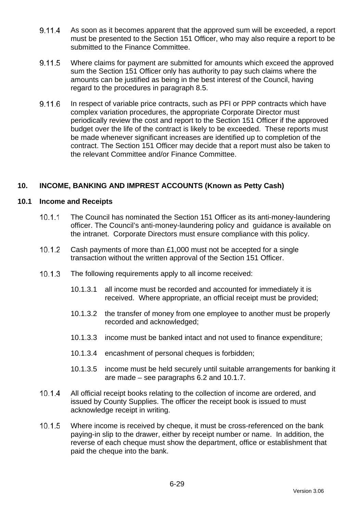- 9.11.4 As soon as it becomes apparent that the approved sum will be exceeded, a report must be presented to the Section 151 Officer, who may also require a report to be submitted to the Finance Committee.
- 9.11.5 Where claims for payment are submitted for amounts which exceed the approved sum the Section 151 Officer only has authority to pay such claims where the amounts can be justified as being in the best interest of the Council, having regard to the procedures in paragraph 8.5.
- 9.11.6 In respect of variable price contracts, such as PFI or PPP contracts which have complex variation procedures, the appropriate Corporate Director must periodically review the cost and report to the Section 151 Officer if the approved budget over the life of the contract is likely to be exceeded. These reports must be made whenever significant increases are identified up to completion of the contract. The Section 151 Officer may decide that a report must also be taken to the relevant Committee and/or Finance Committee.

## <span id="page-104-0"></span>**10. INCOME, BANKING AND IMPREST ACCOUNTS (Known as Petty Cash)**

#### **10.1 Income and Receipts**

- The Council has nominated the Section 151 Officer as its anti-money-laundering  $10.1.1$ officer. The Council's anti-money-laundering policy and guidance is available on the intranet. Corporate Directors must ensure compliance with this policy.
- $10.1.2$ Cash payments of more than £1,000 must not be accepted for a single transaction without the written approval of the Section 151 Officer.
- $10.1.3$ The following requirements apply to all income received:
	- 10.1.3.1 all income must be recorded and accounted for immediately it is received. Where appropriate, an official receipt must be provided;
	- 10.1.3.2 the transfer of money from one employee to another must be properly recorded and acknowledged;
	- 10.1.3.3 income must be banked intact and not used to finance expenditure;
	- 10.1.3.4 encashment of personal cheques is forbidden;
	- 10.1.3.5 income must be held securely until suitable arrangements for banking it are made – see paragraphs [6.2](#page-91-0) and 10.1.7.
- $10.1.4$ All official receipt books relating to the collection of income are ordered, and issued by County Supplies. The officer the receipt book is issued to must acknowledge receipt in writing.
- $10.1.5$ Where income is received by cheque, it must be cross-referenced on the bank paying-in slip to the drawer, either by receipt number or name. In addition, the reverse of each cheque must show the department, office or establishment that paid the cheque into the bank.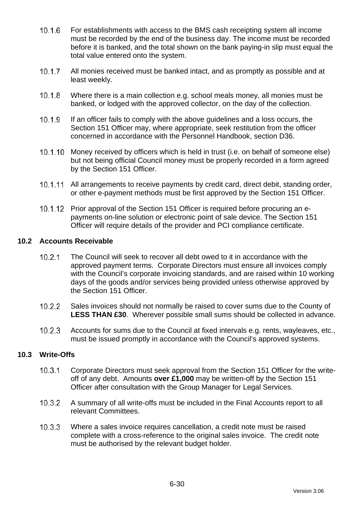- $10.1.6$ For establishments with access to the BMS cash receipting system all income must be recorded by the end of the business day. The income must be recorded before it is banked, and the total shown on the bank paying-in slip must equal the total value entered onto the system.
- $10.1.7$ All monies received must be banked intact, and as promptly as possible and at least weekly.
- $10.1.8$ Where there is a main collection e.g. school meals money, all monies must be banked, or lodged with the approved collector, on the day of the collection.
- $10.1.9$ If an officer fails to comply with the above guidelines and a loss occurs, the Section 151 Officer may, where appropriate, seek restitution from the officer concerned in accordance with the Personnel Handbook, section D36.
- 10.1.10 Money received by officers which is held in trust (i.e. on behalf of someone else) but not being official Council money must be properly recorded in a form agreed by the Section 151 Officer.
- 10.1.11 All arrangements to receive payments by credit card, direct debit, standing order, or other e-payment methods must be first approved by the Section 151 Officer.
- 10.1.12 Prior approval of the Section 151 Officer is required before procuring an epayments on-line solution or electronic point of sale device. The Section 151 Officer will require details of the provider and PCI compliance certificate.

#### **10.2 Accounts Receivable**

- $10.2.1$ The Council will seek to recover all debt owed to it in accordance with the approved payment terms. Corporate Directors must ensure all invoices comply with the Council's corporate invoicing standards, and are raised within 10 working days of the goods and/or services being provided unless otherwise approved by the Section 151 Officer.
- $10.2.2$ Sales invoices should not normally be raised to cover sums due to the County of **LESS THAN £30**. Wherever possible small sums should be collected in advance.
- $10.2.3$ Accounts for sums due to the Council at fixed intervals e.g. rents, wayleaves, etc., must be issued promptly in accordance with the Council's approved systems.

#### **10.3 Write-Offs**

- $10.3.1$ Corporate Directors must seek approval from the Section 151 Officer for the writeoff of any debt. Amounts **over £1,000** may be written-off by the Section 151 Officer after consultation with the Group Manager for Legal Services.
- $10.3.2$ A summary of all write-offs must be included in the Final Accounts report to all relevant Committees.
- $10.3.3$ Where a sales invoice requires cancellation, a credit note must be raised complete with a cross-reference to the original sales invoice. The credit note must be authorised by the relevant budget holder.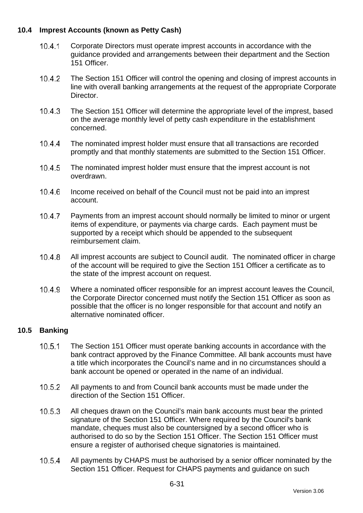## <span id="page-106-0"></span>**10.4 Imprest Accounts (known as Petty Cash)**

- $10.4.1$ Corporate Directors must operate imprest accounts in accordance with the guidance provided and arrangements between their department and the Section 151 Officer.
- $10.4.2$ The Section 151 Officer will control the opening and closing of imprest accounts in line with overall banking arrangements at the request of the appropriate Corporate Director.
- $10.4.3$ The Section 151 Officer will determine the appropriate level of the imprest, based on the average monthly level of petty cash expenditure in the establishment concerned.
- $10.4.4$ The nominated imprest holder must ensure that all transactions are recorded promptly and that monthly statements are submitted to the Section 151 Officer.
- 10.4.5 The nominated imprest holder must ensure that the imprest account is not overdrawn.
- $1046$ Income received on behalf of the Council must not be paid into an imprest account.
- $10.4.7$ Payments from an imprest account should normally be limited to minor or urgent items of expenditure, or payments via charge cards. Each payment must be supported by a receipt which should be appended to the subsequent reimbursement claim.
- 10.4.8 All imprest accounts are subject to Council audit. The nominated officer in charge of the account will be required to give the Section 151 Officer a certificate as to the state of the imprest account on request.
- $10.4.9$ Where a nominated officer responsible for an imprest account leaves the Council, the Corporate Director concerned must notify the Section 151 Officer as soon as possible that the officer is no longer responsible for that account and notify an alternative nominated officer.

#### **10.5 Banking**

- $10.5.1$ The Section 151 Officer must operate banking accounts in accordance with the bank contract approved by the Finance Committee. All bank accounts must have a title which incorporates the Council's name and in no circumstances should a bank account be opened or operated in the name of an individual.
- $10.5.2$ All payments to and from Council bank accounts must be made under the direction of the Section 151 Officer.
- $10.5.3$ All cheques drawn on the Council's main bank accounts must bear the printed signature of the Section 151 Officer. Where required by the Council's bank mandate, cheques must also be countersigned by a second officer who is authorised to do so by the Section 151 Officer. The Section 151 Officer must ensure a register of authorised cheque signatories is maintained.
- 10.5.4 All payments by CHAPS must be authorised by a senior officer nominated by the Section 151 Officer. Request for CHAPS payments and guidance on such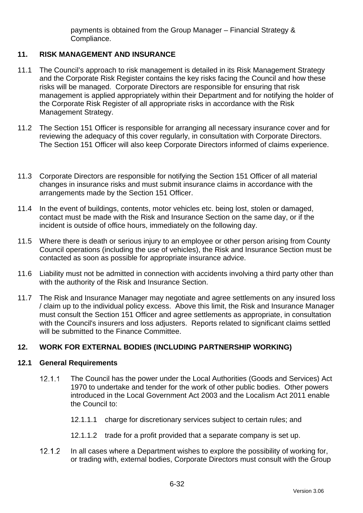payments is obtained from the Group Manager – Financial Strategy & Compliance.

## <span id="page-107-0"></span>**11. RISK MANAGEMENT AND INSURANCE**

- 11.1 The Council's approach to risk management is detailed in its Risk Management Strategy and the Corporate Risk Register contains the key risks facing the Council and how these risks will be managed. Corporate Directors are responsible for ensuring that risk management is applied appropriately within their Department and for notifying the holder of the Corporate Risk Register of all appropriate risks in accordance with the Risk Management Strategy.
- 11.2 The Section 151 Officer is responsible for arranging all necessary insurance cover and for reviewing the adequacy of this cover regularly, in consultation with Corporate Directors. The Section 151 Officer will also keep Corporate Directors informed of claims experience.
- 11.3 Corporate Directors are responsible for notifying the Section 151 Officer of all material changes in insurance risks and must submit insurance claims in accordance with the arrangements made by the Section 151 Officer.
- 11.4 In the event of buildings, contents, motor vehicles etc. being lost, stolen or damaged, contact must be made with the Risk and Insurance Section on the same day, or if the incident is outside of office hours, immediately on the following day.
- 11.5 Where there is death or serious injury to an employee or other person arising from County Council operations (including the use of vehicles), the Risk and Insurance Section must be contacted as soon as possible for appropriate insurance advice.
- 11.6 Liability must not be admitted in connection with accidents involving a third party other than with the authority of the Risk and Insurance Section.
- 11.7 The Risk and Insurance Manager may negotiate and agree settlements on any insured loss / claim up to the individual policy excess. Above this limit, the Risk and Insurance Manager must consult the Section 151 Officer and agree settlements as appropriate, in consultation with the Council's insurers and loss adjusters. Reports related to significant claims settled will be submitted to the Finance Committee.

## <span id="page-107-1"></span>**12. WORK FOR EXTERNAL BODIES (INCLUDING PARTNERSHIP WORKING)**

#### **12.1 General Requirements**

- $12.1.1$ The Council has the power under the Local Authorities (Goods and Services) Act 1970 to undertake and tender for the work of other public bodies. Other powers introduced in the Local Government Act 2003 and the Localism Act 2011 enable the Council to:
	- 12.1.1.1 charge for discretionary services subject to certain rules; and
	- 12.1.1.2 trade for a profit provided that a separate company is set up.
- $12.1.2$ In all cases where a Department wishes to explore the possibility of working for, or trading with, external bodies, Corporate Directors must consult with the Group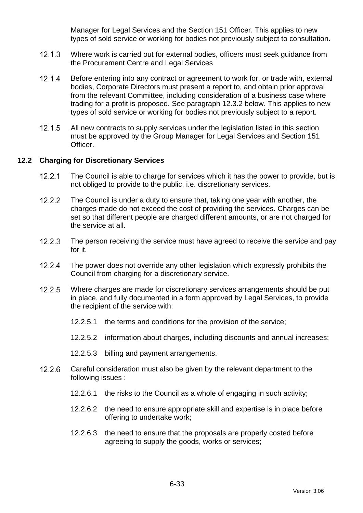Manager for Legal Services and the Section 151 Officer. This applies to new types of sold service or working for bodies not previously subject to consultation.

- $12.1.3$ Where work is carried out for external bodies, officers must seek guidance from the Procurement Centre and Legal Services
- $12.1.4$ Before entering into any contract or agreement to work for, or trade with, external bodies, Corporate Directors must present a report to, and obtain prior approval from the relevant Committee, including consideration of a business case where trading for a profit is proposed. See paragraph 12.3.2 below. This applies to new types of sold service or working for bodies not previously subject to a report.
- $12.1.5$ All new contracts to supply services under the legislation listed in this section must be approved by the Group Manager for Legal Services and Section 151 **Officer**

#### **12.2 Charging for Discretionary Services**

- $12.2.1$ The Council is able to charge for services which it has the power to provide, but is not obliged to provide to the public, i.e. discretionary services.
- $12.2.2$ The Council is under a duty to ensure that, taking one year with another, the charges made do not exceed the cost of providing the services. Charges can be set so that different people are charged different amounts, or are not charged for the service at all.
- $12.2.3$ The person receiving the service must have agreed to receive the service and pay for it.
- $12.2.4$ The power does not override any other legislation which expressly prohibits the Council from charging for a discretionary service.
- $12.2.5$ Where charges are made for discretionary services arrangements should be put in place, and fully documented in a form approved by Legal Services, to provide the recipient of the service with:
	- 12.2.5.1 the terms and conditions for the provision of the service;
	- 12.2.5.2 information about charges, including discounts and annual increases;
	- 12.2.5.3 billing and payment arrangements.
- $12.2.6$ Careful consideration must also be given by the relevant department to the following issues :
	- 12.2.6.1 the risks to the Council as a whole of engaging in such activity;
	- 12.2.6.2 the need to ensure appropriate skill and expertise is in place before offering to undertake work;
	- 12.2.6.3 the need to ensure that the proposals are properly costed before agreeing to supply the goods, works or services;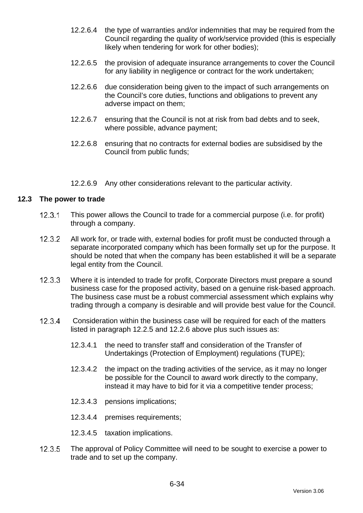- 12.2.6.4 the type of warranties and/or indemnities that may be required from the Council regarding the quality of work/service provided (this is especially likely when tendering for work for other bodies);
- 12.2.6.5 the provision of adequate insurance arrangements to cover the Council for any liability in negligence or contract for the work undertaken;
- 12.2.6.6 due consideration being given to the impact of such arrangements on the Council's core duties, functions and obligations to prevent any adverse impact on them;
- 12.2.6.7 ensuring that the Council is not at risk from bad debts and to seek, where possible, advance payment;
- 12.2.6.8 ensuring that no contracts for external bodies are subsidised by the Council from public funds;
- 12.2.6.9 Any other considerations relevant to the particular activity.

#### **12.3 The power to trade**

- $12.3.1$ This power allows the Council to trade for a commercial purpose (i.e. for profit) through a company.
- $12.3.2$ All work for, or trade with, external bodies for profit must be conducted through a separate incorporated company which has been formally set up for the purpose. It should be noted that when the company has been established it will be a separate legal entity from the Council.
- $12.3.3$ Where it is intended to trade for profit, Corporate Directors must prepare a sound business case for the proposed activity, based on a genuine risk-based approach. The business case must be a robust commercial assessment which explains why trading through a company is desirable and will provide best value for the Council.
- 12.3.4 Consideration within the business case will be required for each of the matters listed in paragraph 12.2.5 and 12.2.6 above plus such issues as:
	- 12.3.4.1 the need to transfer staff and consideration of the Transfer of Undertakings (Protection of Employment) regulations (TUPE);
	- 12.3.4.2 the impact on the trading activities of the service, as it may no longer be possible for the Council to award work directly to the company, instead it may have to bid for it via a competitive tender process;
	- 12.3.4.3 pensions implications;
	- 12.3.4.4 premises requirements;
	- 12.3.4.5 taxation implications.
- $12.3.5$ The approval of Policy Committee will need to be sought to exercise a power to trade and to set up the company.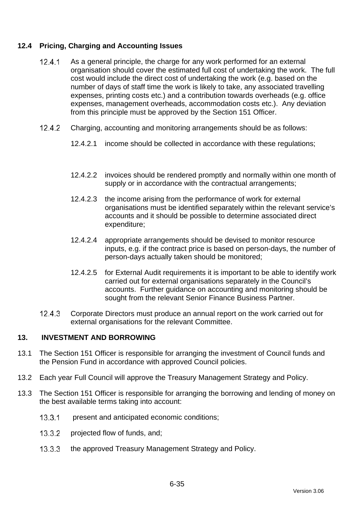# **12.4 Pricing, Charging and Accounting Issues**

- $12.4.1$ As a general principle, the charge for any work performed for an external organisation should cover the estimated full cost of undertaking the work. The full cost would include the direct cost of undertaking the work (e.g. based on the number of days of staff time the work is likely to take, any associated travelling expenses, printing costs etc.) and a contribution towards overheads (e.g. office expenses, management overheads, accommodation costs etc.). Any deviation from this principle must be approved by the Section 151 Officer.
- $12.4.2$ Charging, accounting and monitoring arrangements should be as follows:
	- 12.4.2.1 income should be collected in accordance with these regulations;
	- 12.4.2.2 invoices should be rendered promptly and normally within one month of supply or in accordance with the contractual arrangements;
	- 12.4.2.3 the income arising from the performance of work for external organisations must be identified separately within the relevant service's accounts and it should be possible to determine associated direct expenditure;
	- 12.4.2.4 appropriate arrangements should be devised to monitor resource inputs, e.g. if the contract price is based on person-days, the number of person-days actually taken should be monitored;
	- 12.4.2.5 for External Audit requirements it is important to be able to identify work carried out for external organisations separately in the Council's accounts. Further guidance on accounting and monitoring should be sought from the relevant Senior Finance Business Partner.
- $12.4.3$ Corporate Directors must produce an annual report on the work carried out for external organisations for the relevant Committee.

#### **13. INVESTMENT AND BORROWING**

- 13.1 The Section 151 Officer is responsible for arranging the investment of Council funds and the Pension Fund in accordance with approved Council policies.
- 13.2 Each year Full Council will approve the Treasury Management Strategy and Policy.
- 13.3 The Section 151 Officer is responsible for arranging the borrowing and lending of money on the best available terms taking into account:
	- $13.3.1$ present and anticipated economic conditions;
	- projected flow of funds, and;  $13.3.2$
	- $13.3.3$ the approved Treasury Management Strategy and Policy.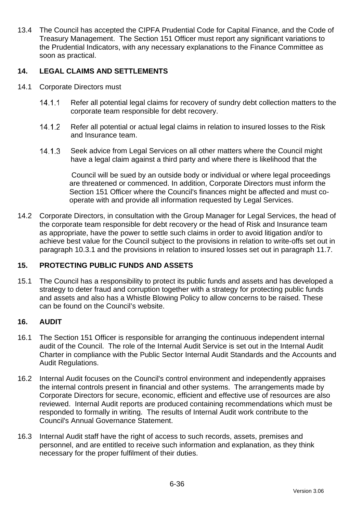13.4 The Council has accepted the CIPFA Prudential Code for Capital Finance, and the Code of Treasury Management. The Section 151 Officer must report any significant variations to the Prudential Indicators, with any necessary explanations to the Finance Committee as soon as practical.

# **14. LEGAL CLAIMS AND SETTLEMENTS**

- 14.1 Corporate Directors must
	- $14.1.1$ Refer all potential legal claims for recovery of sundry debt collection matters to the corporate team responsible for debt recovery.
	- $14.1.2$ Refer all potential or actual legal claims in relation to insured losses to the Risk and Insurance team.
	- $14.1.3$ Seek advice from Legal Services on all other matters where the Council might have a legal claim against a third party and where there is likelihood that the

Council will be sued by an outside body or individual or where legal proceedings are threatened or commenced. In addition, Corporate Directors must inform the Section 151 Officer where the Council's finances might be affected and must cooperate with and provide all information requested by Legal Services.

14.2 Corporate Directors, in consultation with the Group Manager for Legal Services, the head of the corporate team responsible for debt recovery or the head of Risk and Insurance team as appropriate, have the power to settle such claims in order to avoid litigation and/or to achieve best value for the Council subject to the provisions in relation to write-offs set out in paragraph [10.3.1](#page-105-0) and the provisions in relation to insured losses set out in paragraph [11.7.](#page-107-0)

# **15. PROTECTING PUBLIC FUNDS AND ASSETS**

15.1 The Council has a responsibility to protect its public funds and assets and has developed a strategy to deter fraud and corruption together with a strategy for protecting public funds and assets and also has a Whistle Blowing Policy to allow concerns to be raised. These can be found on the Council's website.

## **16. AUDIT**

- 16.1 The Section 151 Officer is responsible for arranging the continuous independent internal audit of the Council. The role of the Internal Audit Service is set out in the Internal Audit Charter in compliance with the Public Sector Internal Audit Standards and the Accounts and Audit Regulations.
- 16.2 Internal Audit focuses on the Council's control environment and independently appraises the internal controls present in financial and other systems. The arrangements made by Corporate Directors for secure, economic, efficient and effective use of resources are also reviewed. Internal Audit reports are produced containing recommendations which must be responded to formally in writing. The results of Internal Audit work contribute to the Council's Annual Governance Statement.
- 16.3 Internal Audit staff have the right of access to such records, assets, premises and personnel, and are entitled to receive such information and explanation, as they think necessary for the proper fulfilment of their duties.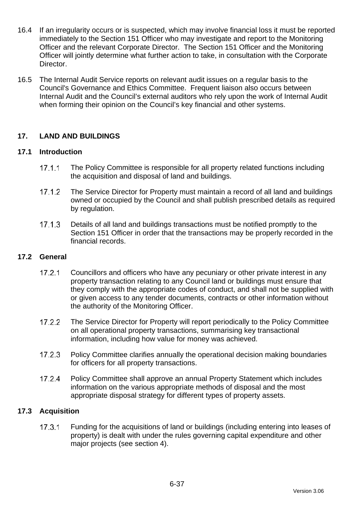- 16.4 If an irregularity occurs or is suspected, which may involve financial loss it must be reported immediately to the Section 151 Officer who may investigate and report to the Monitoring Officer and the relevant Corporate Director. The Section 151 Officer and the Monitoring Officer will jointly determine what further action to take, in consultation with the Corporate Director.
- 16.5 The Internal Audit Service reports on relevant audit issues on a regular basis to the Council's Governance and Ethics Committee. Frequent liaison also occurs between Internal Audit and the Council's external auditors who rely upon the work of Internal Audit when forming their opinion on the Council's key financial and other systems.

# **17. LAND AND BUILDINGS**

#### **17.1 Introduction**

- $17.1.1$ The Policy Committee is responsible for all property related functions including the acquisition and disposal of land and buildings.
- $17.1.2$ The Service Director for Property must maintain a record of all land and buildings owned or occupied by the Council and shall publish prescribed details as required by regulation.
- $17.1.3$ Details of all land and buildings transactions must be notified promptly to the Section 151 Officer in order that the transactions may be properly recorded in the financial records.

#### **17.2 General**

- $17.2.1$ Councillors and officers who have any pecuniary or other private interest in any property transaction relating to any Council land or buildings must ensure that they comply with the appropriate codes of conduct, and shall not be supplied with or given access to any tender documents, contracts or other information without the authority of the Monitoring Officer.
- $17.2.2$ The Service Director for Property will report periodically to the Policy Committee on all operational property transactions, summarising key transactional information, including how value for money was achieved.
- 17.2.3 Policy Committee clarifies annually the operational decision making boundaries for officers for all property transactions.
- $17.2.4$ Policy Committee shall approve an annual Property Statement which includes information on the various appropriate methods of disposal and the most appropriate disposal strategy for different types of property assets.

## **17.3 Acquisition**

 $17.3.1$ Funding for the acquisitions of land or buildings (including entering into leases of property) is dealt with under the rules governing capital expenditure and other major projects (see section [4\)](#page-78-0).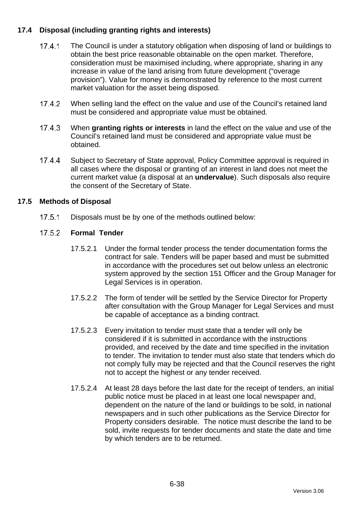# **17.4 Disposal (including granting rights and interests)**

- $17.4.1$ The Council is under a statutory obligation when disposing of land or buildings to obtain the best price reasonable obtainable on the open market. Therefore, consideration must be maximised including, where appropriate, sharing in any increase in value of the land arising from future development ("overage provision"). Value for money is demonstrated by reference to the most current market valuation for the asset being disposed.
- 17.4.2 When selling land the effect on the value and use of the Council's retained land must be considered and appropriate value must be obtained.
- $17.4.3$ When **granting rights or interests** in land the effect on the value and use of the Council's retained land must be considered and appropriate value must be obtained.
- 17.4.4 Subject to Secretary of State approval, Policy Committee approval is required in all cases where the disposal or granting of an interest in land does not meet the current market value (a disposal at an **undervalue**). Such disposals also require the consent of the Secretary of State.

## **17.5 Methods of Disposal**

 $17.5.1$ Disposals must be by one of the methods outlined below:

#### $17.5.2$ **Formal Tender**

- 17.5.2.1 Under the formal tender process the tender documentation forms the contract for sale. Tenders will be paper based and must be submitted in accordance with the procedures set out below unless an electronic system approved by the section 151 Officer and the Group Manager for Legal Services is in operation.
- 17.5.2.2 The form of tender will be settled by the Service Director for Property after consultation with the Group Manager for Legal Services and must be capable of acceptance as a binding contract.
- 17.5.2.3 Every invitation to tender must state that a tender will only be considered if it is submitted in accordance with the instructions provided, and received by the date and time specified in the invitation to tender. The invitation to tender must also state that tenders which do not comply fully may be rejected and that the Council reserves the right not to accept the highest or any tender received.
- 17.5.2.4 At least 28 days before the last date for the receipt of tenders, an initial public notice must be placed in at least one local newspaper and, dependent on the nature of the land or buildings to be sold, in national newspapers and in such other publications as the Service Director for Property considers desirable. The notice must describe the land to be sold, invite requests for tender documents and state the date and time by which tenders are to be returned.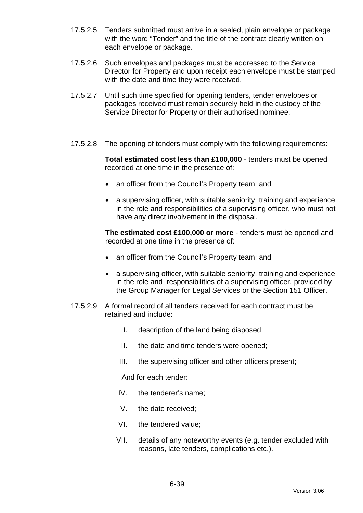- 17.5.2.5 Tenders submitted must arrive in a sealed, plain envelope or package with the word "Tender" and the title of the contract clearly written on each envelope or package.
- 17.5.2.6 Such envelopes and packages must be addressed to the Service Director for Property and upon receipt each envelope must be stamped with the date and time they were received.
- 17.5.2.7 Until such time specified for opening tenders, tender envelopes or packages received must remain securely held in the custody of the Service Director for Property or their authorised nominee.
- 17.5.2.8 The opening of tenders must comply with the following requirements:

**Total estimated cost less than £100,000** - tenders must be opened recorded at one time in the presence of:

- an officer from the Council's Property team; and
- a supervising officer, with suitable seniority, training and experience in the role and responsibilities of a supervising officer, who must not have any direct involvement in the disposal.

**The estimated cost £100,000 or more** - tenders must be opened and recorded at one time in the presence of:

- an officer from the Council's Property team; and
- a supervising officer, with suitable seniority, training and experience in the role and responsibilities of a supervising officer, provided by the Group Manager for Legal Services or the Section 151 Officer.
- 17.5.2.9 A formal record of all tenders received for each contract must be retained and include:
	- I. description of the land being disposed;
	- II. the date and time tenders were opened;
	- III. the supervising officer and other officers present;

And for each tender:

- IV. the tenderer's name;
- V. the date received;
- VI. the tendered value;
- VII. details of any noteworthy events (e.g. tender excluded with reasons, late tenders, complications etc.).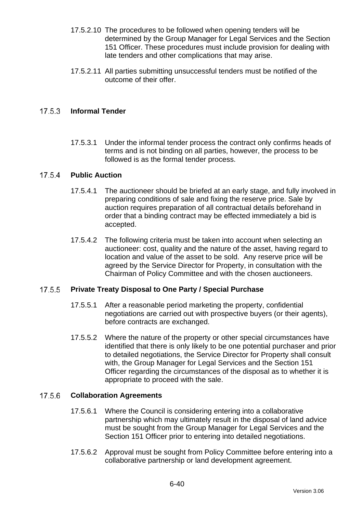- 17.5.2.10 The procedures to be followed when opening tenders will be determined by the Group Manager for Legal Services and the Section 151 Officer. These procedures must include provision for dealing with late tenders and other complications that may arise.
- 17.5.2.11 All parties submitting unsuccessful tenders must be notified of the outcome of their offer.

#### $17.5.3$ **Informal Tender**

17.5.3.1 Under the informal tender process the contract only confirms heads of terms and is not binding on all parties, however, the process to be followed is as the formal tender process.

#### 17.5.4 **Public Auction**

- 17.5.4.1 The auctioneer should be briefed at an early stage, and fully involved in preparing conditions of sale and fixing the reserve price. Sale by auction requires preparation of all contractual details beforehand in order that a binding contract may be effected immediately a bid is accepted.
- 17.5.4.2 The following criteria must be taken into account when selecting an auctioneer: cost, quality and the nature of the asset, having regard to location and value of the asset to be sold. Any reserve price will be agreed by the Service Director for Property, in consultation with the Chairman of Policy Committee and with the chosen auctioneers.

#### $17.5.5$ **Private Treaty Disposal to One Party / Special Purchase**

- 17.5.5.1 After a reasonable period marketing the property, confidential negotiations are carried out with prospective buyers (or their agents), before contracts are exchanged.
- 17.5.5.2 Where the nature of the property or other special circumstances have identified that there is only likely to be one potential purchaser and prior to detailed negotiations, the Service Director for Property shall consult with, the Group Manager for Legal Services and the Section 151 Officer regarding the circumstances of the disposal as to whether it is appropriate to proceed with the sale.

#### $17.5.6$ **Collaboration Agreements**

- 17.5.6.1 Where the Council is considering entering into a collaborative partnership which may ultimately result in the disposal of land advice must be sought from the Group Manager for Legal Services and the Section 151 Officer prior to entering into detailed negotiations.
- 17.5.6.2 Approval must be sought from Policy Committee before entering into a collaborative partnership or land development agreement.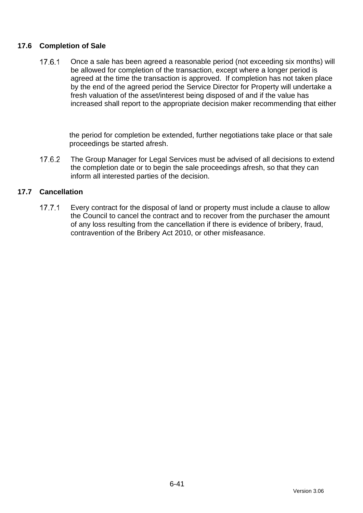## **17.6 Completion of Sale**

17.6.1 Once a sale has been agreed a reasonable period (not exceeding six months) will be allowed for completion of the transaction, except where a longer period is agreed at the time the transaction is approved. If completion has not taken place by the end of the agreed period the Service Director for Property will undertake a fresh valuation of the asset/interest being disposed of and if the value has increased shall report to the appropriate decision maker recommending that either

the period for completion be extended, further negotiations take place or that sale proceedings be started afresh.

 $1762$ The Group Manager for Legal Services must be advised of all decisions to extend the completion date or to begin the sale proceedings afresh, so that they can inform all interested parties of the decision.

## **17.7 Cancellation**

 $17.7.1$ Every contract for the disposal of land or property must include a clause to allow the Council to cancel the contract and to recover from the purchaser the amount of any loss resulting from the cancellation if there is evidence of bribery, fraud, contravention of the Bribery Act 2010, or other misfeasance.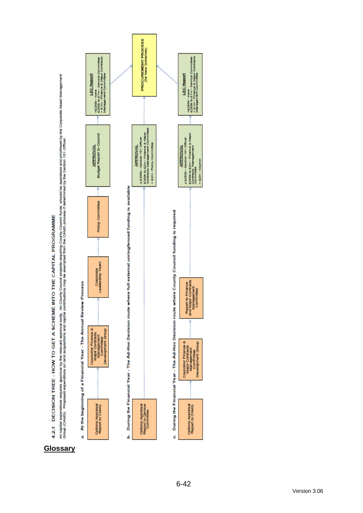4.2.1 DECISION TREE - HOW TO GET A SCHEME INTO THE CAPITAL PROGRAMME

All capital expenditives approval by the relevant approval body. All County Council projects requiring Council funds should be appraised and prioritised by the Corporate Asset Management<br>Group (CAMG). Proposed expenditive



> £2m - Council

## **Glossary**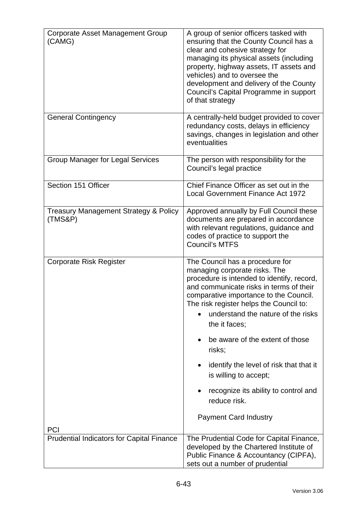| <b>Corporate Asset Management Group</b><br>(CAMG)           | A group of senior officers tasked with<br>ensuring that the County Council has a<br>clear and cohesive strategy for<br>managing its physical assets (including<br>property, highway assets, IT assets and<br>vehicles) and to oversee the<br>development and delivery of the County<br>Council's Capital Programme in support<br>of that strategy |
|-------------------------------------------------------------|---------------------------------------------------------------------------------------------------------------------------------------------------------------------------------------------------------------------------------------------------------------------------------------------------------------------------------------------------|
| <b>General Contingency</b>                                  | A centrally-held budget provided to cover<br>redundancy costs, delays in efficiency<br>savings, changes in legislation and other<br>eventualities                                                                                                                                                                                                 |
| <b>Group Manager for Legal Services</b>                     | The person with responsibility for the<br>Council's legal practice                                                                                                                                                                                                                                                                                |
| Section 151 Officer                                         | Chief Finance Officer as set out in the<br><b>Local Government Finance Act 1972</b>                                                                                                                                                                                                                                                               |
| <b>Treasury Management Strategy &amp; Policy</b><br>(TMS&P) | Approved annually by Full Council these<br>documents are prepared in accordance<br>with relevant regulations, guidance and<br>codes of practice to support the<br><b>Council's MTFS</b>                                                                                                                                                           |
| <b>Corporate Risk Register</b>                              | The Council has a procedure for<br>managing corporate risks. The<br>procedure is intended to identify, record,<br>and communicate risks in terms of their<br>comparative importance to the Council.<br>The risk register helps the Council to:<br>understand the nature of the risks<br>the it faces;                                             |
|                                                             | be aware of the extent of those<br>$\bullet$<br>risks;                                                                                                                                                                                                                                                                                            |
|                                                             | identify the level of risk that that it<br>is willing to accept;                                                                                                                                                                                                                                                                                  |
|                                                             | recognize its ability to control and<br>reduce risk.                                                                                                                                                                                                                                                                                              |
| <b>PCI</b>                                                  | <b>Payment Card Industry</b>                                                                                                                                                                                                                                                                                                                      |
| <b>Prudential Indicators for Capital Finance</b>            | The Prudential Code for Capital Finance,                                                                                                                                                                                                                                                                                                          |
|                                                             | developed by the Chartered Institute of<br>Public Finance & Accountancy (CIPFA),<br>sets out a number of prudential                                                                                                                                                                                                                               |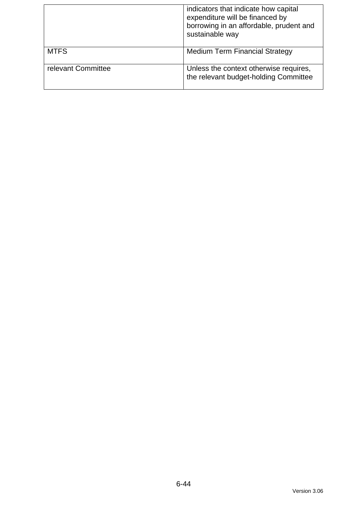|                    | indicators that indicate how capital<br>expenditure will be financed by<br>borrowing in an affordable, prudent and<br>sustainable way |
|--------------------|---------------------------------------------------------------------------------------------------------------------------------------|
| <b>MTFS</b>        | <b>Medium Term Financial Strategy</b>                                                                                                 |
| relevant Committee | Unless the context otherwise requires,<br>the relevant budget-holding Committee                                                       |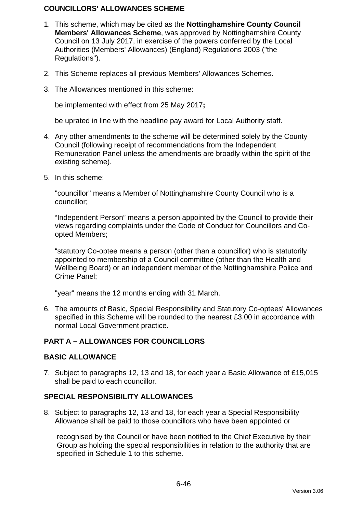## **COUNCILLORS' ALLOWANCES SCHEME**

- 1. This scheme, which may be cited as the **Nottinghamshire County Council Members' Allowances Scheme**, was approved by Nottinghamshire County Council on 13 July 2017, in exercise of the powers conferred by the Local Authorities (Members' Allowances) (England) Regulations 2003 ("the Regulations").
- 2. This Scheme replaces all previous Members' Allowances Schemes.
- 3. The Allowances mentioned in this scheme:

be implemented with effect from 25 May 2017**;**

be uprated in line with the headline pay award for Local Authority staff.

- 4. Any other amendments to the scheme will be determined solely by the County Council (following receipt of recommendations from the Independent Remuneration Panel unless the amendments are broadly within the spirit of the existing scheme).
- 5. In this scheme:

"councillor" means a Member of Nottinghamshire County Council who is a councillor;

"Independent Person" means a person appointed by the Council to provide their views regarding complaints under the Code of Conduct for Councillors and Coopted Members;

"statutory Co-optee means a person (other than a councillor) who is statutorily appointed to membership of a Council committee (other than the Health and Wellbeing Board) or an independent member of the Nottinghamshire Police and Crime Panel;

"year" means the 12 months ending with 31 March.

6. The amounts of Basic, Special Responsibility and Statutory Co-optees' Allowances specified in this Scheme will be rounded to the nearest £3.00 in accordance with normal Local Government practice.

# **PART A – ALLOWANCES FOR COUNCILLORS**

## **BASIC ALLOWANCE**

7. Subject to paragraphs 12, 13 and 18, for each year a Basic Allowance of £15,015 shall be paid to each councillor.

## **SPECIAL RESPONSIBILITY ALLOWANCES**

8. Subject to paragraphs 12, 13 and 18, for each year a Special Responsibility Allowance shall be paid to those councillors who have been appointed or

recognised by the Council or have been notified to the Chief Executive by their Group as holding the special responsibilities in relation to the authority that are specified in Schedule 1 to this scheme.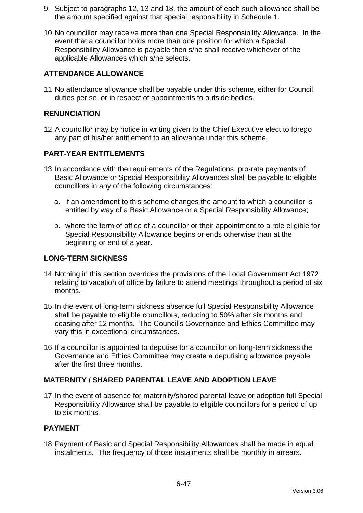- 9. Subject to paragraphs 12, 13 and 18, the amount of each such allowance shall be the amount specified against that special responsibility in Schedule 1.
- 10.No councillor may receive more than one Special Responsibility Allowance. In the event that a councillor holds more than one position for which a Special Responsibility Allowance is payable then s/he shall receive whichever of the applicable Allowances which s/he selects.

# **ATTENDANCE ALLOWANCE**

11.No attendance allowance shall be payable under this scheme, either for Council duties per se, or in respect of appointments to outside bodies.

## **RENUNCIATION**

12.A councillor may by notice in writing given to the Chief Executive elect to forego any part of his/her entitlement to an allowance under this scheme.

## **PART-YEAR ENTITLEMENTS**

- 13.In accordance with the requirements of the Regulations, pro-rata payments of Basic Allowance or Special Responsibility Allowances shall be payable to eligible councillors in any of the following circumstances:
	- a. if an amendment to this scheme changes the amount to which a councillor is entitled by way of a Basic Allowance or a Special Responsibility Allowance;
	- b. where the term of office of a councillor or their appointment to a role eligible for Special Responsibility Allowance begins or ends otherwise than at the beginning or end of a year.

## **LONG-TERM SICKNESS**

- 14.Nothing in this section overrides the provisions of the Local Government Act 1972 relating to vacation of office by failure to attend meetings throughout a period of six months.
- 15.In the event of long-term sickness absence full Special Responsibility Allowance shall be payable to eligible councillors, reducing to 50% after six months and ceasing after 12 months. The Council's Governance and Ethics Committee may vary this in exceptional circumstances.
- 16.If a councillor is appointed to deputise for a councillor on long-term sickness the Governance and Ethics Committee may create a deputising allowance payable after the first three months.

## **MATERNITY / SHARED PARENTAL LEAVE AND ADOPTION LEAVE**

17.In the event of absence for maternity/shared parental leave or adoption full Special Responsibility Allowance shall be payable to eligible councillors for a period of up to six months.

## **PAYMENT**

18.Payment of Basic and Special Responsibility Allowances shall be made in equal instalments. The frequency of those instalments shall be monthly in arrears.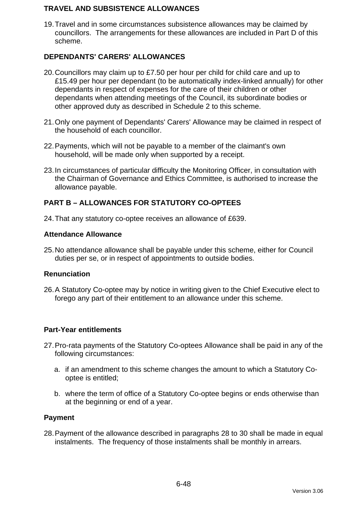# **TRAVEL AND SUBSISTENCE ALLOWANCES**

19.Travel and in some circumstances subsistence allowances may be claimed by councillors. The arrangements for these allowances are included in Part D of this scheme.

# **DEPENDANTS' CARERS' ALLOWANCES**

- 20.Councillors may claim up to £7.50 per hour per child for child care and up to £15.49 per hour per dependant (to be automatically index-linked annually) for other dependants in respect of expenses for the care of their children or other dependants when attending meetings of the Council, its subordinate bodies or other approved duty as described in Schedule 2 to this scheme.
- 21.Only one payment of Dependants' Carers' Allowance may be claimed in respect of the household of each councillor.
- 22.Payments, which will not be payable to a member of the claimant's own household, will be made only when supported by a receipt.
- 23.In circumstances of particular difficulty the Monitoring Officer, in consultation with the Chairman of Governance and Ethics Committee, is authorised to increase the allowance payable.

# **PART B – ALLOWANCES FOR STATUTORY CO-OPTEES**

24.That any statutory co-optee receives an allowance of £639.

## **Attendance Allowance**

25.No attendance allowance shall be payable under this scheme, either for Council duties per se, or in respect of appointments to outside bodies.

## **Renunciation**

26.A Statutory Co-optee may by notice in writing given to the Chief Executive elect to forego any part of their entitlement to an allowance under this scheme.

## **Part-Year entitlements**

- 27.Pro-rata payments of the Statutory Co-optees Allowance shall be paid in any of the following circumstances:
	- a. if an amendment to this scheme changes the amount to which a Statutory Cooptee is entitled;
	- b. where the term of office of a Statutory Co-optee begins or ends otherwise than at the beginning or end of a year.

## **Payment**

28.Payment of the allowance described in paragraphs 28 to 30 shall be made in equal instalments. The frequency of those instalments shall be monthly in arrears.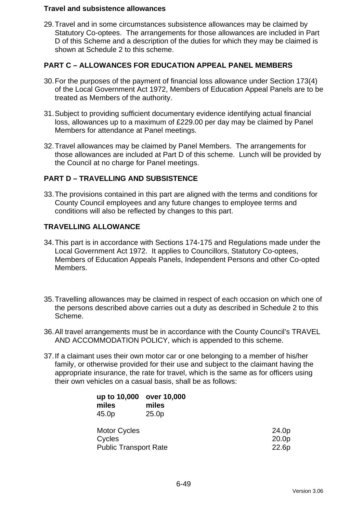## **Travel and subsistence allowances**

29.Travel and in some circumstances subsistence allowances may be claimed by Statutory Co-optees. The arrangements for those allowances are included in Part D of this Scheme and a description of the duties for which they may be claimed is shown at Schedule 2 to this scheme.

## **PART C – ALLOWANCES FOR EDUCATION APPEAL PANEL MEMBERS**

- 30.For the purposes of the payment of financial loss allowance under Section 173(4) of the Local Government Act 1972, Members of Education Appeal Panels are to be treated as Members of the authority.
- 31.Subject to providing sufficient documentary evidence identifying actual financial loss, allowances up to a maximum of £229.00 per day may be claimed by Panel Members for attendance at Panel meetings.
- 32.Travel allowances may be claimed by Panel Members. The arrangements for those allowances are included at Part D of this scheme. Lunch will be provided by the Council at no charge for Panel meetings.

# **PART D – TRAVELLING AND SUBSISTENCE**

33.The provisions contained in this part are aligned with the terms and conditions for County Council employees and any future changes to employee terms and conditions will also be reflected by changes to this part.

## **TRAVELLING ALLOWANCE**

- 34.This part is in accordance with Sections 174-175 and Regulations made under the Local Government Act 1972. It applies to Councillors, Statutory Co-optees, Members of Education Appeals Panels, Independent Persons and other Co-opted Members.
- 35.Travelling allowances may be claimed in respect of each occasion on which one of the persons described above carries out a duty as described in Schedule 2 to this Scheme.
- 36.All travel arrangements must be in accordance with the County Council's TRAVEL AND ACCOMMODATION POLICY, which is appended to this scheme.
- 37.If a claimant uses their own motor car or one belonging to a member of his/her family, or otherwise provided for their use and subject to the claimant having the appropriate insurance, the rate for travel, which is the same as for officers using their own vehicles on a casual basis, shall be as follows:

| up to 10,000<br>miles        | over 10,000<br>miles |                   |
|------------------------------|----------------------|-------------------|
| 45.0p                        | 25.0 <sub>p</sub>    |                   |
| <b>Motor Cycles</b>          |                      | 24.0p             |
| Cycles                       |                      | 20.0 <sub>p</sub> |
| <b>Public Transport Rate</b> |                      | 22.6p             |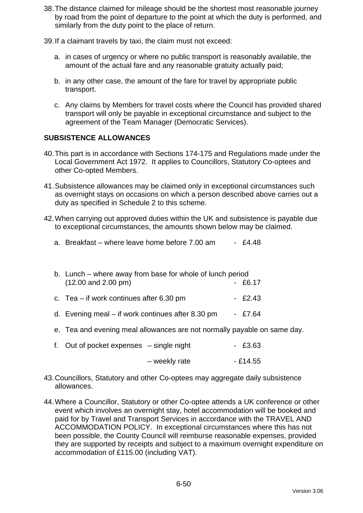- 38.The distance claimed for mileage should be the shortest most reasonable journey by road from the point of departure to the point at which the duty is performed, and similarly from the duty point to the place of return.
- 39.If a claimant travels by taxi, the claim must not exceed:
	- a. in cases of urgency or where no public transport is reasonably available, the amount of the actual fare and any reasonable gratuity actually paid;
	- b. in any other case, the amount of the fare for travel by appropriate public transport.
	- c. Any claims by Members for travel costs where the Council has provided shared transport will only be payable in exceptional circumstance and subject to the agreement of the Team Manager (Democratic Services).

# **SUBSISTENCE ALLOWANCES**

- 40.This part is in accordance with Sections 174-175 and Regulations made under the Local Government Act 1972. It applies to Councillors, Statutory Co-optees and other Co-opted Members.
- 41.Subsistence allowances may be claimed only in exceptional circumstances such as overnight stays on occasions on which a person described above carries out a duty as specified in Schedule 2 to this scheme.
- 42.When carrying out approved duties within the UK and subsistence is payable due to exceptional circumstances, the amounts shown below may be claimed.
	- a. Breakfast where leave home before  $7.00$  am  $\qquad$   $\epsilon$   $4.48$
	- b. Lunch where away from base for whole of lunch period (12.00 and 2.00 pm) - £6.17
	- c. Tea if work continues after  $6.30 \text{ pm}$  £2.43
	- d. Evening meal if work continues after 8.30 pm £7.64
	- e. Tea and evening meal allowances are not normally payable on same day.
	- f. Out of pocket expenses  $-$  single night  $-$  £3.63
		- $-$  weekly rate  $-$  £14.55
- 43.Councillors, Statutory and other Co-optees may aggregate daily subsistence allowances.
- 44.Where a Councillor, Statutory or other Co-optee attends a UK conference or other event which involves an overnight stay, hotel accommodation will be booked and paid for by Travel and Transport Services in accordance with the TRAVEL AND ACCOMMODATION POLICY. In exceptional circumstances where this has not been possible, the County Council will reimburse reasonable expenses, provided they are supported by receipts and subject to a maximum overnight expenditure on accommodation of £115.00 (including VAT).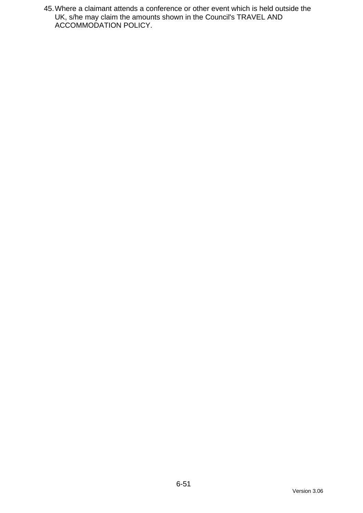45.Where a claimant attends a conference or other event which is held outside the UK, s/he may claim the amounts shown in the Council's TRAVEL AND ACCOMMODATION POLICY.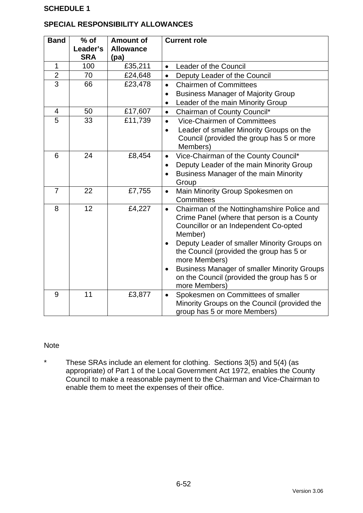## **SCHEDULE 1**

# **SPECIAL RESPONSIBILITY ALLOWANCES**

| <b>Band</b>    | $%$ of<br>Leader's<br><b>SRA</b> | <b>Amount of</b><br><b>Allowance</b><br>(pa) | <b>Current role</b>                                                                 |
|----------------|----------------------------------|----------------------------------------------|-------------------------------------------------------------------------------------|
| 1              | 100                              | £35,211                                      | Leader of the Council<br>$\bullet$                                                  |
| $\overline{2}$ | 70                               | £24,648                                      | Deputy Leader of the Council<br>$\bullet$                                           |
| $\overline{3}$ | 66                               | £23,478                                      | <b>Chairmen of Committees</b><br>$\bullet$                                          |
|                |                                  |                                              | <b>Business Manager of Majority Group</b><br>$\bullet$                              |
|                |                                  |                                              | Leader of the main Minority Group<br>$\bullet$                                      |
| 4              | 50                               | £17,607                                      | Chairman of County Council*<br>$\bullet$                                            |
| $\overline{5}$ | 33                               | £11,739                                      | <b>Vice-Chairmen of Committees</b><br>$\bullet$                                     |
|                |                                  |                                              | Leader of smaller Minority Groups on the<br>$\bullet$                               |
|                |                                  |                                              | Council (provided the group has 5 or more                                           |
|                |                                  |                                              | Members)                                                                            |
| 6              | 24                               | £8,454                                       | Vice-Chairman of the County Council*<br>$\bullet$                                   |
|                |                                  |                                              | Deputy Leader of the main Minority Group                                            |
|                |                                  |                                              | Business Manager of the main Minority                                               |
|                |                                  |                                              | Group                                                                               |
| $\overline{7}$ | 22                               | £7,755                                       | Main Minority Group Spokesmen on<br>$\bullet$                                       |
|                | 12                               |                                              | Committees                                                                          |
| 8              |                                  | £4,227                                       | Chairman of the Nottinghamshire Police and<br>$\bullet$                             |
|                |                                  |                                              | Crime Panel (where that person is a County<br>Councillor or an Independent Co-opted |
|                |                                  |                                              | Member)                                                                             |
|                |                                  |                                              | Deputy Leader of smaller Minority Groups on<br>$\bullet$                            |
|                |                                  |                                              | the Council (provided the group has 5 or                                            |
|                |                                  |                                              | more Members)                                                                       |
|                |                                  |                                              | <b>Business Manager of smaller Minority Groups</b><br>$\bullet$                     |
|                |                                  |                                              | on the Council (provided the group has 5 or                                         |
|                |                                  |                                              | more Members)                                                                       |
| 9              | 11                               | £3,877                                       | Spokesmen on Committees of smaller<br>$\bullet$                                     |
|                |                                  |                                              | Minority Groups on the Council (provided the                                        |
|                |                                  |                                              | group has 5 or more Members)                                                        |

#### Note

\* These SRAs include an element for clothing. Sections 3(5) and 5(4) (as appropriate) of Part 1 of the Local Government Act 1972, enables the County Council to make a reasonable payment to the Chairman and Vice-Chairman to enable them to meet the expenses of their office.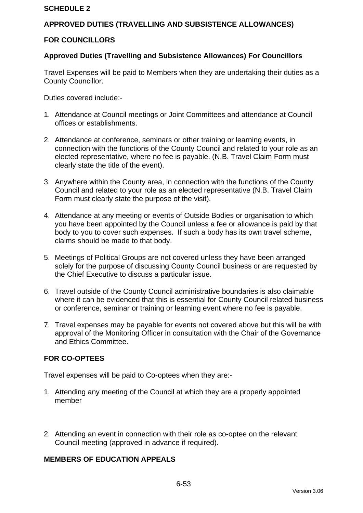## **SCHEDULE 2**

## **APPROVED DUTIES (TRAVELLING AND SUBSISTENCE ALLOWANCES)**

## **FOR COUNCILLORS**

## **Approved Duties (Travelling and Subsistence Allowances) For Councillors**

Travel Expenses will be paid to Members when they are undertaking their duties as a County Councillor.

Duties covered include:-

- 1. Attendance at Council meetings or Joint Committees and attendance at Council offices or establishments.
- 2. Attendance at conference, seminars or other training or learning events, in connection with the functions of the County Council and related to your role as an elected representative, where no fee is payable. (N.B. Travel Claim Form must clearly state the title of the event).
- 3. Anywhere within the County area, in connection with the functions of the County Council and related to your role as an elected representative (N.B. Travel Claim Form must clearly state the purpose of the visit).
- 4. Attendance at any meeting or events of Outside Bodies or organisation to which you have been appointed by the Council unless a fee or allowance is paid by that body to you to cover such expenses. If such a body has its own travel scheme, claims should be made to that body.
- 5. Meetings of Political Groups are not covered unless they have been arranged solely for the purpose of discussing County Council business or are requested by the Chief Executive to discuss a particular issue.
- 6. Travel outside of the County Council administrative boundaries is also claimable where it can be evidenced that this is essential for County Council related business or conference, seminar or training or learning event where no fee is payable.
- 7. Travel expenses may be payable for events not covered above but this will be with approval of the Monitoring Officer in consultation with the Chair of the Governance and Ethics Committee.

## **FOR CO-OPTEES**

Travel expenses will be paid to Co-optees when they are:-

- 1. Attending any meeting of the Council at which they are a properly appointed member
- 2. Attending an event in connection with their role as co-optee on the relevant Council meeting (approved in advance if required).

## **MEMBERS OF EDUCATION APPEALS**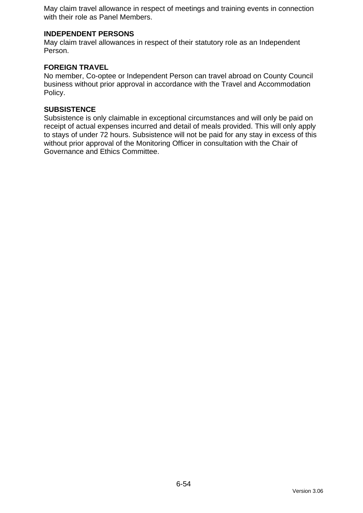May claim travel allowance in respect of meetings and training events in connection with their role as Panel Members.

## **INDEPENDENT PERSONS**

May claim travel allowances in respect of their statutory role as an Independent Person.

## **FOREIGN TRAVEL**

No member, Co-optee or Independent Person can travel abroad on County Council business without prior approval in accordance with the Travel and Accommodation Policy.

## **SUBSISTENCE**

Subsistence is only claimable in exceptional circumstances and will only be paid on receipt of actual expenses incurred and detail of meals provided. This will only apply to stays of under 72 hours. Subsistence will not be paid for any stay in excess of this without prior approval of the Monitoring Officer in consultation with the Chair of Governance and Ethics Committee.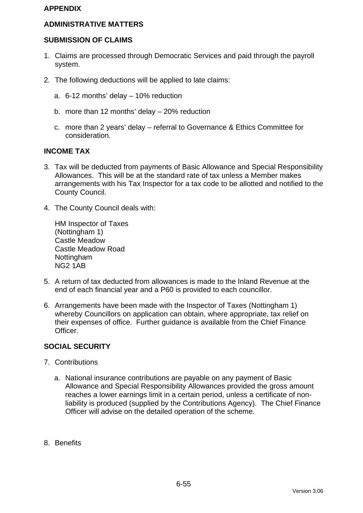## **APPENDIX**

## **ADMINISTRATIVE MATTERS**

## **SUBMISSION OF CLAIMS**

- 1. Claims are processed through Democratic Services and paid through the payroll system.
- 2. The following deductions will be applied to late claims:
	- a. 6-12 months' delay 10% reduction
	- b. more than 12 months' delay 20% reduction
	- c. more than 2 years' delay referral to Governance & Ethics Committee for consideration.

#### **INCOME TAX**

- 3. Tax will be deducted from payments of Basic Allowance and Special Responsibility Allowances. This will be at the standard rate of tax unless a Member makes arrangements with his Tax Inspector for a tax code to be allotted and notified to the County Council.
- 4. The County Council deals with:

HM Inspector of Taxes (Nottingham 1) Castle Meadow Castle Meadow Road **Nottingham** NG2 1AB

- 5. A return of tax deducted from allowances is made to the Inland Revenue at the end of each financial year and a P60 is provided to each councillor.
- 6. Arrangements have been made with the Inspector of Taxes (Nottingham 1) whereby Councillors on application can obtain, where appropriate, tax relief on their expenses of office. Further guidance is available from the Chief Finance Officer.

## **SOCIAL SECURITY**

- 7. Contributions
	- a. National insurance contributions are payable on any payment of Basic Allowance and Special Responsibility Allowances provided the gross amount reaches a lower earnings limit in a certain period, unless a certificate of nonliability is produced (supplied by the Contributions Agency). The Chief Finance Officer will advise on the detailed operation of the scheme.

6-55

8. Benefits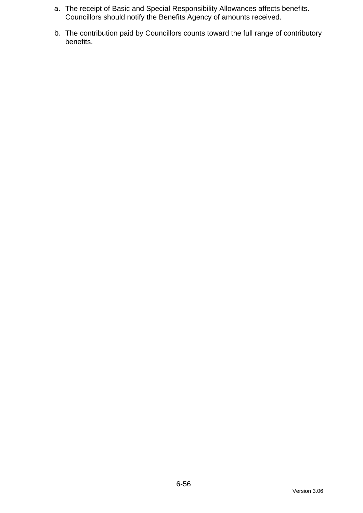- a. The receipt of Basic and Special Responsibility Allowances affects benefits. Councillors should notify the Benefits Agency of amounts received.
- b. The contribution paid by Councillors counts toward the full range of contributory benefits.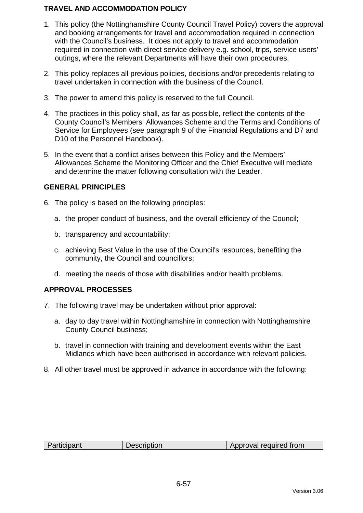# **TRAVEL AND ACCOMMODATION POLICY**

- 1. This policy (the Nottinghamshire County Council Travel Policy) covers the approval and booking arrangements for travel and accommodation required in connection with the Council's business. It does not apply to travel and accommodation required in connection with direct service delivery e.g. school, trips, service users' outings, where the relevant Departments will have their own procedures.
- 2. This policy replaces all previous policies, decisions and/or precedents relating to travel undertaken in connection with the business of the Council.
- 3. The power to amend this policy is reserved to the full Council.
- 4. The practices in this policy shall, as far as possible, reflect the contents of the County Council's Members' Allowances Scheme and the Terms and Conditions of Service for Employees (see paragraph 9 of the Financial Regulations and D7 and D10 of the Personnel Handbook).
- 5. In the event that a conflict arises between this Policy and the Members' Allowances Scheme the Monitoring Officer and the Chief Executive will mediate and determine the matter following consultation with the Leader.

## **GENERAL PRINCIPLES**

- 6. The policy is based on the following principles:
	- a. the proper conduct of business, and the overall efficiency of the Council;
	- b. transparency and accountability;
	- c. achieving Best Value in the use of the Council's resources, benefiting the community, the Council and councillors;
	- d. meeting the needs of those with disabilities and/or health problems.

# **APPROVAL PROCESSES**

- 7. The following travel may be undertaken without prior approval:
	- a. day to day travel within Nottinghamshire in connection with Nottinghamshire County Council business;
	- b. travel in connection with training and development events within the East Midlands which have been authorised in accordance with relevant policies.
- 8. All other travel must be approved in advance in accordance with the following:

|  | Participant | <b>Description</b> | Approval required from |
|--|-------------|--------------------|------------------------|
|--|-------------|--------------------|------------------------|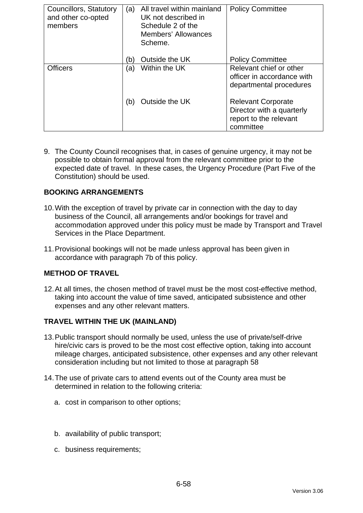| Councillors, Statutory<br>and other co-opted<br>members | (a) | All travel within mainland<br>UK not described in<br>Schedule 2 of the<br>Members' Allowances<br>Scheme. | <b>Policy Committee</b>                                                                       |
|---------------------------------------------------------|-----|----------------------------------------------------------------------------------------------------------|-----------------------------------------------------------------------------------------------|
|                                                         | (b) | Outside the UK                                                                                           | <b>Policy Committee</b>                                                                       |
| <b>Officers</b>                                         | (a) | Within the UK                                                                                            | Relevant chief or other<br>officer in accordance with<br>departmental procedures              |
|                                                         | (b) | Outside the UK                                                                                           | <b>Relevant Corporate</b><br>Director with a quarterly<br>report to the relevant<br>committee |

9. The County Council recognises that, in cases of genuine urgency, it may not be possible to obtain formal approval from the relevant committee prior to the expected date of travel. In these cases, the Urgency Procedure (Part Five of the Constitution) should be used.

# **BOOKING ARRANGEMENTS**

- 10.With the exception of travel by private car in connection with the day to day business of the Council, all arrangements and/or bookings for travel and accommodation approved under this policy must be made by Transport and Travel Services in the Place Department.
- 11.Provisional bookings will not be made unless approval has been given in accordance with paragraph 7b of this policy.

## **METHOD OF TRAVEL**

<span id="page-133-0"></span>12.At all times, the chosen method of travel must be the most cost-effective method, taking into account the value of time saved, anticipated subsistence and other expenses and any other relevant matters.

## **TRAVEL WITHIN THE UK (MAINLAND)**

- 13.Public transport should normally be used, unless the use of private/self-drive hire/civic cars is proved to be the most cost effective option, taking into account mileage charges, anticipated subsistence, other expenses and any other relevant consideration including but not limited to those at paragraph [58](#page-133-0)
- 14.The use of private cars to attend events out of the County area must be determined in relation to the following criteria:
	- a. cost in comparison to other options;
	- b. availability of public transport;
	- c. business requirements;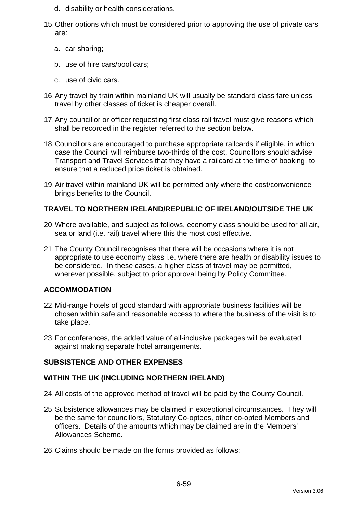- d. disability or health considerations.
- 15.Other options which must be considered prior to approving the use of private cars are:
	- a. car sharing;
	- b. use of hire cars/pool cars;
	- c. use of civic cars.
- 16.Any travel by train within mainland UK will usually be standard class fare unless travel by other classes of ticket is cheaper overall.
- 17.Any councillor or officer requesting first class rail travel must give reasons which shall be recorded in the register referred to the section below.
- 18.Councillors are encouraged to purchase appropriate railcards if eligible, in which case the Council will reimburse two-thirds of the cost. Councillors should advise Transport and Travel Services that they have a railcard at the time of booking, to ensure that a reduced price ticket is obtained.
- 19.Air travel within mainland UK will be permitted only where the cost/convenience brings benefits to the Council.

# **TRAVEL TO NORTHERN IRELAND/REPUBLIC OF IRELAND/OUTSIDE THE UK**

- 20.Where available, and subject as follows, economy class should be used for all air, sea or land (i.e. rail) travel where this the most cost effective.
- 21.The County Council recognises that there will be occasions where it is not appropriate to use economy class i.e. where there are health or disability issues to be considered. In these cases, a higher class of travel may be permitted, wherever possible, subject to prior approval being by Policy Committee.

# **ACCOMMODATION**

- 22.Mid-range hotels of good standard with appropriate business facilities will be chosen within safe and reasonable access to where the business of the visit is to take place.
- 23.For conferences, the added value of all-inclusive packages will be evaluated against making separate hotel arrangements.

# **SUBSISTENCE AND OTHER EXPENSES**

# **WITHIN THE UK (INCLUDING NORTHERN IRELAND)**

- 24.All costs of the approved method of travel will be paid by the County Council.
- 25.Subsistence allowances may be claimed in exceptional circumstances. They will be the same for councillors, Statutory Co-optees, other co-opted Members and officers. Details of the amounts which may be claimed are in the Members' Allowances Scheme.
- 26.Claims should be made on the forms provided as follows: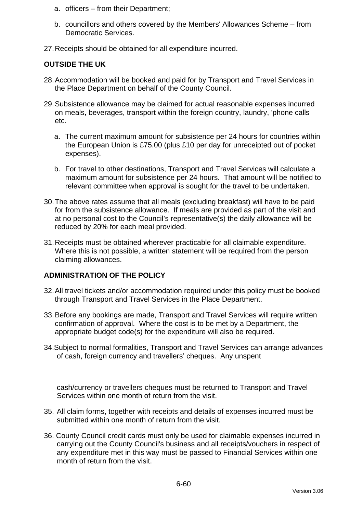- a. officers from their Department;
- b. councillors and others covered by the Members' Allowances Scheme from Democratic Services.
- 27.Receipts should be obtained for all expenditure incurred.

# **OUTSIDE THE UK**

- 28.Accommodation will be booked and paid for by Transport and Travel Services in the Place Department on behalf of the County Council.
- 29.Subsistence allowance may be claimed for actual reasonable expenses incurred on meals, beverages, transport within the foreign country, laundry, 'phone calls etc.
	- a. The current maximum amount for subsistence per 24 hours for countries within the European Union is £75.00 (plus £10 per day for unreceipted out of pocket expenses).
	- b. For travel to other destinations, Transport and Travel Services will calculate a maximum amount for subsistence per 24 hours. That amount will be notified to relevant committee when approval is sought for the travel to be undertaken.
- 30.The above rates assume that all meals (excluding breakfast) will have to be paid for from the subsistence allowance. If meals are provided as part of the visit and at no personal cost to the Council's representative(s) the daily allowance will be reduced by 20% for each meal provided.
- 31.Receipts must be obtained wherever practicable for all claimable expenditure. Where this is not possible, a written statement will be required from the person claiming allowances.

# **ADMINISTRATION OF THE POLICY**

- 32.All travel tickets and/or accommodation required under this policy must be booked through Transport and Travel Services in the Place Department.
- 33.Before any bookings are made, Transport and Travel Services will require written confirmation of approval. Where the cost is to be met by a Department, the appropriate budget code(s) for the expenditure will also be required.
- 34.Subject to normal formalities, Transport and Travel Services can arrange advances of cash, foreign currency and travellers' cheques. Any unspent

cash/currency or travellers cheques must be returned to Transport and Travel Services within one month of return from the visit.

- 35. All claim forms, together with receipts and details of expenses incurred must be submitted within one month of return from the visit.
- 36. County Council credit cards must only be used for claimable expenses incurred in carrying out the County Council's business and all receipts/vouchers in respect of any expenditure met in this way must be passed to Financial Services within one month of return from the visit.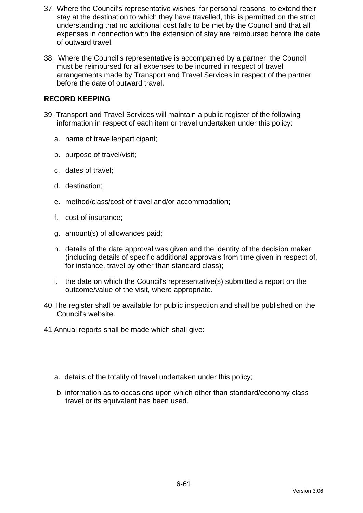- 37. Where the Council's representative wishes, for personal reasons, to extend their stay at the destination to which they have travelled, this is permitted on the strict understanding that no additional cost falls to be met by the Council and that all expenses in connection with the extension of stay are reimbursed before the date of outward travel.
- 38. Where the Council's representative is accompanied by a partner, the Council must be reimbursed for all expenses to be incurred in respect of travel arrangements made by Transport and Travel Services in respect of the partner before the date of outward travel.

# **RECORD KEEPING**

- 39. Transport and Travel Services will maintain a public register of the following information in respect of each item or travel undertaken under this policy:
	- a. name of traveller/participant;
	- b. purpose of travel/visit;
	- c. dates of travel;
	- d. destination;
	- e. method/class/cost of travel and/or accommodation;
	- f. cost of insurance;
	- g. amount(s) of allowances paid;
	- h. details of the date approval was given and the identity of the decision maker (including details of specific additional approvals from time given in respect of, for instance, travel by other than standard class);
	- i. the date on which the Council's representative(s) submitted a report on the outcome/value of the visit, where appropriate.
- 40.The register shall be available for public inspection and shall be published on the Council's website.
- 41.Annual reports shall be made which shall give:
	- a. details of the totality of travel undertaken under this policy;
	- b. information as to occasions upon which other than standard/economy class travel or its equivalent has been used.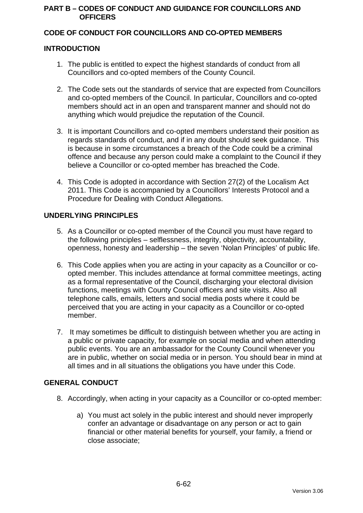## **PART B – CODES OF CONDUCT AND GUIDANCE FOR COUNCILLORS AND OFFICERS**

## **CODE OF CONDUCT FOR COUNCILLORS AND CO-OPTED MEMBERS**

## **INTRODUCTION**

- 1. The public is entitled to expect the highest standards of conduct from all Councillors and co-opted members of the County Council.
- 2. The Code sets out the standards of service that are expected from Councillors and co-opted members of the Council. In particular, Councillors and co-opted members should act in an open and transparent manner and should not do anything which would prejudice the reputation of the Council.
- 3. It is important Councillors and co-opted members understand their position as regards standards of conduct, and if in any doubt should seek guidance. This is because in some circumstances a breach of the Code could be a criminal offence and because any person could make a complaint to the Council if they believe a Councillor or co-opted member has breached the Code.
- 4. This Code is adopted in accordance with Section 27(2) of the Localism Act 2011. This Code is accompanied by a Councillors' Interests Protocol and a Procedure for Dealing with Conduct Allegations.

#### **UNDERLYING PRINCIPLES**

- 5. As a Councillor or co-opted member of the Council you must have regard to the following principles – selflessness, integrity, objectivity, accountability, openness, honesty and leadership – the seven 'Nolan Principles' of public life.
- 6. This Code applies when you are acting in your capacity as a Councillor or coopted member. This includes attendance at formal committee meetings, acting as a formal representative of the Council, discharging your electoral division functions, meetings with County Council officers and site visits. Also all telephone calls, emails, letters and social media posts where it could be perceived that you are acting in your capacity as a Councillor or co-opted member.
- 7. It may sometimes be difficult to distinguish between whether you are acting in a public or private capacity, for example on social media and when attending public events. You are an ambassador for the County Council whenever you are in public, whether on social media or in person. You should bear in mind at all times and in all situations the obligations you have under this Code.

## **GENERAL CONDUCT**

- 8. Accordingly, when acting in your capacity as a Councillor or co-opted member:
	- a) You must act solely in the public interest and should never improperly confer an advantage or disadvantage on any person or act to gain financial or other material benefits for yourself, your family, a friend or close associate;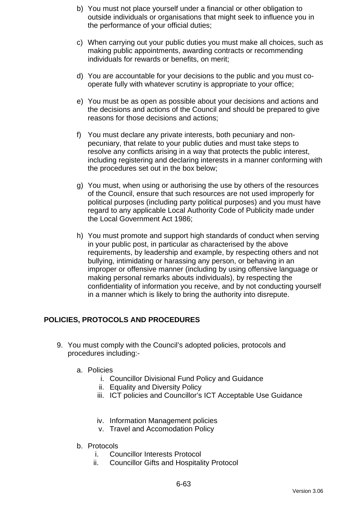- b) You must not place yourself under a financial or other obligation to outside individuals or organisations that might seek to influence you in the performance of your official duties;
- c) When carrying out your public duties you must make all choices, such as making public appointments, awarding contracts or recommending individuals for rewards or benefits, on merit;
- d) You are accountable for your decisions to the public and you must cooperate fully with whatever scrutiny is appropriate to your office;
- e) You must be as open as possible about your decisions and actions and the decisions and actions of the Council and should be prepared to give reasons for those decisions and actions;
- f) You must declare any private interests, both pecuniary and nonpecuniary, that relate to your public duties and must take steps to resolve any conflicts arising in a way that protects the public interest, including registering and declaring interests in a manner conforming with the procedures set out in the box below;
- g) You must, when using or authorising the use by others of the resources of the Council, ensure that such resources are not used improperly for political purposes (including party political purposes) and you must have regard to any applicable Local Authority Code of Publicity made under the Local Government Act 1986;
- h) You must promote and support high standards of conduct when serving in your public post, in particular as characterised by the above requirements, by leadership and example, by respecting others and not bullying, intimidating or harassing any person, or behaving in an improper or offensive manner (including by using offensive language or making personal remarks abouts individuals), by respecting the confidentiality of information you receive, and by not conducting yourself in a manner which is likely to bring the authority into disrepute.

# **POLICIES, PROTOCOLS AND PROCEDURES**

- 9. You must comply with the Council's adopted policies, protocols and procedures including:
	- a. Policies
		- i. Councillor Divisional Fund Policy and Guidance
		- ii. Equality and Diversity Policy
		- iii. ICT policies and Councillor's ICT Acceptable Use Guidance
		- iv. Information Management policies
		- v. Travel and Accomodation Policy
	- b. Protocols
		- i. Councillor Interests Protocol
		- ii. Councillor Gifts and Hospitality Protocol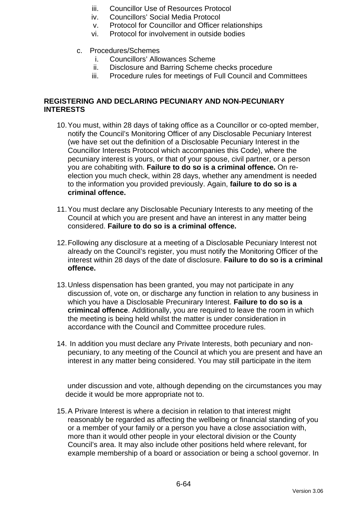- iii. Councillor Use of Resources Protocol
- iv. Councillors' Social Media Protocol
- v. Protocol for Councillor and Officer relationships
- vi. Protocol for involvement in outside bodies
- c. Procedures/Schemes
	- i. Councillors' Allowances Scheme
	- ii. Disclosure and Barring Scheme checks procedure
	- iii. Procedure rules for meetings of Full Council and Committees

## **REGISTERING AND DECLARING PECUNIARY AND NON-PECUNIARY INTERESTS**

- 10.You must, within 28 days of taking office as a Councillor or co-opted member, notify the Council's Monitoring Officer of any Disclosable Pecuniary Interest (we have set out the definition of a Disclosable Pecuniary Interest in the Councillor Interests Protocol which accompanies this Code), where the pecuniary interest is yours, or that of your spouse, civil partner, or a person you are cohabiting with. **Failure to do so is a criminal offence.** On reelection you much check, within 28 days, whether any amendment is needed to the information you provided previously. Again, **failure to do so is a criminal offence.**
- 11.You must declare any Disclosable Pecuniary Interests to any meeting of the Council at which you are present and have an interest in any matter being considered. **Failure to do so is a criminal offence.**
- 12.Following any disclosure at a meeting of a Disclosable Pecuniary Interest not already on the Council's register, you must notify the Monitoring Officer of the interest within 28 days of the date of disclosure. **Failure to do so is a criminal offence.**
- 13.Unless dispensation has been granted, you may not participate in any discussion of, vote on, or discharge any function in relation to any business in which you have a Disclosable Precunirary Interest. **Failure to do so is a crimincal offence**. Additionally, you are required to leave the room in which the meeting is being held whilst the matter is under consideration in accordance with the Council and Committee procedure rules.
- 14. In addition you must declare any Private Interests, both pecuniary and nonpecuniary, to any meeting of the Council at which you are present and have an interest in any matter being considered. You may still participate in the item

under discussion and vote, although depending on the circumstances you may decide it would be more appropriate not to.

15.A Privare Interest is where a decision in relation to that interest might reasonably be regarded as affecting the wellbeing or financial standing of you or a member of your family or a person you have a close association with, more than it would other people in your electoral division or the County Council's area. It may also include other positions held where relevant, for example membership of a board or association or being a school governor. In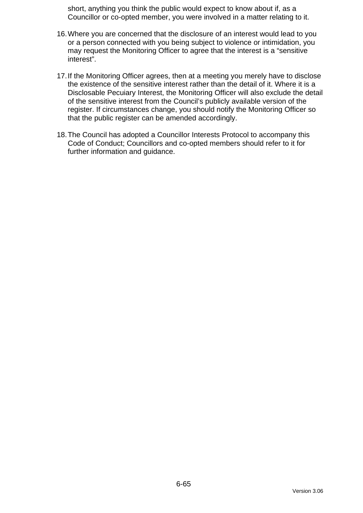short, anything you think the public would expect to know about if, as a Councillor or co-opted member, you were involved in a matter relating to it.

- 16.Where you are concerned that the disclosure of an interest would lead to you or a person connected with you being subject to violence or intimidation, you may request the Monitoring Officer to agree that the interest is a "sensitive interest".
- 17.If the Monitoring Officer agrees, then at a meeting you merely have to disclose the existence of the sensitive interest rather than the detail of it. Where it is a Disclosable Pecuiary Interest, the Monitoring Officer will also exclude the detail of the sensitive interest from the Council's publicly available version of the register. If circumstances change, you should notify the Monitoring Officer so that the public register can be amended accordingly.
- 18.The Council has adopted a Councillor Interests Protocol to accompany this Code of Conduct; Councillors and co-opted members should refer to it for further information and quidance.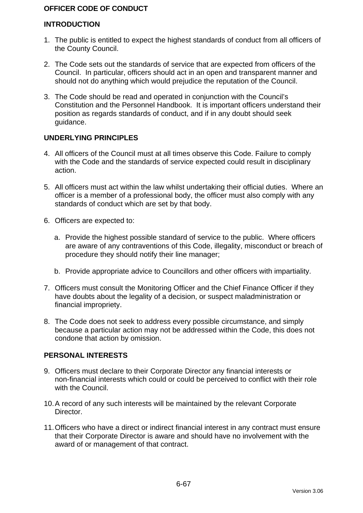# **OFFICER CODE OF CONDUCT**

# **INTRODUCTION**

- 1. The public is entitled to expect the highest standards of conduct from all officers of the County Council.
- 2. The Code sets out the standards of service that are expected from officers of the Council. In particular, officers should act in an open and transparent manner and should not do anything which would prejudice the reputation of the Council.
- 3. The Code should be read and operated in conjunction with the Council's Constitution and the Personnel Handbook. It is important officers understand their position as regards standards of conduct, and if in any doubt should seek guidance.

## **UNDERLYING PRINCIPLES**

- 4. All officers of the Council must at all times observe this Code. Failure to comply with the Code and the standards of service expected could result in disciplinary action.
- 5. All officers must act within the law whilst undertaking their official duties. Where an officer is a member of a professional body, the officer must also comply with any standards of conduct which are set by that body.
- 6. Officers are expected to:
	- a. Provide the highest possible standard of service to the public. Where officers are aware of any contraventions of this Code, illegality, misconduct or breach of procedure they should notify their line manager;
	- b. Provide appropriate advice to Councillors and other officers with impartiality.
- 7. Officers must consult the Monitoring Officer and the Chief Finance Officer if they have doubts about the legality of a decision, or suspect maladministration or financial impropriety.
- 8. The Code does not seek to address every possible circumstance, and simply because a particular action may not be addressed within the Code, this does not condone that action by omission.

## **PERSONAL INTERESTS**

- 9. Officers must declare to their Corporate Director any financial interests or non-financial interests which could or could be perceived to conflict with their role with the Council.
- 10.A record of any such interests will be maintained by the relevant Corporate Director.
- 11.Officers who have a direct or indirect financial interest in any contract must ensure that their Corporate Director is aware and should have no involvement with the award of or management of that contract.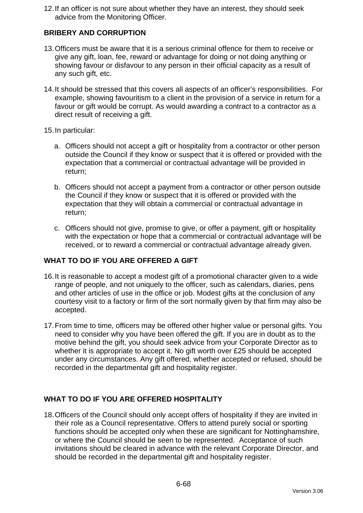12.If an officer is not sure about whether they have an interest, they should seek advice from the Monitoring Officer.

# **BRIBERY AND CORRUPTION**

- 13.Officers must be aware that it is a serious criminal offence for them to receive or give any gift, loan, fee, reward or advantage for doing or not doing anything or showing favour or disfavour to any person in their official capacity as a result of any such gift, etc.
- 14.It should be stressed that this covers all aspects of an officer's responsibilities. For example, showing favouritism to a client in the provision of a service in return for a favour or gift would be corrupt. As would awarding a contract to a contractor as a direct result of receiving a gift.
- 15.In particular:
	- a. Officers should not accept a gift or hospitality from a contractor or other person outside the Council if they know or suspect that it is offered or provided with the expectation that a commercial or contractual advantage will be provided in return;
	- b. Officers should not accept a payment from a contractor or other person outside the Council if they know or suspect that it is offered or provided with the expectation that they will obtain a commercial or contractual advantage in return;
	- c. Officers should not give, promise to give, or offer a payment, gift or hospitality with the expectation or hope that a commercial or contractual advantage will be received, or to reward a commercial or contractual advantage already given.

# **WHAT TO DO IF YOU ARE OFFERED A GIFT**

- 16.It is reasonable to accept a modest gift of a promotional character given to a wide range of people, and not uniquely to the officer, such as calendars, diaries, pens and other articles of use in the office or job. Modest gifts at the conclusion of any courtesy visit to a factory or firm of the sort normally given by that firm may also be accepted.
- 17.From time to time, officers may be offered other higher value or personal gifts. You need to consider why you have been offered the gift. If you are in doubt as to the motive behind the gift, you should seek advice from your Corporate Director as to whether it is appropriate to accept it. No gift worth over £25 should be accepted under any circumstances. Any gift offered, whether accepted or refused, should be recorded in the departmental gift and hospitality register.

# **WHAT TO DO IF YOU ARE OFFERED HOSPITALITY**

18.Officers of the Council should only accept offers of hospitality if they are invited in their role as a Council representative. Offers to attend purely social or sporting functions should be accepted only when these are significant for Nottinghamshire, or where the Council should be seen to be represented. Acceptance of such invitations should be cleared in advance with the relevant Corporate Director, and should be recorded in the departmental gift and hospitality register.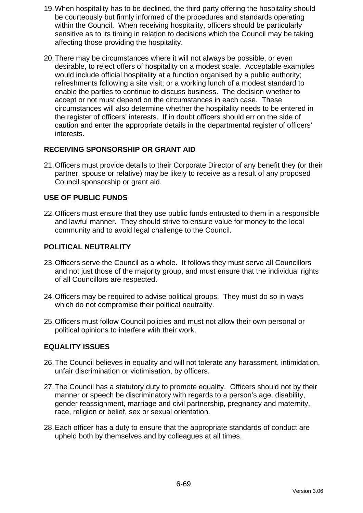- 19.When hospitality has to be declined, the third party offering the hospitality should be courteously but firmly informed of the procedures and standards operating within the Council. When receiving hospitality, officers should be particularly sensitive as to its timing in relation to decisions which the Council may be taking affecting those providing the hospitality.
- 20.There may be circumstances where it will not always be possible, or even desirable, to reject offers of hospitality on a modest scale. Acceptable examples would include official hospitality at a function organised by a public authority; refreshments following a site visit; or a working lunch of a modest standard to enable the parties to continue to discuss business. The decision whether to accept or not must depend on the circumstances in each case. These circumstances will also determine whether the hospitality needs to be entered in the register of officers' interests. If in doubt officers should err on the side of caution and enter the appropriate details in the departmental register of officers' interests.

# **RECEIVING SPONSORSHIP OR GRANT AID**

21.Officers must provide details to their Corporate Director of any benefit they (or their partner, spouse or relative) may be likely to receive as a result of any proposed Council sponsorship or grant aid.

# **USE OF PUBLIC FUNDS**

22.Officers must ensure that they use public funds entrusted to them in a responsible and lawful manner. They should strive to ensure value for money to the local community and to avoid legal challenge to the Council.

# **POLITICAL NEUTRALITY**

- 23.Officers serve the Council as a whole. It follows they must serve all Councillors and not just those of the majority group, and must ensure that the individual rights of all Councillors are respected.
- 24.Officers may be required to advise political groups. They must do so in ways which do not compromise their political neutrality.
- 25.Officers must follow Council policies and must not allow their own personal or political opinions to interfere with their work.

#### **EQUALITY ISSUES**

- 26.The Council believes in equality and will not tolerate any harassment, intimidation, unfair discrimination or victimisation, by officers.
- 27.The Council has a statutory duty to promote equality. Officers should not by their manner or speech be discriminatory with regards to a person's age, disability, gender reassignment, marriage and civil partnership, pregnancy and maternity, race, religion or belief, sex or sexual orientation.
- 28.Each officer has a duty to ensure that the appropriate standards of conduct are upheld both by themselves and by colleagues at all times.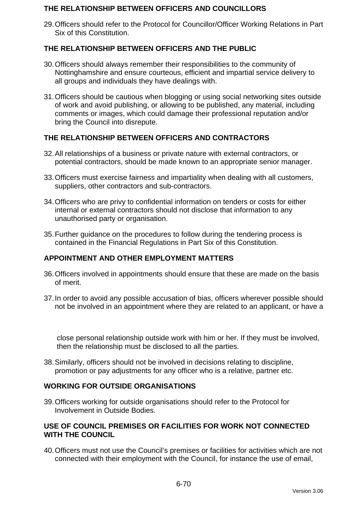# **THE RELATIONSHIP BETWEEN OFFICERS AND COUNCILLORS**

29.Officers should refer to the Protocol for Councillor/Officer Working Relations in Part Six of this Constitution.

# **THE RELATIONSHIP BETWEEN OFFICERS AND THE PUBLIC**

- 30.Officers should always remember their responsibilities to the community of Nottinghamshire and ensure courteous, efficient and impartial service delivery to all groups and individuals they have dealings with.
- 31.Officers should be cautious when blogging or using social networking sites outside of work and avoid publishing, or allowing to be published, any material, including comments or images, which could damage their professional reputation and/or bring the Council into disrepute.

# **THE RELATIONSHIP BETWEEN OFFICERS AND CONTRACTORS**

- 32.All relationships of a business or private nature with external contractors, or potential contractors, should be made known to an appropriate senior manager.
- 33.Officers must exercise fairness and impartiality when dealing with all customers, suppliers, other contractors and sub-contractors.
- 34.Officers who are privy to confidential information on tenders or costs for either internal or external contractors should not disclose that information to any unauthorised party or organisation.
- 35.Further guidance on the procedures to follow during the tendering process is contained in the Financial Regulations in Part Six of this Constitution.

# **APPOINTMENT AND OTHER EMPLOYMENT MATTERS**

- 36.Officers involved in appointments should ensure that these are made on the basis of merit.
- 37.In order to avoid any possible accusation of bias, officers wherever possible should not be involved in an appointment where they are related to an applicant, or have a

close personal relationship outside work with him or her. If they must be involved, then the relationship must be disclosed to all the parties.

38.Similarly, officers should not be involved in decisions relating to discipline, promotion or pay adjustments for any officer who is a relative, partner etc.

#### **WORKING FOR OUTSIDE ORGANISATIONS**

39.Officers working for outside organisations should refer to the Protocol for Involvement in Outside Bodies.

## **USE OF COUNCIL PREMISES OR FACILITIES FOR WORK NOT CONNECTED WITH THE COUNCIL**

40.Officers must not use the Council's premises or facilities for activities which are not connected with their employment with the Council, for instance the use of email,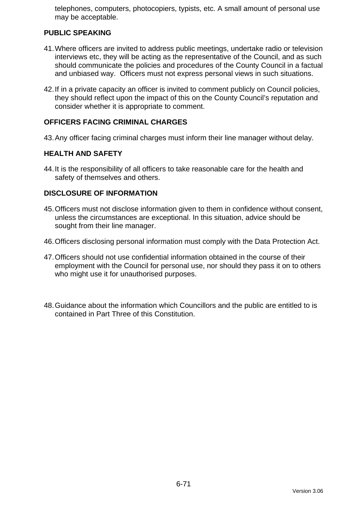telephones, computers, photocopiers, typists, etc. A small amount of personal use may be acceptable.

# **PUBLIC SPEAKING**

- 41.Where officers are invited to address public meetings, undertake radio or television interviews etc, they will be acting as the representative of the Council, and as such should communicate the policies and procedures of the County Council in a factual and unbiased way. Officers must not express personal views in such situations.
- 42.If in a private capacity an officer is invited to comment publicly on Council policies, they should reflect upon the impact of this on the County Council's reputation and consider whether it is appropriate to comment.

# **OFFICERS FACING CRIMINAL CHARGES**

43.Any officer facing criminal charges must inform their line manager without delay.

#### **HEALTH AND SAFETY**

44.It is the responsibility of all officers to take reasonable care for the health and safety of themselves and others.

#### **DISCLOSURE OF INFORMATION**

- 45.Officers must not disclose information given to them in confidence without consent, unless the circumstances are exceptional. In this situation, advice should be sought from their line manager.
- 46.Officers disclosing personal information must comply with the Data Protection Act.
- 47.Officers should not use confidential information obtained in the course of their employment with the Council for personal use, nor should they pass it on to others who might use it for unauthorised purposes.
- 48.Guidance about the information which Councillors and the public are entitled to is contained in Part Three of this Constitution.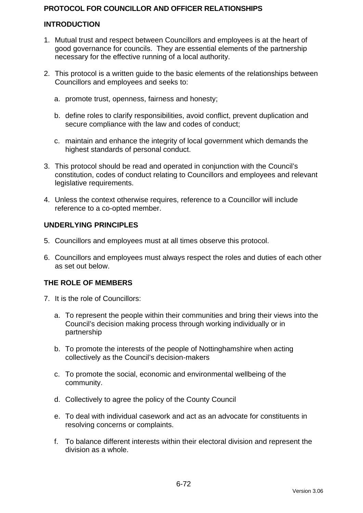## **PROTOCOL FOR COUNCILLOR AND OFFICER RELATIONSHIPS**

### **INTRODUCTION**

- 1. Mutual trust and respect between Councillors and employees is at the heart of good governance for councils. They are essential elements of the partnership necessary for the effective running of a local authority.
- 2. This protocol is a written guide to the basic elements of the relationships between Councillors and employees and seeks to:
	- a. promote trust, openness, fairness and honesty;
	- b. define roles to clarify responsibilities, avoid conflict, prevent duplication and secure compliance with the law and codes of conduct;
	- c. maintain and enhance the integrity of local government which demands the highest standards of personal conduct.
- 3. This protocol should be read and operated in conjunction with the Council's constitution, codes of conduct relating to Councillors and employees and relevant legislative requirements.
- 4. Unless the context otherwise requires, reference to a Councillor will include reference to a co-opted member.

#### **UNDERLYING PRINCIPLES**

- 5. Councillors and employees must at all times observe this protocol.
- 6. Councillors and employees must always respect the roles and duties of each other as set out below.

#### **THE ROLE OF MEMBERS**

- 7. It is the role of Councillors:
	- a. To represent the people within their communities and bring their views into the Council's decision making process through working individually or in partnership
	- b. To promote the interests of the people of Nottinghamshire when acting collectively as the Council's decision-makers
	- c. To promote the social, economic and environmental wellbeing of the community.
	- d. Collectively to agree the policy of the County Council
	- e. To deal with individual casework and act as an advocate for constituents in resolving concerns or complaints.
	- f. To balance different interests within their electoral division and represent the division as a whole.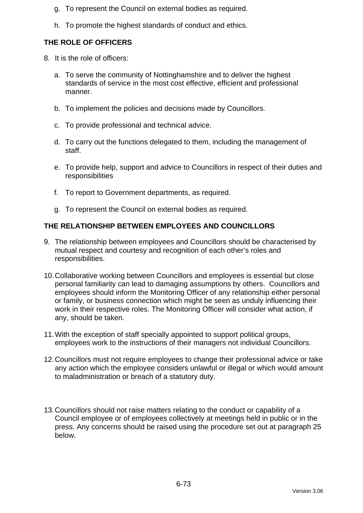- g. To represent the Council on external bodies as required.
- h. To promote the highest standards of conduct and ethics.

# **THE ROLE OF OFFICERS**

- 8. It is the role of officers:
	- a. To serve the community of Nottinghamshire and to deliver the highest standards of service in the most cost effective, efficient and professional manner.
	- b. To implement the policies and decisions made by Councillors.
	- c. To provide professional and technical advice.
	- d. To carry out the functions delegated to them, including the management of staff.
	- e. To provide help, support and advice to Councillors in respect of their duties and responsibilities
	- f. To report to Government departments, as required.
	- g. To represent the Council on external bodies as required.

# **THE RELATIONSHIP BETWEEN EMPLOYEES AND COUNCILLORS**

- 9. The relationship between employees and Councillors should be characterised by mutual respect and courtesy and recognition of each other's roles and responsibilities.
- 10.Collaborative working between Councillors and employees is essential but close personal familiarity can lead to damaging assumptions by others. Councillors and employees should inform the Monitoring Officer of any relationship either personal or family, or business connection which might be seen as unduly influencing their work in their respective roles. The Monitoring Officer will consider what action, if any, should be taken.
- 11.With the exception of staff specially appointed to support political groups, employees work to the instructions of their managers not individual Councillors.
- 12.Councillors must not require employees to change their professional advice or take any action which the employee considers unlawful or illegal or which would amount to maladministration or breach of a statutory duty.
- 13.Councillors should not raise matters relating to the conduct or capability of a Council employee or of employees collectively at meetings held in public or in the press. Any concerns should be raised using the procedure set out at paragraph 25 below.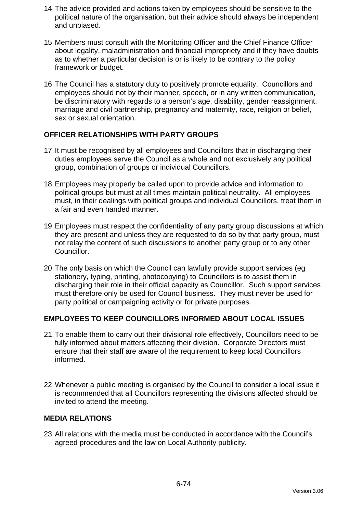- 14.The advice provided and actions taken by employees should be sensitive to the political nature of the organisation, but their advice should always be independent and unbiased.
- 15.Members must consult with the Monitoring Officer and the Chief Finance Officer about legality, maladministration and financial impropriety and if they have doubts as to whether a particular decision is or is likely to be contrary to the policy framework or budget.
- 16.The Council has a statutory duty to positively promote equality. Councillors and employees should not by their manner, speech, or in any written communication, be discriminatory with regards to a person's age, disability, gender reassignment, marriage and civil partnership, pregnancy and maternity, race, religion or belief, sex or sexual orientation.

# **OFFICER RELATIONSHIPS WITH PARTY GROUPS**

- 17. It must be recognised by all employees and Councillors that in discharging their duties employees serve the Council as a whole and not exclusively any political group, combination of groups or individual Councillors.
- 18.Employees may properly be called upon to provide advice and information to political groups but must at all times maintain political neutrality. All employees must, in their dealings with political groups and individual Councillors, treat them in a fair and even handed manner.
- 19.Employees must respect the confidentiality of any party group discussions at which they are present and unless they are requested to do so by that party group, must not relay the content of such discussions to another party group or to any other Councillor.
- 20.The only basis on which the Council can lawfully provide support services (eg stationery, typing, printing, photocopying) to Councillors is to assist them in discharging their role in their official capacity as Councillor. Such support services must therefore only be used for Council business. They must never be used for party political or campaigning activity or for private purposes.

# **EMPLOYEES TO KEEP COUNCILLORS INFORMED ABOUT LOCAL ISSUES**

- 21.To enable them to carry out their divisional role effectively, Councillors need to be fully informed about matters affecting their division. Corporate Directors must ensure that their staff are aware of the requirement to keep local Councillors informed.
- 22.Whenever a public meeting is organised by the Council to consider a local issue it is recommended that all Councillors representing the divisions affected should be invited to attend the meeting.

# **MEDIA RELATIONS**

23.All relations with the media must be conducted in accordance with the Council's agreed procedures and the law on Local Authority publicity.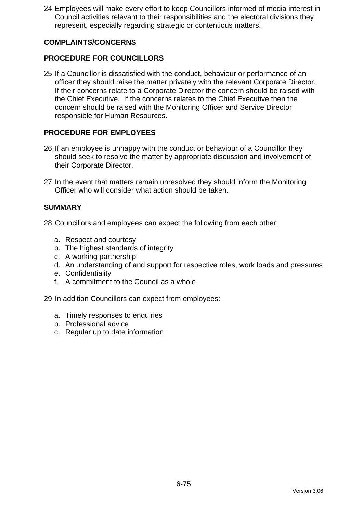24.Employees will make every effort to keep Councillors informed of media interest in Council activities relevant to their responsibilities and the electoral divisions they represent, especially regarding strategic or contentious matters.

# **COMPLAINTS/CONCERNS**

## **PROCEDURE FOR COUNCILLORS**

25.If a Councillor is dissatisfied with the conduct, behaviour or performance of an officer they should raise the matter privately with the relevant Corporate Director. If their concerns relate to a Corporate Director the concern should be raised with the Chief Executive. If the concerns relates to the Chief Executive then the concern should be raised with the Monitoring Officer and Service Director responsible for Human Resources.

## **PROCEDURE FOR EMPLOYEES**

- 26.If an employee is unhappy with the conduct or behaviour of a Councillor they should seek to resolve the matter by appropriate discussion and involvement of their Corporate Director.
- 27.In the event that matters remain unresolved they should inform the Monitoring Officer who will consider what action should be taken.

#### **SUMMARY**

- 28.Councillors and employees can expect the following from each other:
	- a. Respect and courtesy
	- b. The highest standards of integrity
	- c. A working partnership
	- d. An understanding of and support for respective roles, work loads and pressures
	- e. Confidentiality
	- f. A commitment to the Council as a whole

29.In addition Councillors can expect from employees:

- a. Timely responses to enquiries
- b. Professional advice
- c. Regular up to date information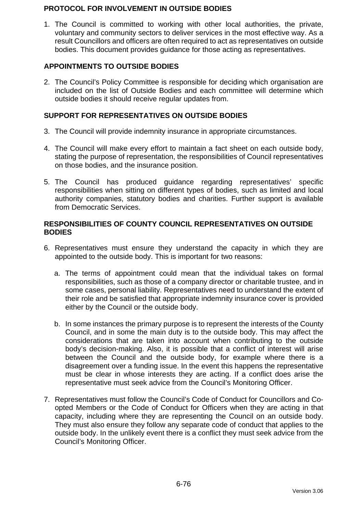### **PROTOCOL FOR INVOLVEMENT IN OUTSIDE BODIES**

1. The Council is committed to working with other local authorities, the private, voluntary and community sectors to deliver services in the most effective way. As a result Councillors and officers are often required to act as representatives on outside bodies. This document provides guidance for those acting as representatives.

# **APPOINTMENTS TO OUTSIDE BODIES**

2. The Council's Policy Committee is responsible for deciding which organisation are included on the list of Outside Bodies and each committee will determine which outside bodies it should receive regular updates from.

## **SUPPORT FOR REPRESENTATIVES ON OUTSIDE BODIES**

- 3. The Council will provide indemnity insurance in appropriate circumstances.
- 4. The Council will make every effort to maintain a fact sheet on each outside body, stating the purpose of representation, the responsibilities of Council representatives on those bodies, and the insurance position.
- 5. The Council has produced guidance regarding representatives' specific responsibilities when sitting on different types of bodies, such as limited and local authority companies, statutory bodies and charities. Further support is available from Democratic Services.

#### **RESPONSIBILITIES OF COUNTY COUNCIL REPRESENTATIVES ON OUTSIDE BODIES**

- 6. Representatives must ensure they understand the capacity in which they are appointed to the outside body. This is important for two reasons:
	- a. The terms of appointment could mean that the individual takes on formal responsibilities, such as those of a company director or charitable trustee, and in some cases, personal liability. Representatives need to understand the extent of their role and be satisfied that appropriate indemnity insurance cover is provided either by the Council or the outside body.
	- b. In some instances the primary purpose is to represent the interests of the County Council, and in some the main duty is to the outside body. This may affect the considerations that are taken into account when contributing to the outside body's decision-making. Also, it is possible that a conflict of interest will arise between the Council and the outside body, for example where there is a disagreement over a funding issue. In the event this happens the representative must be clear in whose interests they are acting. If a conflict does arise the representative must seek advice from the Council's Monitoring Officer.
- 7. Representatives must follow the Council's Code of Conduct for Councillors and Coopted Members or the Code of Conduct for Officers when they are acting in that capacity, including where they are representing the Council on an outside body. They must also ensure they follow any separate code of conduct that applies to the outside body. In the unlikely event there is a conflict they must seek advice from the Council's Monitoring Officer.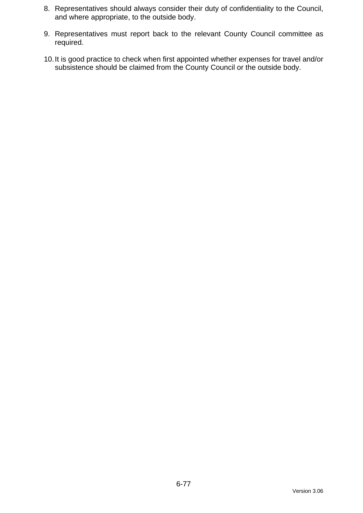- 8. Representatives should always consider their duty of confidentiality to the Council, and where appropriate, to the outside body.
- 9. Representatives must report back to the relevant County Council committee as required.
- 10.It is good practice to check when first appointed whether expenses for travel and/or subsistence should be claimed from the County Council or the outside body.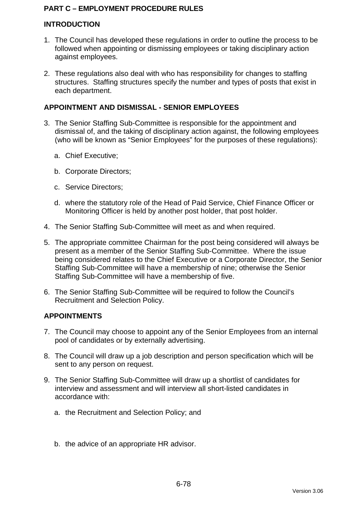### **PART C – EMPLOYMENT PROCEDURE RULES**

# **INTRODUCTION**

- 1. The Council has developed these regulations in order to outline the process to be followed when appointing or dismissing employees or taking disciplinary action against employees.
- 2. These regulations also deal with who has responsibility for changes to staffing structures. Staffing structures specify the number and types of posts that exist in each department.

#### **APPOINTMENT AND DISMISSAL - SENIOR EMPLOYEES**

- 3. The Senior Staffing Sub-Committee is responsible for the appointment and dismissal of, and the taking of disciplinary action against, the following employees (who will be known as "Senior Employees" for the purposes of these regulations):
	- a. Chief Executive;
	- b. Corporate Directors;
	- c. Service Directors;
	- d. where the statutory role of the Head of Paid Service, Chief Finance Officer or Monitoring Officer is held by another post holder, that post holder.
- 4. The Senior Staffing Sub-Committee will meet as and when required.
- 5. The appropriate committee Chairman for the post being considered will always be present as a member of the Senior Staffing Sub-Committee. Where the issue being considered relates to the Chief Executive or a Corporate Director, the Senior Staffing Sub-Committee will have a membership of nine; otherwise the Senior Staffing Sub-Committee will have a membership of five.
- 6. The Senior Staffing Sub-Committee will be required to follow the Council's Recruitment and Selection Policy.

#### **APPOINTMENTS**

- 7. The Council may choose to appoint any of the Senior Employees from an internal pool of candidates or by externally advertising.
- 8. The Council will draw up a job description and person specification which will be sent to any person on request.
- 9. The Senior Staffing Sub-Committee will draw up a shortlist of candidates for interview and assessment and will interview all short-listed candidates in accordance with:
	- a. the Recruitment and Selection Policy; and
	- b. the advice of an appropriate HR advisor.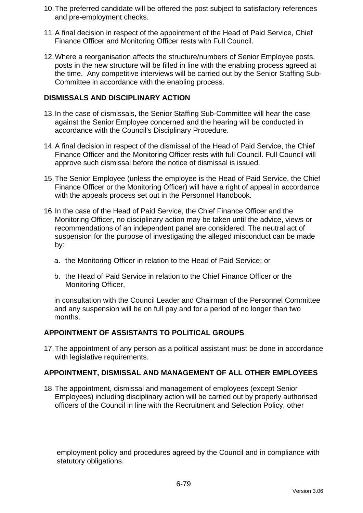- 10.The preferred candidate will be offered the post subject to satisfactory references and pre-employment checks.
- 11.A final decision in respect of the appointment of the Head of Paid Service, Chief Finance Officer and Monitoring Officer rests with Full Council.
- 12.Where a reorganisation affects the structure/numbers of Senior Employee posts, posts in the new structure will be filled in line with the enabling process agreed at the time. Any competitive interviews will be carried out by the Senior Staffing Sub-Committee in accordance with the enabling process.

## **DISMISSALS AND DISCIPLINARY ACTION**

- 13.In the case of dismissals, the Senior Staffing Sub-Committee will hear the case against the Senior Employee concerned and the hearing will be conducted in accordance with the Council's Disciplinary Procedure.
- 14.A final decision in respect of the dismissal of the Head of Paid Service, the Chief Finance Officer and the Monitoring Officer rests with full Council. Full Council will approve such dismissal before the notice of dismissal is issued.
- 15.The Senior Employee (unless the employee is the Head of Paid Service, the Chief Finance Officer or the Monitoring Officer) will have a right of appeal in accordance with the appeals process set out in the Personnel Handbook.
- 16.In the case of the Head of Paid Service, the Chief Finance Officer and the Monitoring Officer, no disciplinary action may be taken until the advice, views or recommendations of an independent panel are considered. The neutral act of suspension for the purpose of investigating the alleged misconduct can be made by:
	- a. the Monitoring Officer in relation to the Head of Paid Service; or
	- b. the Head of Paid Service in relation to the Chief Finance Officer or the Monitoring Officer,

in consultation with the Council Leader and Chairman of the Personnel Committee and any suspension will be on full pay and for a period of no longer than two months.

# **APPOINTMENT OF ASSISTANTS TO POLITICAL GROUPS**

17.The appointment of any person as a political assistant must be done in accordance with legislative requirements.

#### **APPOINTMENT, DISMISSAL AND MANAGEMENT OF ALL OTHER EMPLOYEES**

18.The appointment, dismissal and management of employees (except Senior Employees) including disciplinary action will be carried out by properly authorised officers of the Council in line with the Recruitment and Selection Policy, other

employment policy and procedures agreed by the Council and in compliance with statutory obligations.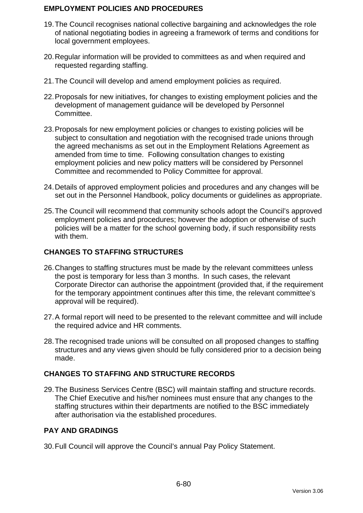# **EMPLOYMENT POLICIES AND PROCEDURES**

- 19.The Council recognises national collective bargaining and acknowledges the role of national negotiating bodies in agreeing a framework of terms and conditions for local government employees.
- 20.Regular information will be provided to committees as and when required and requested regarding staffing.
- 21.The Council will develop and amend employment policies as required.
- 22.Proposals for new initiatives, for changes to existing employment policies and the development of management guidance will be developed by Personnel Committee.
- 23.Proposals for new employment policies or changes to existing policies will be subject to consultation and negotiation with the recognised trade unions through the agreed mechanisms as set out in the Employment Relations Agreement as amended from time to time. Following consultation changes to existing employment policies and new policy matters will be considered by Personnel Committee and recommended to Policy Committee for approval.
- 24.Details of approved employment policies and procedures and any changes will be set out in the Personnel Handbook, policy documents or guidelines as appropriate.
- 25.The Council will recommend that community schools adopt the Council's approved employment policies and procedures; however the adoption or otherwise of such policies will be a matter for the school governing body, if such responsibility rests with them.

## **CHANGES TO STAFFING STRUCTURES**

- 26.Changes to staffing structures must be made by the relevant committees unless the post is temporary for less than 3 months. In such cases, the relevant Corporate Director can authorise the appointment (provided that, if the requirement for the temporary appointment continues after this time, the relevant committee's approval will be required).
- 27.A formal report will need to be presented to the relevant committee and will include the required advice and HR comments.
- 28.The recognised trade unions will be consulted on all proposed changes to staffing structures and any views given should be fully considered prior to a decision being made.

#### **CHANGES TO STAFFING AND STRUCTURE RECORDS**

29.The Business Services Centre (BSC) will maintain staffing and structure records. The Chief Executive and his/her nominees must ensure that any changes to the staffing structures within their departments are notified to the BSC immediately after authorisation via the established procedures.

#### **PAY AND GRADINGS**

30.Full Council will approve the Council's annual Pay Policy Statement.